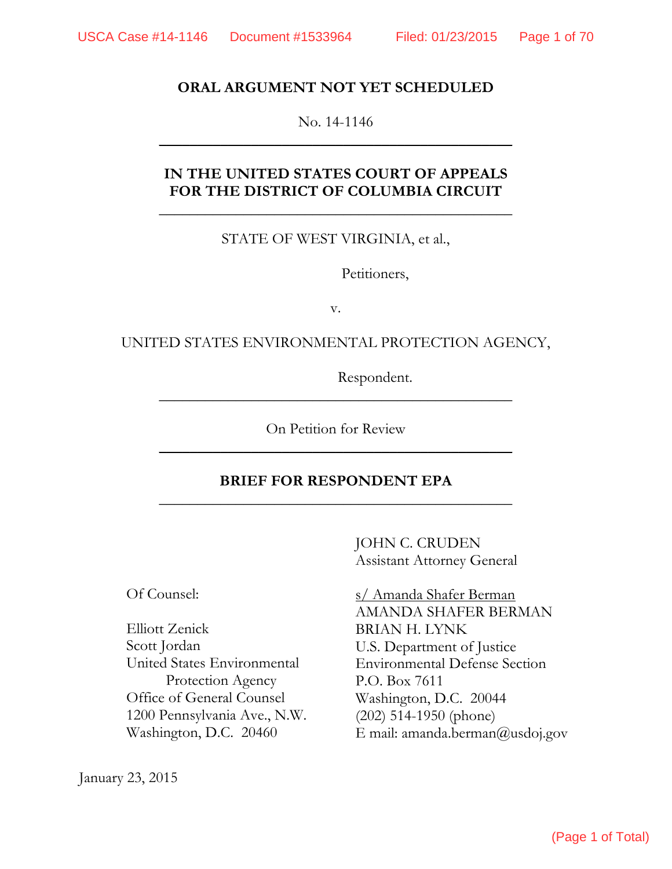#### **ORAL ARGUMENT NOT YET SCHEDULED**

No. 14-1146  $\overline{\phantom{a}}$  , and the contract of the contract of the contract of the contract of the contract of the contract of the contract of the contract of the contract of the contract of the contract of the contract of the contrac

### **IN THE UNITED STATES COURT OF APPEALS FOR THE DISTRICT OF COLUMBIA CIRCUIT**

 $\overline{\phantom{a}}$  , and the contract of the contract of the contract of the contract of the contract of the contract of the contract of the contract of the contract of the contract of the contract of the contract of the contrac

STATE OF WEST VIRGINIA, et al.,

Petitioners,

v.

UNITED STATES ENVIRONMENTAL PROTECTION AGENCY,

Respondent.

On Petition for Review  $\overline{\phantom{a}}$  , and the contract of the contract of the contract of the contract of the contract of the contract of the contract of the contract of the contract of the contract of the contract of the contract of the contrac

 $\overline{\phantom{a}}$  , and the contract of the contract of the contract of the contract of the contract of the contract of the contract of the contract of the contract of the contract of the contract of the contract of the contrac

### **BRIEF FOR RESPONDENT EPA**   $\overline{\phantom{a}}$  , and the contract of the contract of the contract of the contract of the contract of the contract of the contract of the contract of the contract of the contract of the contract of the contract of the contrac

JOHN C. CRUDEN Assistant Attorney General

Of Counsel:

Protection Agency P.O. Box 7611 (202) 514-1950 (phone) 1200 Pennsylvania Ave., N.W. Elliott Zenick Scott Jordan Office of General Counsel Washington, D.C. 20460

January 23, 2015

 s/ Amanda Shafer Berman AMANDA SHAFER BERMAN BRIAN H. LYNK U.S. Department of Justice Environmental Defense Section United States Environmental Washington, D.C. 20044 E mail: amanda.berman@usdoj.gov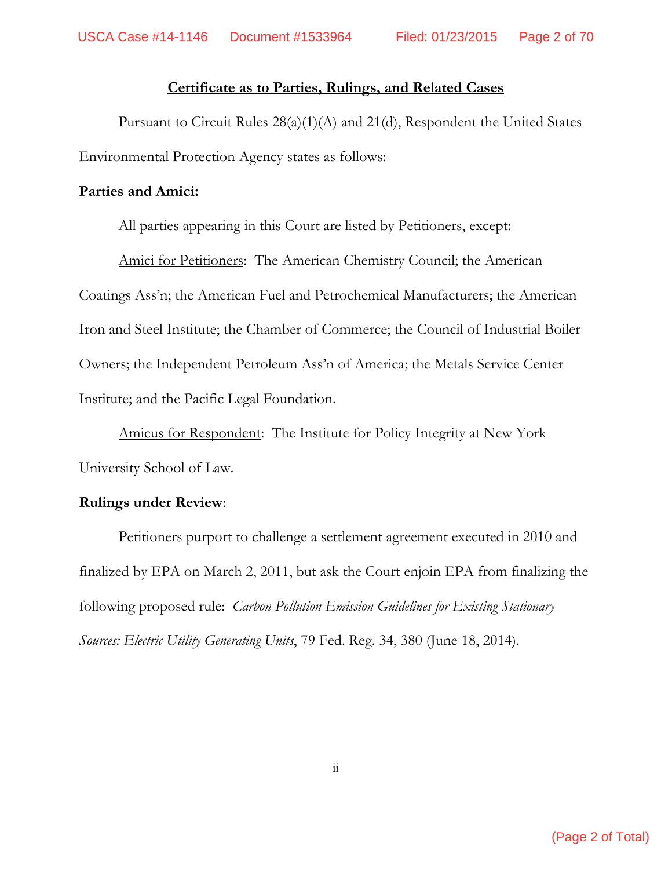### **Certificate as to Parties, Rulings, and Related Cases**

 Pursuant to Circuit Rules 28(a)(1)(A) and 21(d), Respondent the United States Environmental Protection Agency states as follows:

### **Parties and Amici:**

All parties appearing in this Court are listed by Petitioners, except:

 Amici for Petitioners: The American Chemistry Council; the American Coatings Ass'n; the American Fuel and Petrochemical Manufacturers; the American Iron and Steel Institute; the Chamber of Commerce; the Council of Industrial Boiler Owners; the Independent Petroleum Ass'n of America; the Metals Service Center Institute; and the Pacific Legal Foundation.

 Amicus for Respondent: The Institute for Policy Integrity at New York University School of Law.

### **Rulings under Review**:

 Petitioners purport to challenge a settlement agreement executed in 2010 and finalized by EPA on March 2, 2011, but ask the Court enjoin EPA from finalizing the following proposed rule: *Carbon Pollution Emission Guidelines for Existing Stationary Sources: Electric Utility Generating Units*, 79 Fed. Reg. 34, 380 (June 18, 2014).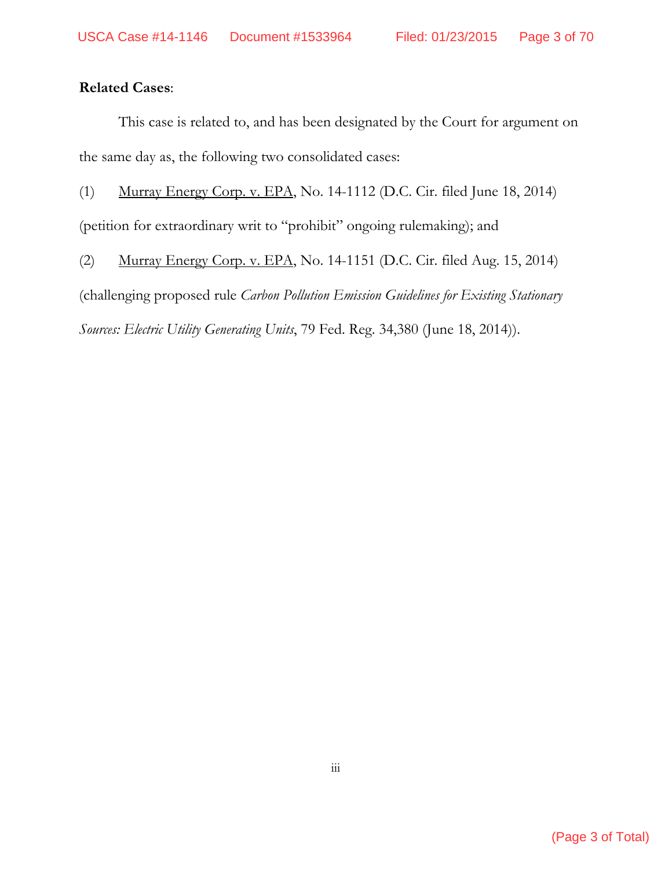## **Related Cases**:

This case is related to, and has been designated by the Court for argument on the same day as, the following two consolidated cases:

(1) Murray Energy Corp. v. EPA, No. 14-1112 (D.C. Cir. filed June 18, 2014)

(petition for extraordinary writ to "prohibit" ongoing rulemaking); and

(2) Murray Energy Corp. v. EPA, No. 14-1151 (D.C. Cir. filed Aug. 15, 2014)

(challenging proposed rule *Carbon Pollution Emission Guidelines for Existing Stationary* 

*Sources: Electric Utility Generating Units*, 79 Fed. Reg. 34,380 (June 18, 2014)).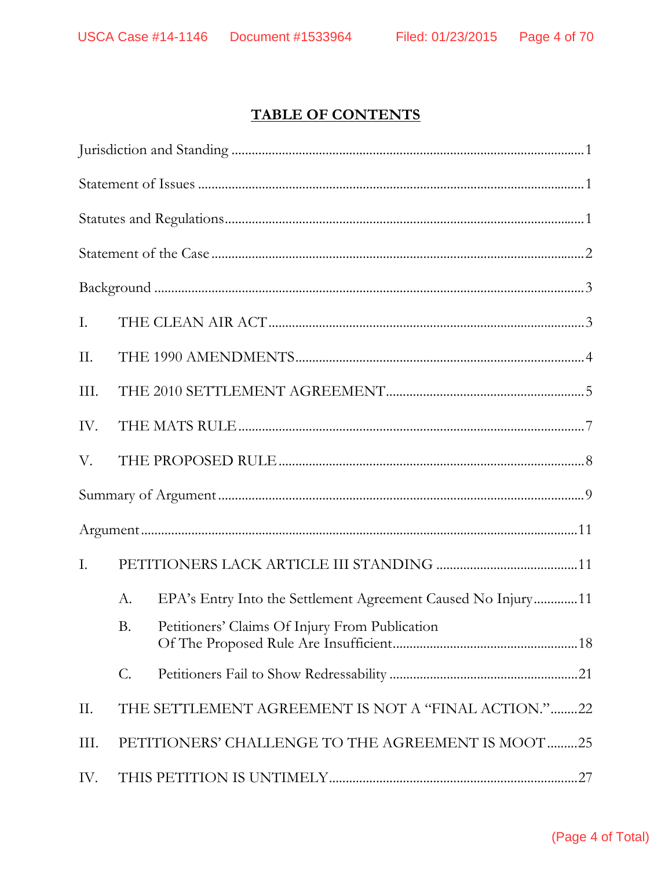# **TABLE OF CONTENTS**

| Ι.   |                 |                                                              |
|------|-----------------|--------------------------------------------------------------|
| II.  |                 |                                                              |
| III. |                 |                                                              |
| IV.  |                 |                                                              |
| V.   |                 |                                                              |
|      |                 |                                                              |
|      |                 |                                                              |
| I.   |                 |                                                              |
|      | А.              | EPA's Entry Into the Settlement Agreement Caused No Injury11 |
|      | <b>B.</b>       | Petitioners' Claims Of Injury From Publication               |
|      | $\mathcal{C}$ . |                                                              |
| II.  |                 | THE SETTLEMENT AGREEMENT IS NOT A "FINAL ACTION."22          |
| III. |                 | PETITIONERS' CHALLENGE TO THE AGREEMENT IS MOOT 25           |
| IV.  |                 |                                                              |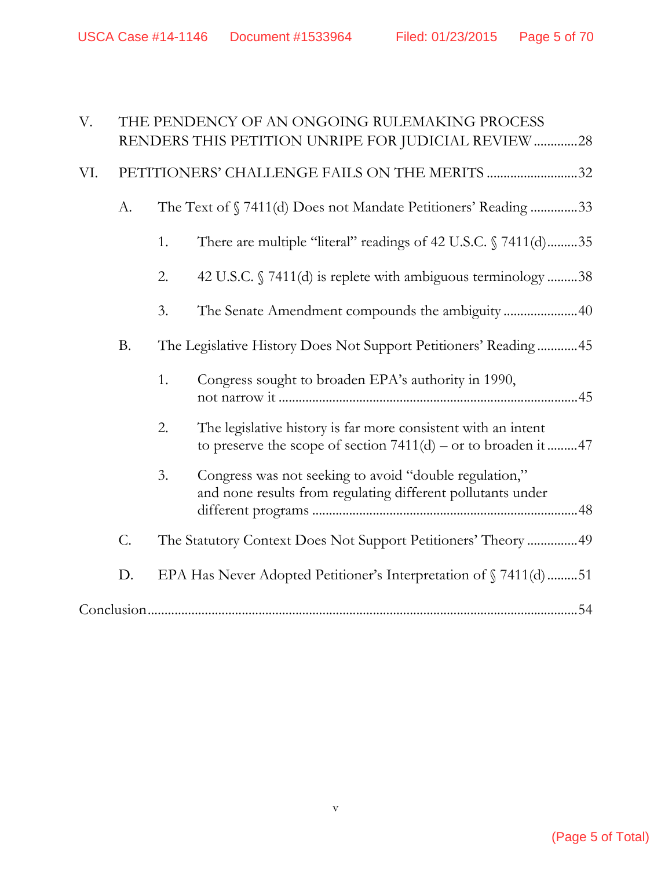USCA Case #14-1146 Document #1533964 Filed: 01/23/2015 Page 5 of 70

| V.  |                 |    | THE PENDENCY OF AN ONGOING RULEMAKING PROCESS<br>RENDERS THIS PETITION UNRIPE FOR JUDICIAL REVIEW 28                              |
|-----|-----------------|----|-----------------------------------------------------------------------------------------------------------------------------------|
| VI. |                 |    | PETITIONERS' CHALLENGE FAILS ON THE MERITS 32                                                                                     |
|     | A.              |    | The Text of §7411(d) Does not Mandate Petitioners' Reading 33                                                                     |
|     |                 | 1. | There are multiple "literal" readings of 42 U.S.C. § 7411(d)35                                                                    |
|     |                 | 2. | 42 U.S.C. § 7411(d) is replete with ambiguous terminology 38                                                                      |
|     |                 | 3. | The Senate Amendment compounds the ambiguity40                                                                                    |
|     | <b>B.</b>       |    | The Legislative History Does Not Support Petitioners' Reading 45                                                                  |
|     |                 | 1. | Congress sought to broaden EPA's authority in 1990,                                                                               |
|     |                 | 2. | The legislative history is far more consistent with an intent<br>to preserve the scope of section $7411(d)$ – or to broaden it 47 |
|     |                 | 3. | Congress was not seeking to avoid "double regulation,"<br>and none results from regulating different pollutants under             |
|     | $\mathcal{C}$ . |    | The Statutory Context Does Not Support Petitioners' Theory  49                                                                    |
|     | D.              |    | EPA Has Never Adopted Petitioner's Interpretation of §7411(d)51                                                                   |
|     |                 |    |                                                                                                                                   |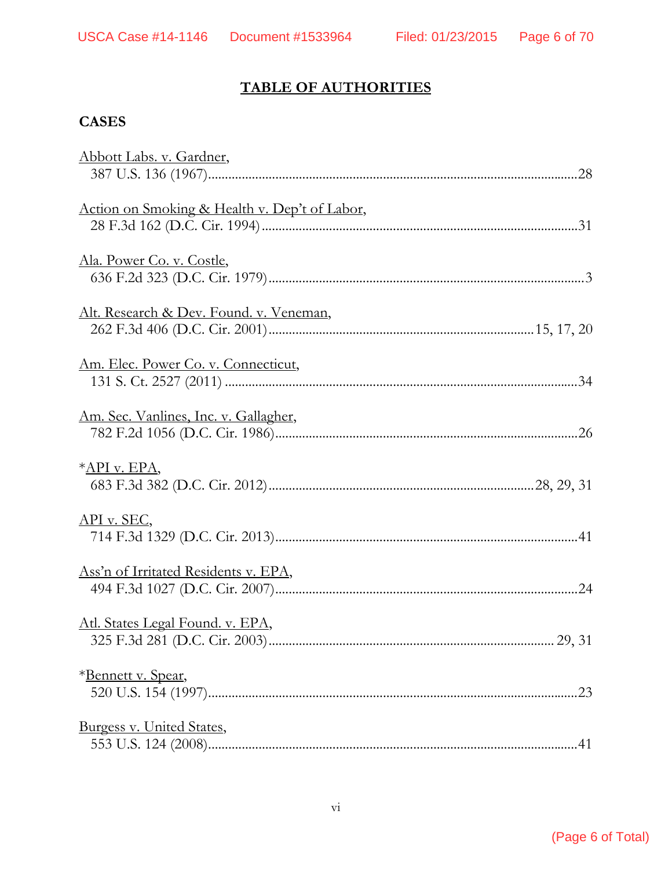# **TABLE OF AUTHORITIES**

## **CASES**

| Abbott Labs. v. Gardner,                      |        |
|-----------------------------------------------|--------|
|                                               |        |
| Action on Smoking & Health v. Dep't of Labor, |        |
|                                               |        |
| Ala. Power Co. v. Costle,                     |        |
|                                               |        |
| Alt. Research & Dev. Found. v. Veneman,       |        |
|                                               |        |
| Am. Elec. Power Co. v. Connecticut,           |        |
|                                               |        |
| Am. Sec. Vanlines, Inc. v. Gallagher,         |        |
|                                               |        |
| *API v. EPA,                                  |        |
|                                               |        |
| $API$ v. SEC,                                 |        |
|                                               |        |
| Ass'n of Irritated Residents v. EPA,          |        |
|                                               |        |
| Atl. States Legal Found. v. EPA,              |        |
|                                               | 29, 31 |
| *Bennett v. Spear,                            |        |
|                                               |        |
| Burgess v. United States,                     |        |
|                                               |        |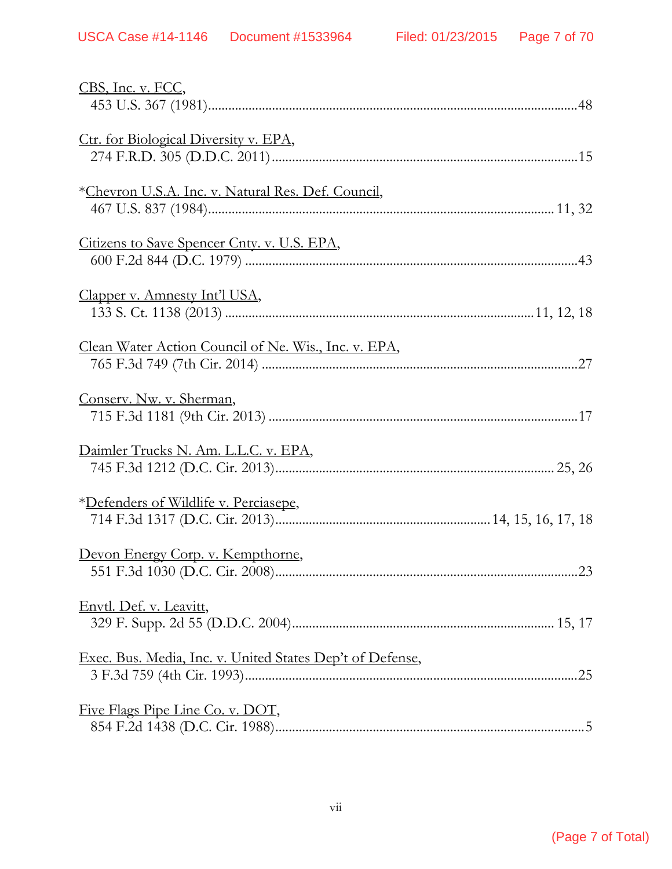| CBS, Inc. v. FCC,                                         |
|-----------------------------------------------------------|
| Ctr. for Biological Diversity v. EPA,                     |
| *Chevron U.S.A. Inc. v. Natural Res. Def. Council,        |
| Citizens to Save Spencer Cnty. v. U.S. EPA,               |
| Clapper v. Amnesty Int'l USA,                             |
| Clean Water Action Council of Ne. Wis., Inc. v. EPA,      |
| Conserv. Nw. v. Sherman,                                  |
| Daimler Trucks N. Am. L.L.C. v. EPA,                      |
| *Defenders of Wildlife v. Perciasepe,                     |
| Devon Energy Corp. v. Kempthorne,                         |
| Envtl. Def. v. Leavitt,                                   |
| Exec. Bus. Media, Inc. v. United States Dep't of Defense, |
| Five Flags Pipe Line Co. v. DOT,                          |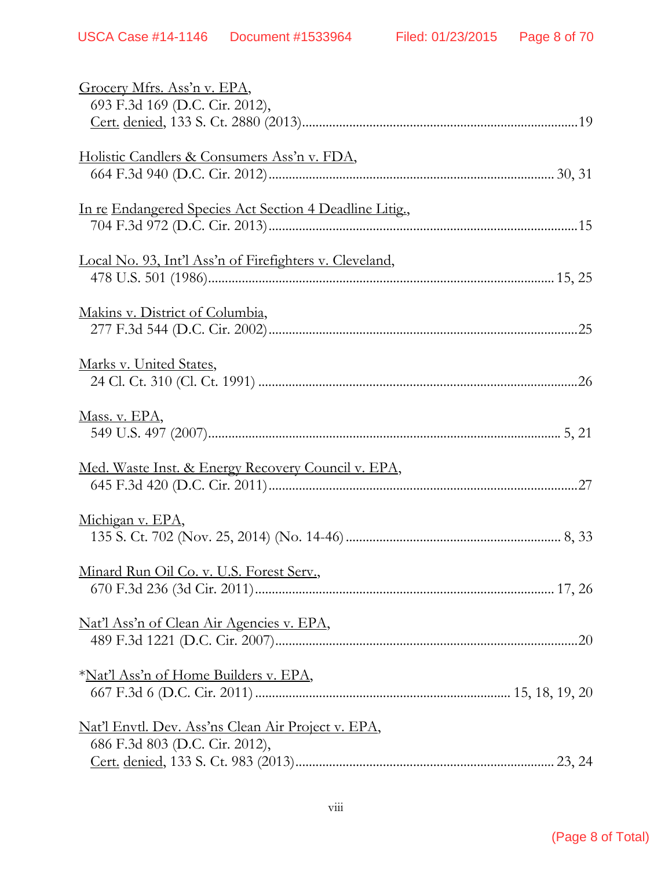| Grocery Mfrs. Ass'n v. EPA,                               |  |
|-----------------------------------------------------------|--|
| 693 F.3d 169 (D.C. Cir. 2012),                            |  |
|                                                           |  |
|                                                           |  |
| Holistic Candlers & Consumers Ass'n v. FDA,               |  |
|                                                           |  |
| In re Endangered Species Act Section 4 Deadline Litig.,   |  |
|                                                           |  |
|                                                           |  |
| Local No. 93, Int'l Ass'n of Firefighters v. Cleveland,   |  |
|                                                           |  |
| Makins v. District of Columbia,                           |  |
|                                                           |  |
|                                                           |  |
| Marks v. United States,                                   |  |
|                                                           |  |
| Mass. v. EPA,                                             |  |
|                                                           |  |
|                                                           |  |
| Med. Waste Inst. & Energy Recovery Council v. EPA,        |  |
|                                                           |  |
| Michigan v. EPA,                                          |  |
|                                                           |  |
|                                                           |  |
| Minard Run Oil Co. v. U.S. Forest Serv.,                  |  |
|                                                           |  |
| Nat'l Ass'n of Clean Air Agencies v. EPA,                 |  |
|                                                           |  |
|                                                           |  |
| * <u>Nat'l Ass'n of Home Builders v. EPA</u> ,            |  |
|                                                           |  |
| <u>Nat'l Envtl. Dev. Ass'ns Clean Air Project v. EPA,</u> |  |
| 686 F.3d 803 (D.C. Cir. 2012),                            |  |
|                                                           |  |
|                                                           |  |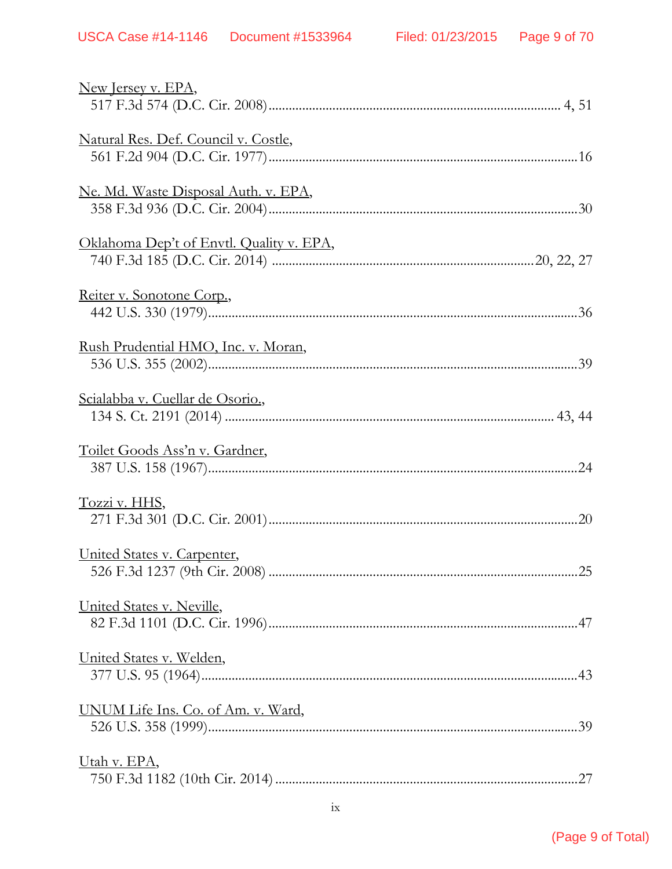| New Jersey v. EPA,                          |
|---------------------------------------------|
| Natural Res. Def. Council v. Costle,        |
| <u>Ne. Md. Waste Disposal Auth. v. EPA,</u> |
| Oklahoma Dep't of Envtl. Quality v. EPA,    |
| Reiter v. Sonotone Corp.,                   |
| Rush Prudential HMO, Inc. v. Moran,         |
| Scialabba v. Cuellar de Osorio.,            |
| Toilet Goods Ass'n v. Gardner,              |
| Tozzi v. HHS,                               |
| United States v. Carpenter,                 |
| <u>United States v. Neville,</u>            |
| United States v. Welden,                    |
| UNUM Life Ins. Co. of Am. v. Ward,          |
| <u>Utah v. EPA</u> ,                        |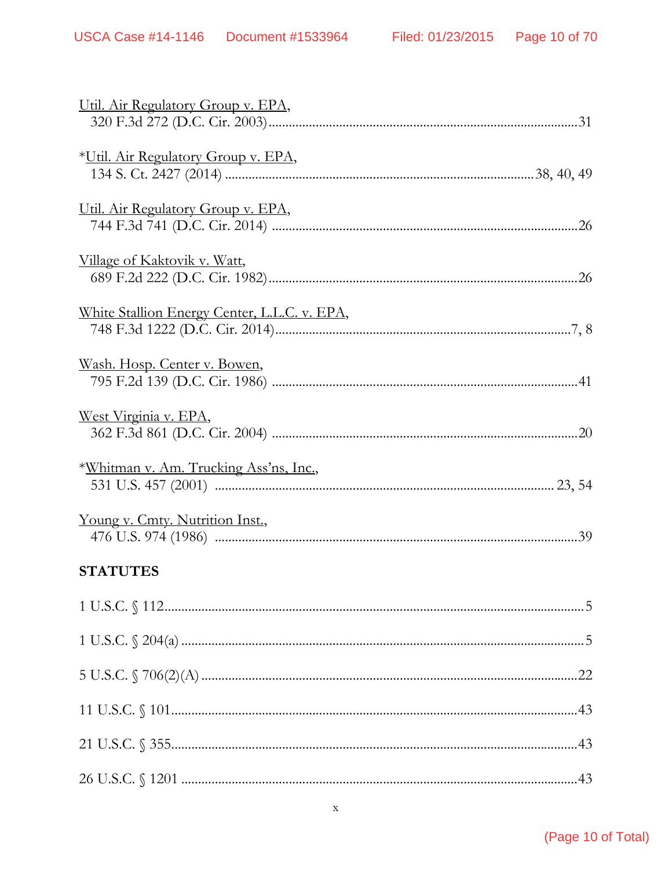| Util. Air Regulatory Group v. EPA,                                |
|-------------------------------------------------------------------|
| *Util. Air Regulatory Group v. EPA,                               |
| Util. Air Regulatory Group v. EPA,                                |
| <u>Village of Kaktovik v. Watt,</u>                               |
| White Stallion Energy Center, L.L.C. v. EPA,                      |
| <u>Wash. Hosp. Center v. Bowen,</u>                               |
| West Virginia v. EPA,                                             |
| *Whitman v. Am. Trucking Ass'ns, Inc.,                            |
| Young v. Cmty. Nutrition Inst.,                                   |
| <b>STATUTES</b>                                                   |
| $\begin{minipage}{.4\linewidth} 1 U.S.C. \S\ 112. \end{minipage}$ |
|                                                                   |
|                                                                   |
|                                                                   |
|                                                                   |
|                                                                   |

### (Page 10 of Total)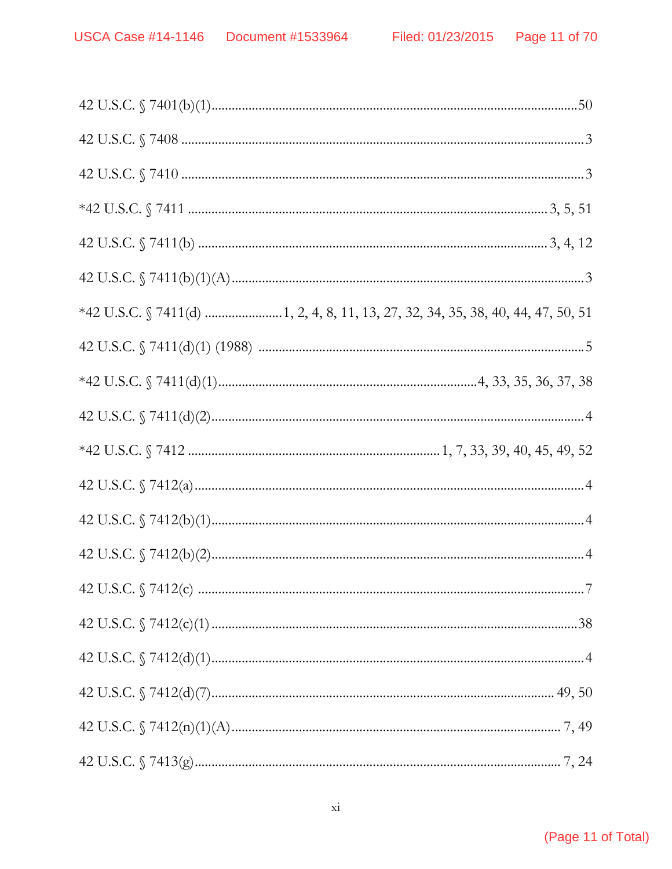| *42 U.S.C. § 7411(d) 1, 2, 4, 8, 11, 13, 27, 32, 34, 35, 38, 40, 44, 47, 50, 51 |
|---------------------------------------------------------------------------------|
|                                                                                 |
|                                                                                 |
|                                                                                 |
|                                                                                 |
|                                                                                 |
|                                                                                 |
|                                                                                 |
|                                                                                 |
|                                                                                 |
|                                                                                 |
|                                                                                 |
|                                                                                 |
|                                                                                 |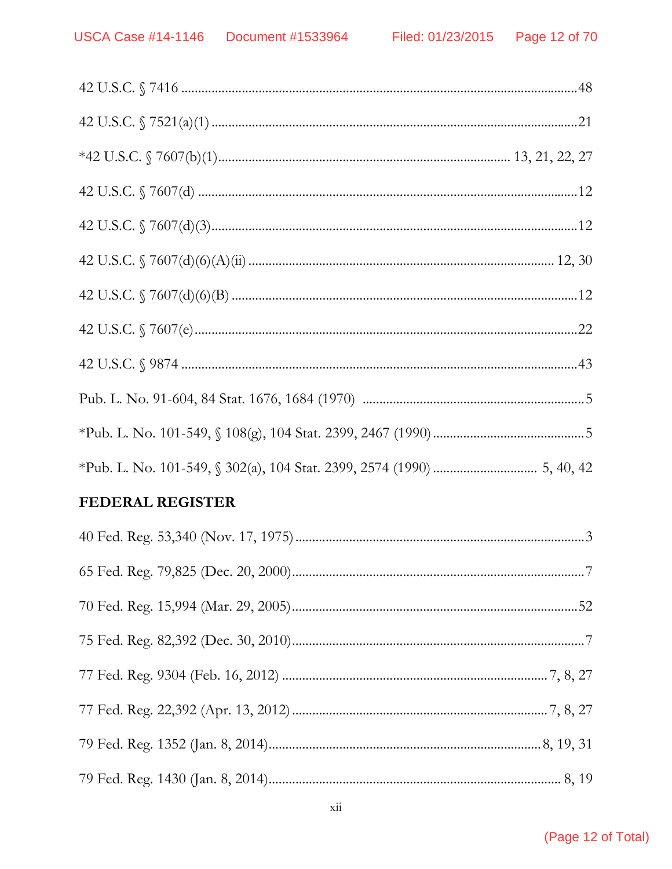## **FEDERAL REGISTER**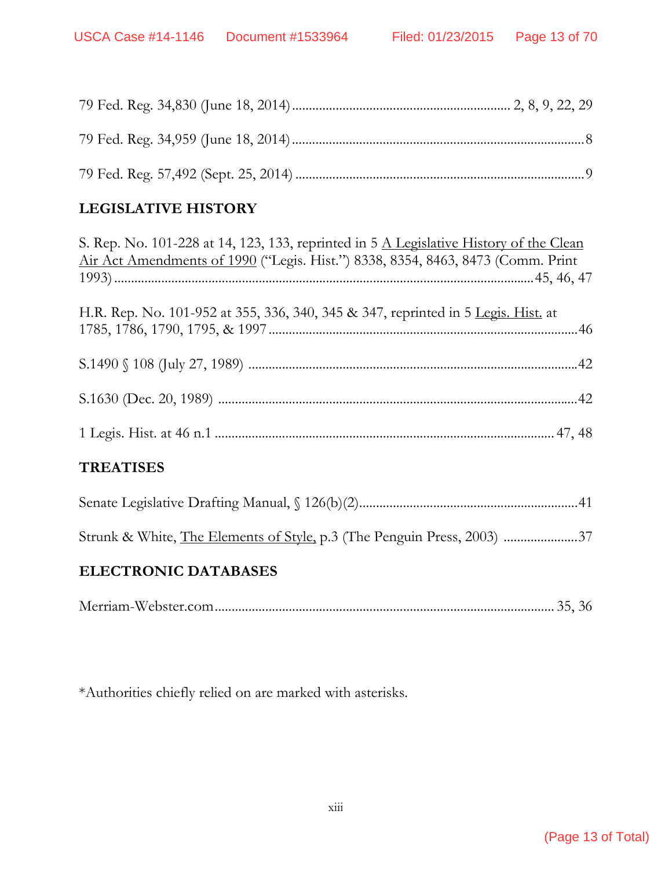# **LEGISLATIVE HISTORY**

| S. Rep. No. 101-228 at 14, 123, 133, reprinted in 5 A Legislative History of the Clean |
|----------------------------------------------------------------------------------------|
| Air Act Amendments of 1990 ("Legis. Hist.") 8338, 8354, 8463, 8473 (Comm. Print        |
|                                                                                        |
| H.R. Rep. No. 101-952 at 355, 336, 340, 345 & 347, reprinted in 5 Legis. Hist. at      |
|                                                                                        |
|                                                                                        |
|                                                                                        |
|                                                                                        |
| <b>TREATISES</b>                                                                       |
|                                                                                        |
| Strunk & White, The Elements of Style, p.3 (The Penguin Press, 2003) 37                |
| ELECTRONIC DATABACEC                                                                   |

## **ELECTRONIC DATABASES**

|--|--|--|--|

\*Authorities chiefly relied on are marked with asterisks.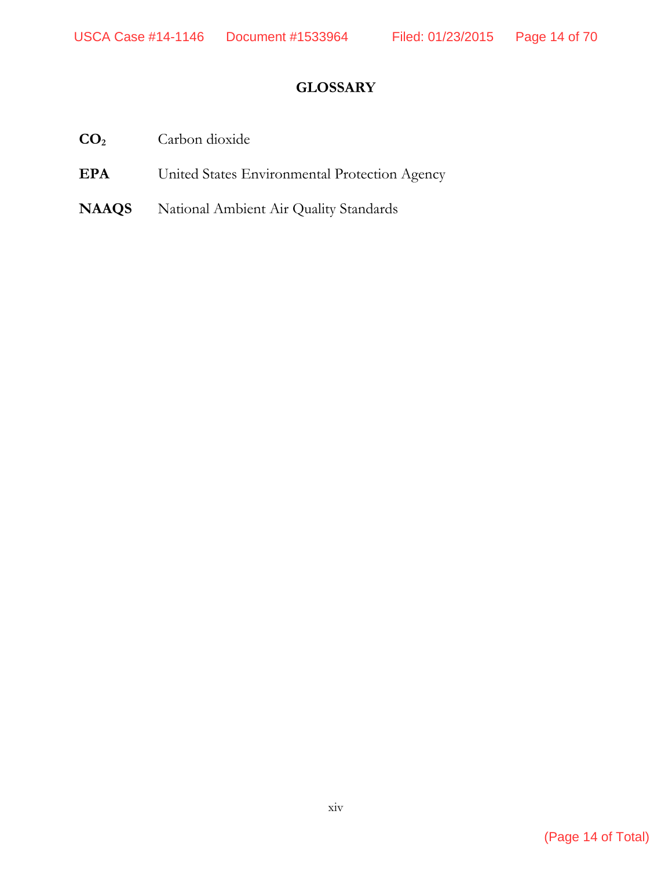## **GLOSSARY**

- **CO2** Carbon dioxide
- **EPA** United States Environmental Protection Agency
- **NAAQS** National Ambient Air Quality Standards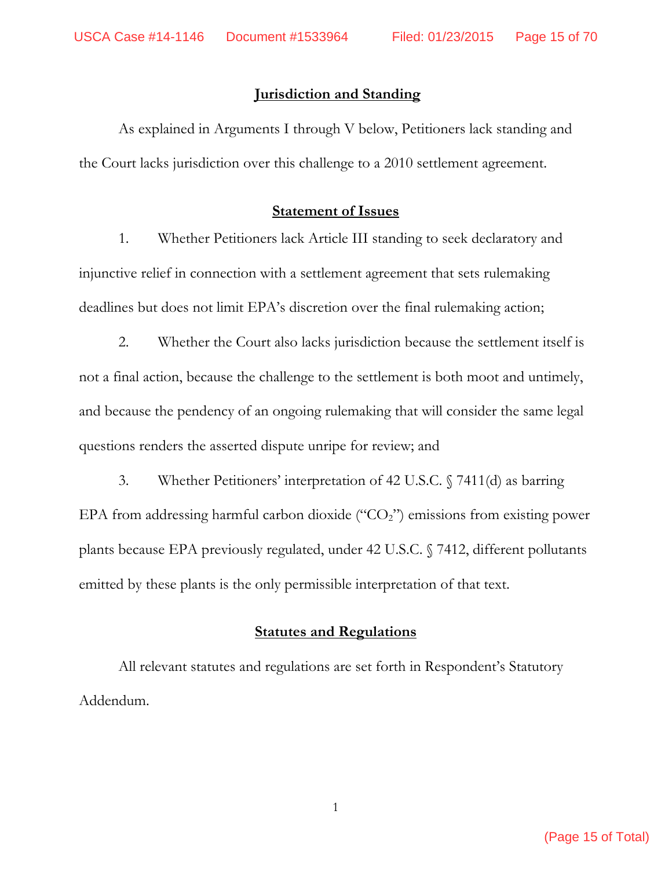### **Jurisdiction and Standing**

 As explained in Arguments I through V below, Petitioners lack standing and the Court lacks jurisdiction over this challenge to a 2010 settlement agreement.

### **Statement of Issues**

1. Whether Petitioners lack Article III standing to seek declaratory and injunctive relief in connection with a settlement agreement that sets rulemaking deadlines but does not limit EPA's discretion over the final rulemaking action;

2. Whether the Court also lacks jurisdiction because the settlement itself is not a final action, because the challenge to the settlement is both moot and untimely, and because the pendency of an ongoing rulemaking that will consider the same legal questions renders the asserted dispute unripe for review; and

3. Whether Petitioners' interpretation of 42 U.S.C. § 7411(d) as barring EPA from addressing harmful carbon dioxide ("CO<sub>2</sub>") emissions from existing power plants because EPA previously regulated, under 42 U.S.C. § 7412, different pollutants emitted by these plants is the only permissible interpretation of that text.

### **Statutes and Regulations**

 All relevant statutes and regulations are set forth in Respondent's Statutory Addendum.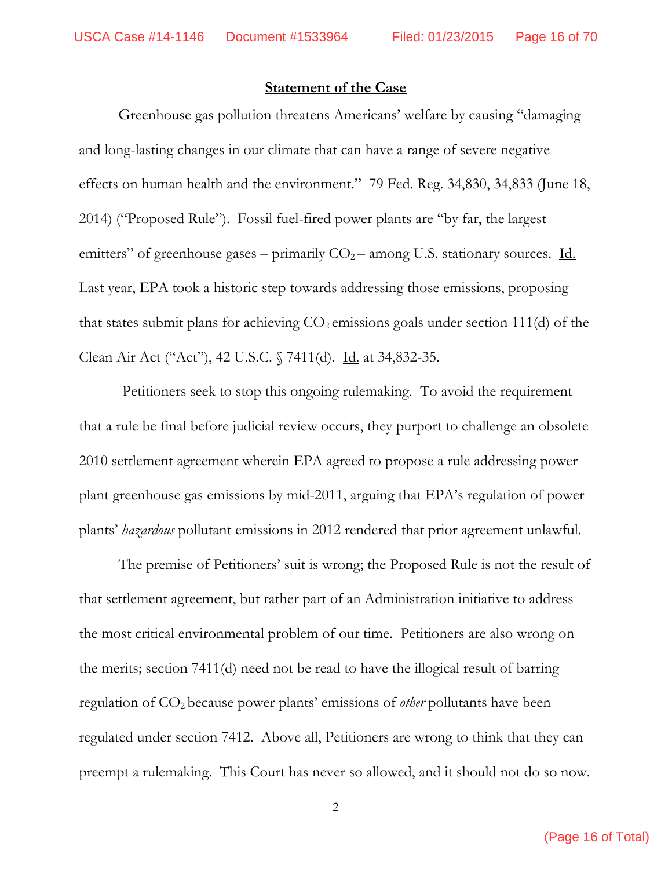#### **Statement of the Case**

Greenhouse gas pollution threatens Americans' welfare by causing "damaging and long-lasting changes in our climate that can have a range of severe negative effects on human health and the environment." 79 Fed. Reg. 34,830, 34,833 (June 18, 2014) ("Proposed Rule"). Fossil fuel-fired power plants are "by far, the largest emitters" of greenhouse gases – primarily  $CO<sub>2</sub>$  – among U.S. stationary sources. Id. Last year, EPA took a historic step towards addressing those emissions, proposing that states submit plans for achieving  $CO<sub>2</sub>$  emissions goals under section 111(d) of the Clean Air Act ("Act"), 42 U.S.C. § 7411(d). Id. at 34,832-35.

 Petitioners seek to stop this ongoing rulemaking. To avoid the requirement that a rule be final before judicial review occurs, they purport to challenge an obsolete 2010 settlement agreement wherein EPA agreed to propose a rule addressing power plant greenhouse gas emissions by mid-2011, arguing that EPA's regulation of power plants' *hazardous* pollutant emissions in 2012 rendered that prior agreement unlawful.

The premise of Petitioners' suit is wrong; the Proposed Rule is not the result of that settlement agreement, but rather part of an Administration initiative to address the most critical environmental problem of our time. Petitioners are also wrong on the merits; section 7411(d) need not be read to have the illogical result of barring regulation of CO2 because power plants' emissions of *other* pollutants have been regulated under section 7412. Above all, Petitioners are wrong to think that they can preempt a rulemaking. This Court has never so allowed, and it should not do so now.

(Page 16 of Total)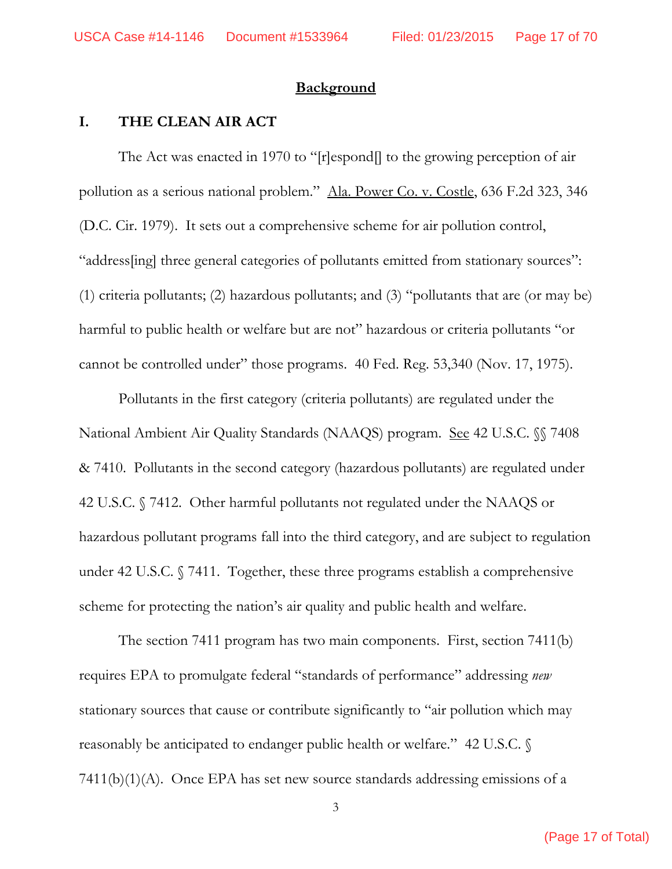#### **Background**

### **I. THE CLEAN AIR ACT**

The Act was enacted in 1970 to "[r]espond[] to the growing perception of air pollution as a serious national problem." Ala. Power Co. v. Costle, 636 F.2d 323, 346 (D.C. Cir. 1979). It sets out a comprehensive scheme for air pollution control, "address[ing] three general categories of pollutants emitted from stationary sources": (1) criteria pollutants; (2) hazardous pollutants; and (3) "pollutants that are (or may be) harmful to public health or welfare but are not" hazardous or criteria pollutants "or cannot be controlled under" those programs. 40 Fed. Reg. 53,340 (Nov. 17, 1975).

Pollutants in the first category (criteria pollutants) are regulated under the National Ambient Air Quality Standards (NAAQS) program. See 42 U.S.C. §§ 7408 & 7410. Pollutants in the second category (hazardous pollutants) are regulated under 42 U.S.C. § 7412. Other harmful pollutants not regulated under the NAAQS or hazardous pollutant programs fall into the third category, and are subject to regulation under 42 U.S.C. § 7411. Together, these three programs establish a comprehensive scheme for protecting the nation's air quality and public health and welfare.

The section 7411 program has two main components. First, section 7411(b) requires EPA to promulgate federal "standards of performance" addressing *new* stationary sources that cause or contribute significantly to "air pollution which may reasonably be anticipated to endanger public health or welfare." 42 U.S.C. § 7411(b)(1)(A). Once EPA has set new source standards addressing emissions of a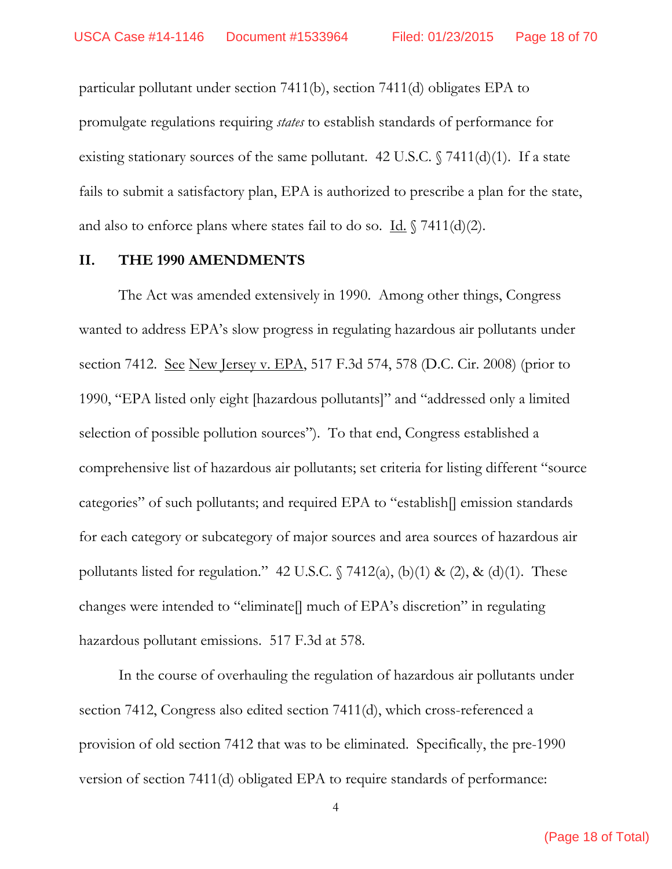particular pollutant under section 7411(b), section 7411(d) obligates EPA to promulgate regulations requiring *states* to establish standards of performance for existing stationary sources of the same pollutant. 42 U.S.C.  $\sqrt{7411(d)(1)}$ . If a state fails to submit a satisfactory plan, EPA is authorized to prescribe a plan for the state, and also to enforce plans where states fail to do so.  $\underline{Id.} \$  7411(d)(2).

#### **II. THE 1990 AMENDMENTS**

The Act was amended extensively in 1990. Among other things, Congress wanted to address EPA's slow progress in regulating hazardous air pollutants under section 7412. See New Jersey v. EPA, 517 F.3d 574, 578 (D.C. Cir. 2008) (prior to 1990, "EPA listed only eight [hazardous pollutants]" and "addressed only a limited selection of possible pollution sources"). To that end, Congress established a comprehensive list of hazardous air pollutants; set criteria for listing different "source categories" of such pollutants; and required EPA to "establish[] emission standards for each category or subcategory of major sources and area sources of hazardous air pollutants listed for regulation." 42 U.S.C.  $\sqrt{7412(a)}$ , (b)(1) & (2), & (d)(1). These changes were intended to "eliminate[] much of EPA's discretion" in regulating hazardous pollutant emissions. 517 F.3d at 578.

 In the course of overhauling the regulation of hazardous air pollutants under section 7412, Congress also edited section 7411(d), which cross-referenced a provision of old section 7412 that was to be eliminated. Specifically, the pre-1990 version of section 7411(d) obligated EPA to require standards of performance: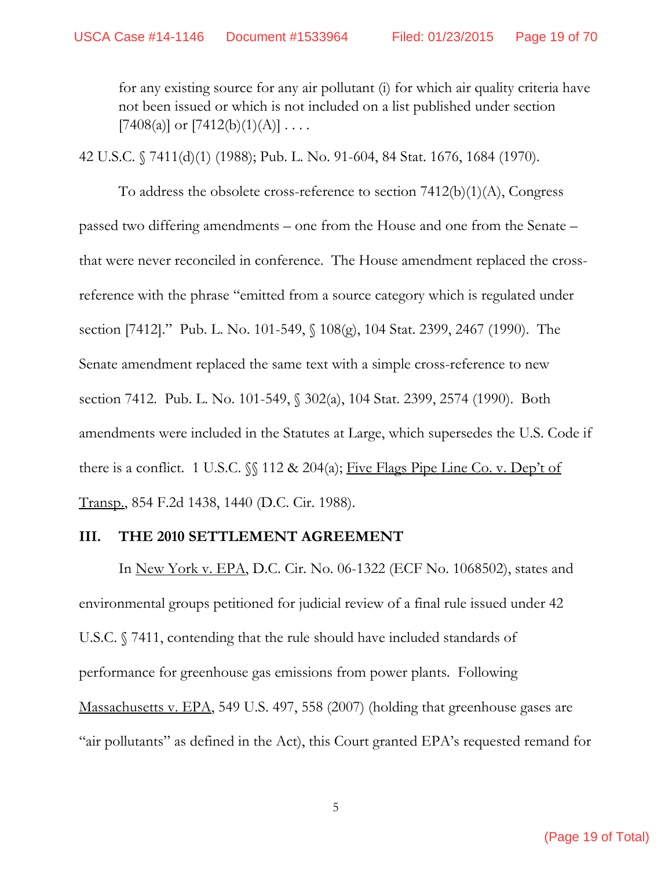for any existing source for any air pollutant (i) for which air quality criteria have not been issued or which is not included on a list published under section  $[7408(a)]$  or  $[7412(b)(1)(A)] \ldots$ .

42 U.S.C. § 7411(d)(1) (1988); Pub. L. No. 91-604, 84 Stat. 1676, 1684 (1970).

To address the obsolete cross-reference to section 7412(b)(1)(A), Congress passed two differing amendments – one from the House and one from the Senate – that were never reconciled in conference. The House amendment replaced the crossreference with the phrase "emitted from a source category which is regulated under section [7412]." Pub. L. No. 101-549, § 108(g), 104 Stat. 2399, 2467 (1990). The Senate amendment replaced the same text with a simple cross-reference to new section 7412. Pub. L. No. 101-549, § 302(a), 104 Stat. 2399, 2574 (1990). Both amendments were included in the Statutes at Large, which supersedes the U.S. Code if there is a conflict. 1 U.S.C.  $\sqrt{\ }$  112 & 204(a); Five Flags Pipe Line Co. v. Dep't of Transp., 854 F.2d 1438, 1440 (D.C. Cir. 1988).

## **III. THE 2010 SETTLEMENT AGREEMENT**

In New York v. EPA, D.C. Cir. No. 06-1322 (ECF No. 1068502), states and environmental groups petitioned for judicial review of a final rule issued under 42 U.S.C. § 7411, contending that the rule should have included standards of performance for greenhouse gas emissions from power plants. Following Massachusetts v. EPA, 549 U.S. 497, 558 (2007) (holding that greenhouse gases are "air pollutants" as defined in the Act), this Court granted EPA's requested remand for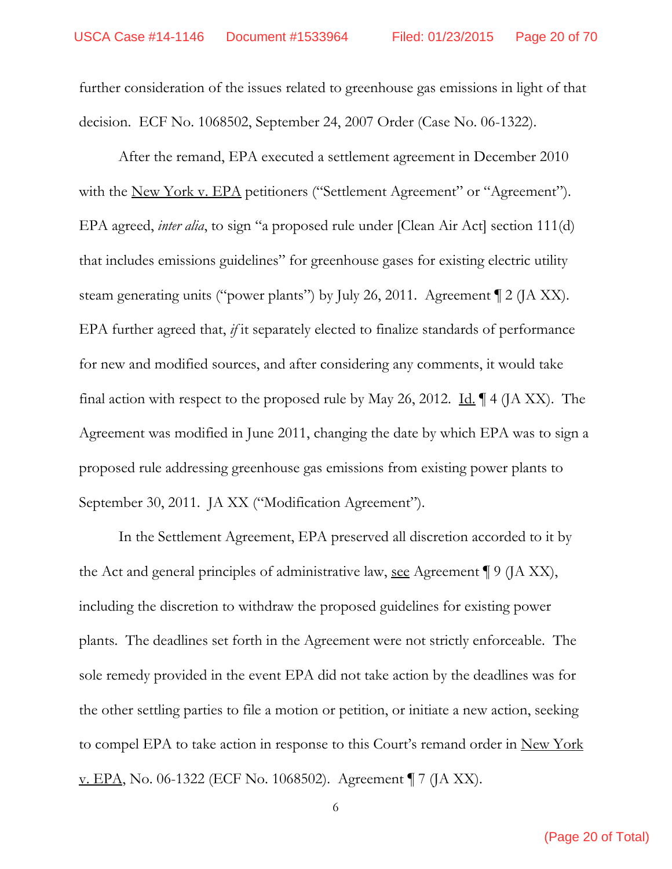further consideration of the issues related to greenhouse gas emissions in light of that decision. ECF No. 1068502, September 24, 2007 Order (Case No. 06-1322).

After the remand, EPA executed a settlement agreement in December 2010 with the <u>New York v. EPA</u> petitioners ("Settlement Agreement" or "Agreement"). EPA agreed, *inter alia*, to sign "a proposed rule under [Clean Air Act] section 111(d) that includes emissions guidelines" for greenhouse gases for existing electric utility steam generating units ("power plants") by July 26, 2011. Agreement ¶ 2 (JA XX). EPA further agreed that, *if* it separately elected to finalize standards of performance for new and modified sources, and after considering any comments, it would take final action with respect to the proposed rule by May 26, 2012. Id.  $\P$  4 (JA XX). The Agreement was modified in June 2011, changing the date by which EPA was to sign a proposed rule addressing greenhouse gas emissions from existing power plants to September 30, 2011. JA XX ("Modification Agreement").

In the Settlement Agreement, EPA preserved all discretion accorded to it by the Act and general principles of administrative law, <u>see</u> Agreement  $\P$  9 (JA XX), including the discretion to withdraw the proposed guidelines for existing power plants. The deadlines set forth in the Agreement were not strictly enforceable. The sole remedy provided in the event EPA did not take action by the deadlines was for the other settling parties to file a motion or petition, or initiate a new action, seeking to compel EPA to take action in response to this Court's remand order in New York v. EPA, No. 06-1322 (ECF No. 1068502). Agreement ¶ 7 (JA XX).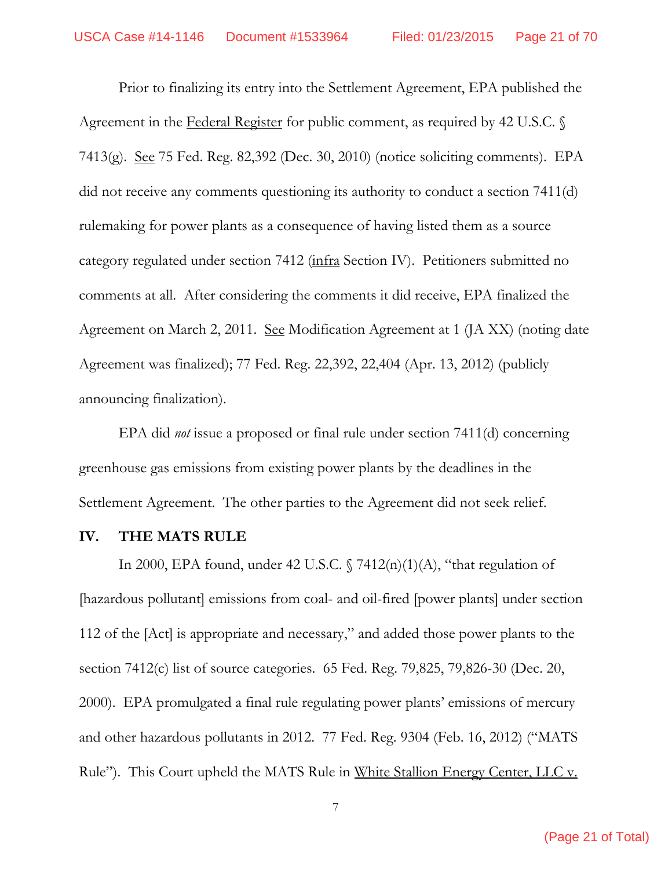Prior to finalizing its entry into the Settlement Agreement, EPA published the Agreement in the Federal Register for public comment, as required by 42 U.S.C.  $\Diamond$ 7413(g). <u>See</u> 75 Fed. Reg. 82,392 (Dec. 30, 2010) (notice soliciting comments). EPA did not receive any comments questioning its authority to conduct a section 7411(d) rulemaking for power plants as a consequence of having listed them as a source category regulated under section 7412 (infra Section IV). Petitioners submitted no comments at all. After considering the comments it did receive, EPA finalized the Agreement on March 2, 2011. See Modification Agreement at 1 (JA XX) (noting date Agreement was finalized); 77 Fed. Reg. 22,392, 22,404 (Apr. 13, 2012) (publicly announcing finalization).

EPA did *not* issue a proposed or final rule under section 7411(d) concerning greenhouse gas emissions from existing power plants by the deadlines in the Settlement Agreement. The other parties to the Agreement did not seek relief.

#### **IV. THE MATS RULE**

In 2000, EPA found, under 42 U.S.C.  $\sqrt{7412(n)(1)(A)}$ , "that regulation of [hazardous pollutant] emissions from coal- and oil-fired [power plants] under section 112 of the [Act] is appropriate and necessary," and added those power plants to the section 7412(c) list of source categories. 65 Fed. Reg. 79,825, 79,826-30 (Dec. 20, 2000). EPA promulgated a final rule regulating power plants' emissions of mercury and other hazardous pollutants in 2012. 77 Fed. Reg. 9304 (Feb. 16, 2012) ("MATS Rule"). This Court upheld the MATS Rule in White Stallion Energy Center, LLC v.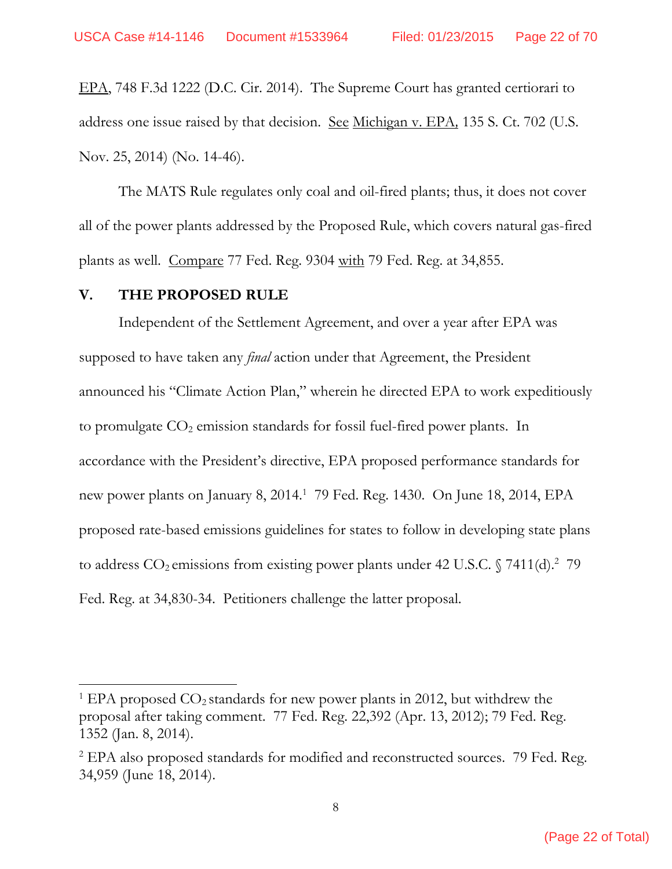EPA, 748 F.3d 1222 (D.C. Cir. 2014). The Supreme Court has granted certiorari to address one issue raised by that decision. See Michigan v. EPA*,* 135 S. Ct. 702 (U.S. Nov. 25, 2014) (No. 14-46).

The MATS Rule regulates only coal and oil-fired plants; thus, it does not cover all of the power plants addressed by the Proposed Rule, which covers natural gas-fired plants as well. Compare 77 Fed. Reg. 9304 with 79 Fed. Reg. at 34,855.

#### **V. THE PROPOSED RULE**

Independent of the Settlement Agreement, and over a year after EPA was supposed to have taken any *final* action under that Agreement, the President announced his "Climate Action Plan," wherein he directed EPA to work expeditiously to promulgate  $CO<sub>2</sub>$  emission standards for fossil fuel-fired power plants. In accordance with the President's directive, EPA proposed performance standards for new power plants on January 8, 2014.1 79 Fed. Reg. 1430. On June 18, 2014, EPA proposed rate-based emissions guidelines for states to follow in developing state plans to address  $CO_2$  emissions from existing power plants under 42 U.S.C. § 7411(d).<sup>2</sup> 79 Fed. Reg. at 34,830-34. Petitioners challenge the latter proposal.

 $1$  EPA proposed  $CO_2$  standards for new power plants in 2012, but withdrew the proposal after taking comment. 77 Fed. Reg. 22,392 (Apr. 13, 2012); 79 Fed. Reg. 1352 (Jan. 8, 2014).

<sup>&</sup>lt;sup>2</sup> EPA also proposed standards for modified and reconstructed sources. 79 Fed. Reg. 34,959 (June 18, 2014).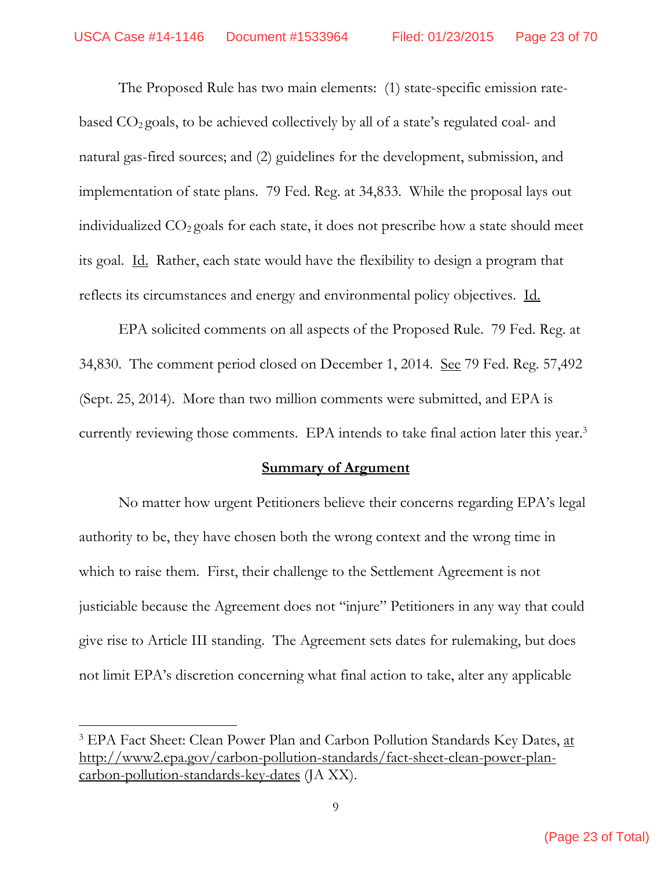The Proposed Rule has two main elements: (1) state-specific emission ratebased  $CO<sub>2</sub>$  goals, to be achieved collectively by all of a state's regulated coal- and natural gas-fired sources; and (2) guidelines for the development, submission, and implementation of state plans. 79 Fed. Reg. at 34,833. While the proposal lays out individualized  $CO<sub>2</sub>$  goals for each state, it does not prescribe how a state should meet its goal. Id. Rather, each state would have the flexibility to design a program that reflects its circumstances and energy and environmental policy objectives. Id.

EPA solicited comments on all aspects of the Proposed Rule. 79 Fed. Reg. at 34,830. The comment period closed on December 1, 2014. <u>See</u> 79 Fed. Reg. 57,492 (Sept. 25, 2014). More than two million comments were submitted, and EPA is currently reviewing those comments. EPA intends to take final action later this year.<sup>3</sup>

### **Summary of Argument**

 No matter how urgent Petitioners believe their concerns regarding EPA's legal authority to be, they have chosen both the wrong context and the wrong time in which to raise them. First, their challenge to the Settlement Agreement is not justiciable because the Agreement does not "injure" Petitioners in any way that could give rise to Article III standing. The Agreement sets dates for rulemaking, but does not limit EPA's discretion concerning what final action to take, alter any applicable

<sup>&</sup>lt;sup>3</sup> EPA Fact Sheet: Clean Power Plan and Carbon Pollution Standards Key Dates, at http://www2.epa.gov/carbon-pollution-standards/fact-sheet-clean-power-plancarbon-pollution-standards-key-dates (JA XX).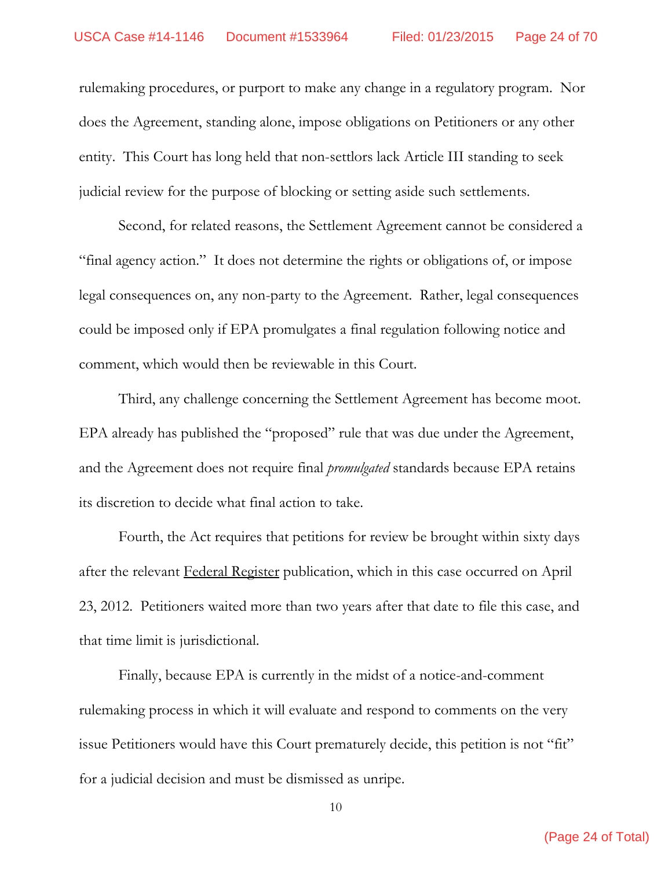rulemaking procedures, or purport to make any change in a regulatory program. Nor does the Agreement, standing alone, impose obligations on Petitioners or any other entity. This Court has long held that non-settlors lack Article III standing to seek judicial review for the purpose of blocking or setting aside such settlements.

Second, for related reasons, the Settlement Agreement cannot be considered a "final agency action." It does not determine the rights or obligations of, or impose legal consequences on, any non-party to the Agreement. Rather, legal consequences could be imposed only if EPA promulgates a final regulation following notice and comment, which would then be reviewable in this Court.

Third, any challenge concerning the Settlement Agreement has become moot. EPA already has published the "proposed" rule that was due under the Agreement, and the Agreement does not require final *promulgated* standards because EPA retains its discretion to decide what final action to take.

Fourth, the Act requires that petitions for review be brought within sixty days after the relevant Federal Register publication, which in this case occurred on April 23, 2012. Petitioners waited more than two years after that date to file this case, and that time limit is jurisdictional.

Finally, because EPA is currently in the midst of a notice-and-comment rulemaking process in which it will evaluate and respond to comments on the very issue Petitioners would have this Court prematurely decide, this petition is not "fit" for a judicial decision and must be dismissed as unripe.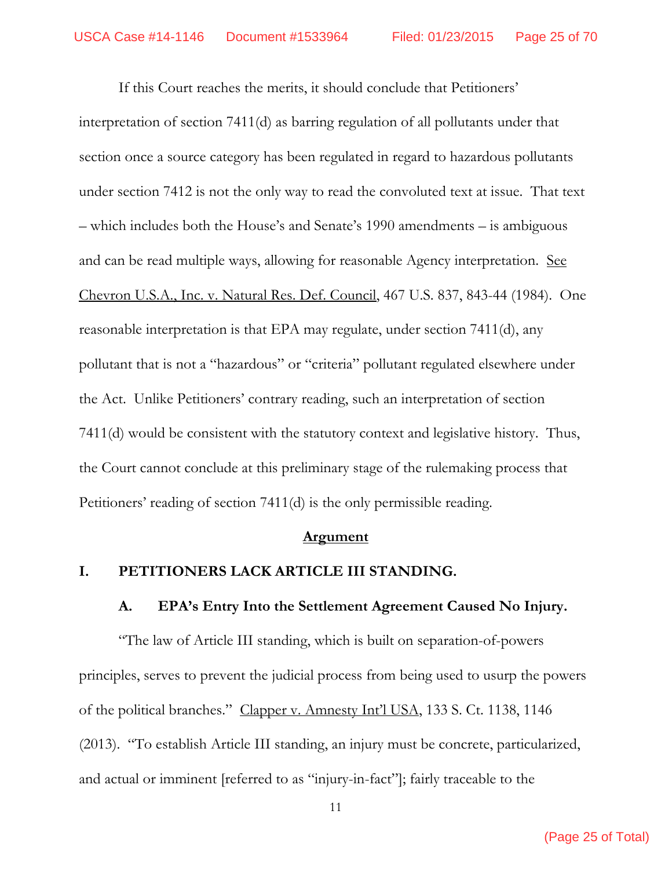If this Court reaches the merits, it should conclude that Petitioners' interpretation of section 7411(d) as barring regulation of all pollutants under that section once a source category has been regulated in regard to hazardous pollutants under section 7412 is not the only way to read the convoluted text at issue. That text – which includes both the House's and Senate's 1990 amendments – is ambiguous and can be read multiple ways, allowing for reasonable Agency interpretation. See Chevron U.S.A., Inc. v. Natural Res. Def. Council, 467 U.S. 837, 843-44 (1984). One reasonable interpretation is that EPA may regulate, under section 7411(d), any pollutant that is not a "hazardous" or "criteria" pollutant regulated elsewhere under the Act. Unlike Petitioners' contrary reading, such an interpretation of section 7411(d) would be consistent with the statutory context and legislative history. Thus, the Court cannot conclude at this preliminary stage of the rulemaking process that Petitioners' reading of section 7411(d) is the only permissible reading.

#### **Argument**

### **I. PETITIONERS LACK ARTICLE III STANDING.**

### **A. EPA's Entry Into the Settlement Agreement Caused No Injury.**

"The law of Article III standing, which is built on separation-of-powers principles, serves to prevent the judicial process from being used to usurp the powers of the political branches." Clapper v. Amnesty Int'l USA, 133 S. Ct. 1138, 1146 (2013). "To establish Article III standing, an injury must be concrete, particularized, and actual or imminent [referred to as "injury-in-fact"]; fairly traceable to the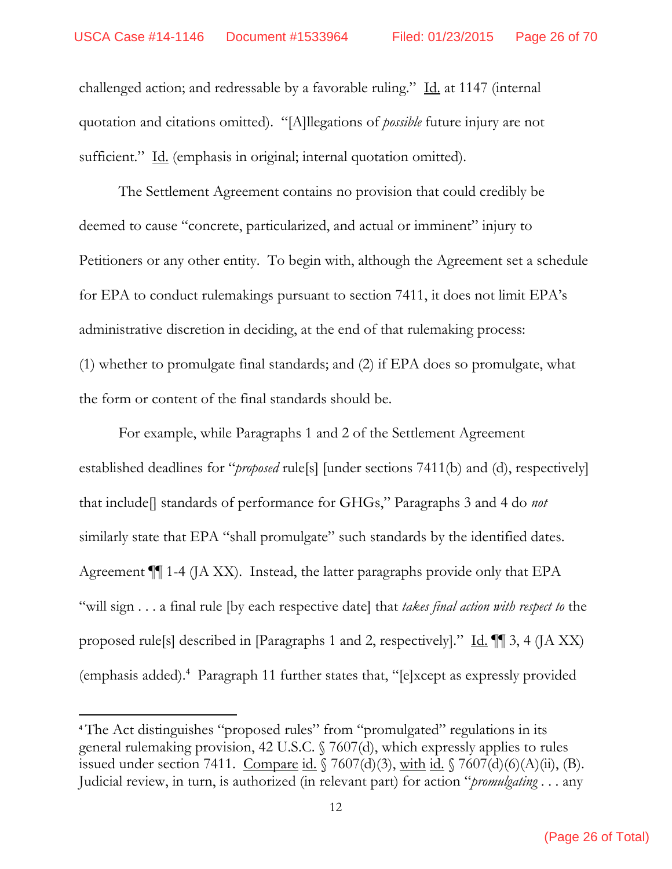challenged action; and redressable by a favorable ruling." Id. at 1147 (internal quotation and citations omitted). "[A]llegations of *possible* future injury are not sufficient." Id. (emphasis in original; internal quotation omitted).

The Settlement Agreement contains no provision that could credibly be deemed to cause "concrete, particularized, and actual or imminent" injury to Petitioners or any other entity. To begin with, although the Agreement set a schedule for EPA to conduct rulemakings pursuant to section 7411, it does not limit EPA's administrative discretion in deciding, at the end of that rulemaking process: (1) whether to promulgate final standards; and (2) if EPA does so promulgate, what the form or content of the final standards should be.

For example, while Paragraphs 1 and 2 of the Settlement Agreement established deadlines for "*proposed* rule[s] [under sections 7411(b) and (d), respectively] that include[] standards of performance for GHGs," Paragraphs 3 and 4 do *not* similarly state that EPA "shall promulgate" such standards by the identified dates. Agreement ¶¶ 1-4 (JA XX). Instead, the latter paragraphs provide only that EPA "will sign . . . a final rule [by each respective date] that *takes final action with respect to* the proposed rule<sup>[5]</sup> described in [Paragraphs 1 and 2, respectively]." <u>Id.</u>  $\P$  3, 4 (JA XX) (emphasis added).4 Paragraph 11 further states that, "[e]xcept as expressly provided

<sup>4</sup> The Act distinguishes "proposed rules" from "promulgated" regulations in its general rulemaking provision, 42 U.S.C. § 7607(d), which expressly applies to rules issued under section 7411. Compare id.  $\sqrt{7607(d)(3)}$ , with id.  $\sqrt{7607(d)(6)(A)(ii)}$ , (B). Judicial review, in turn, is authorized (in relevant part) for action "*promulgating* . . . any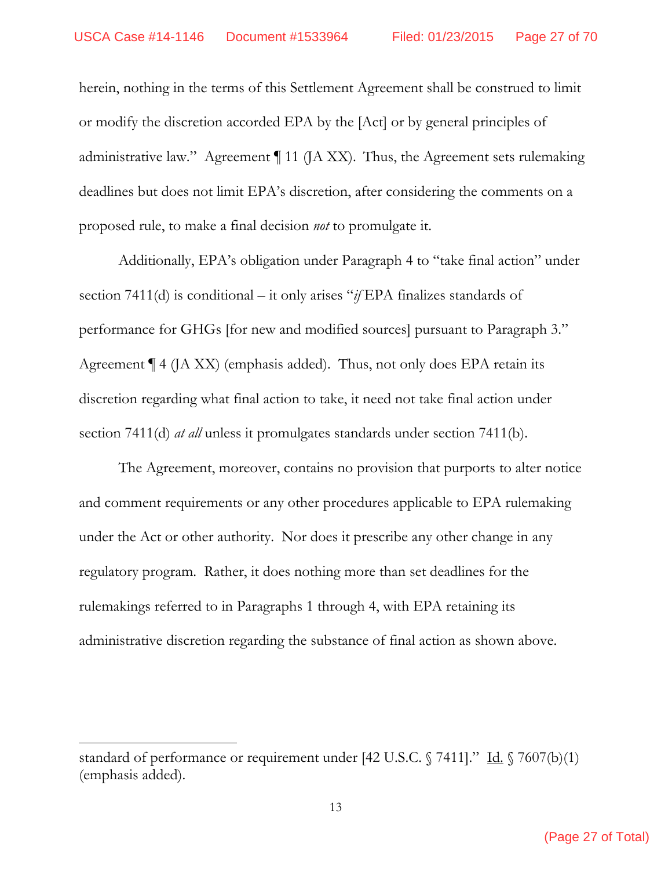herein, nothing in the terms of this Settlement Agreement shall be construed to limit or modify the discretion accorded EPA by the [Act] or by general principles of administrative law." Agreement ¶ 11 (JA XX). Thus, the Agreement sets rulemaking deadlines but does not limit EPA's discretion, after considering the comments on a proposed rule, to make a final decision *not* to promulgate it.

 Additionally, EPA's obligation under Paragraph 4 to "take final action" under section 7411(d) is conditional – it only arises "*if* EPA finalizes standards of performance for GHGs [for new and modified sources] pursuant to Paragraph 3." Agreement  $\P$  4 (JA XX) (emphasis added). Thus, not only does EPA retain its discretion regarding what final action to take, it need not take final action under section 7411(d) *at all* unless it promulgates standards under section 7411(b).

 The Agreement, moreover, contains no provision that purports to alter notice and comment requirements or any other procedures applicable to EPA rulemaking under the Act or other authority. Nor does it prescribe any other change in any regulatory program. Rather, it does nothing more than set deadlines for the rulemakings referred to in Paragraphs 1 through 4, with EPA retaining its administrative discretion regarding the substance of final action as shown above.

standard of performance or requirement under [42 U.S.C.  $\sqrt{7411}$ ." Id.  $\sqrt{7607(b)(1)}$ (emphasis added).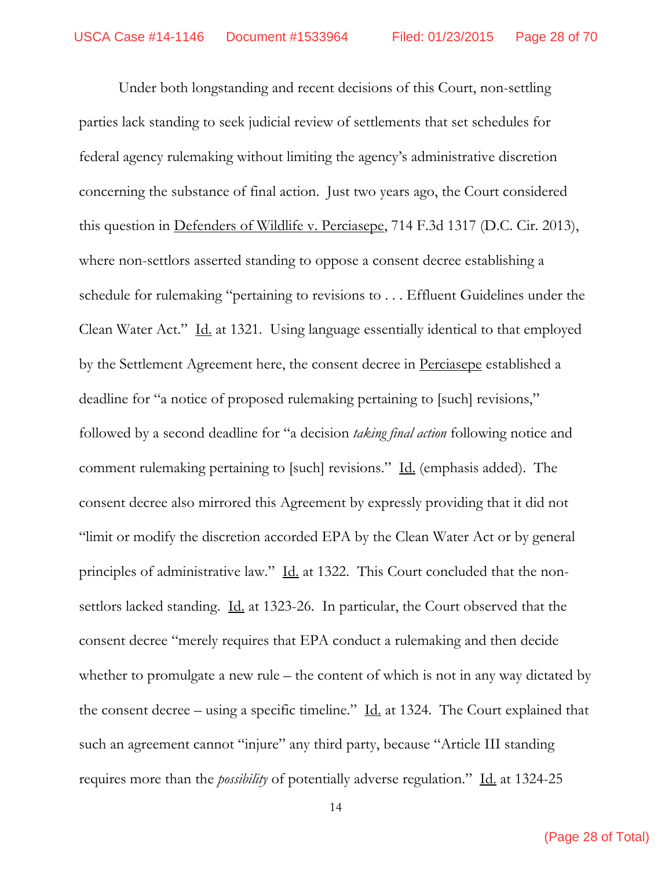Under both longstanding and recent decisions of this Court, non-settling parties lack standing to seek judicial review of settlements that set schedules for federal agency rulemaking without limiting the agency's administrative discretion concerning the substance of final action. Just two years ago, the Court considered this question in <u>Defenders of Wildlife v. Perciasepe</u>, 714 F.3d 1317 (D.C. Cir. 2013), where non-settlors asserted standing to oppose a consent decree establishing a schedule for rulemaking "pertaining to revisions to . . . Effluent Guidelines under the Clean Water Act." Id. at 1321. Using language essentially identical to that employed by the Settlement Agreement here, the consent decree in Perciasepe established a deadline for "a notice of proposed rulemaking pertaining to [such] revisions," followed by a second deadline for "a decision *taking final action* following notice and comment rulemaking pertaining to [such] revisions." Id. (emphasis added). The consent decree also mirrored this Agreement by expressly providing that it did not "limit or modify the discretion accorded EPA by the Clean Water Act or by general principles of administrative law." Id. at 1322. This Court concluded that the nonsettlors lacked standing. Id. at 1323-26. In particular, the Court observed that the consent decree "merely requires that EPA conduct a rulemaking and then decide whether to promulgate a new rule – the content of which is not in any way dictated by the consent decree – using a specific timeline."  $\underline{Id}$  at 1324. The Court explained that such an agreement cannot "injure" any third party, because "Article III standing requires more than the *possibility* of potentially adverse regulation." Id. at 1324-25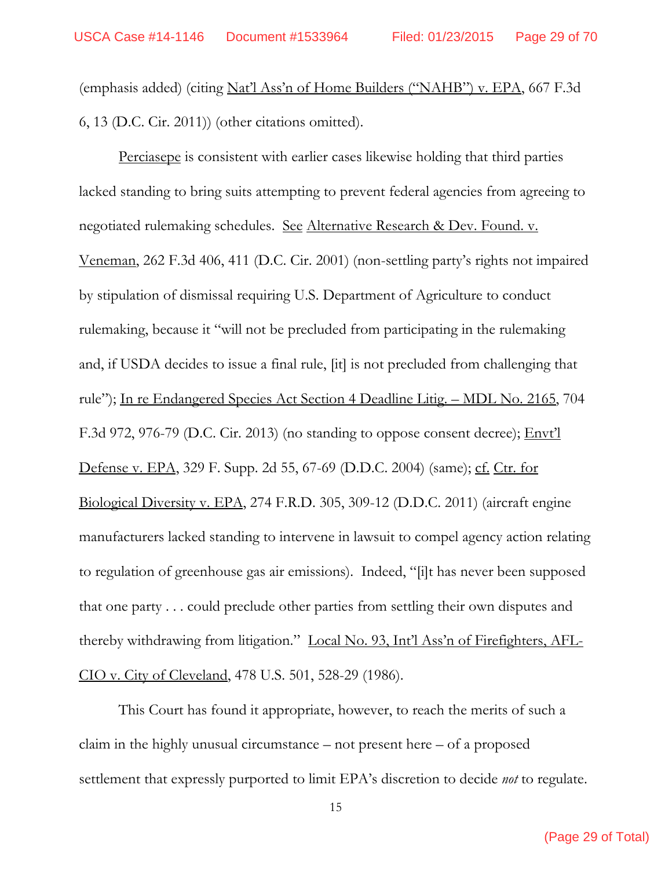(emphasis added) (citing Nat'l Ass'n of Home Builders ("NAHB") v. EPA, 667 F.3d 6, 13 (D.C. Cir. 2011)) (other citations omitted).

Perciasepe is consistent with earlier cases likewise holding that third parties lacked standing to bring suits attempting to prevent federal agencies from agreeing to negotiated rulemaking schedules. See Alternative Research & Dev. Found. v. Veneman, 262 F.3d 406, 411 (D.C. Cir. 2001) (non-settling party's rights not impaired by stipulation of dismissal requiring U.S. Department of Agriculture to conduct rulemaking, because it "will not be precluded from participating in the rulemaking and, if USDA decides to issue a final rule, [it] is not precluded from challenging that rule"); In re Endangered Species Act Section 4 Deadline Litig. – MDL No. 2165, 704 F.3d 972, 976-79 (D.C. Cir. 2013) (no standing to oppose consent decree); **Envt'l** Defense v. EPA, 329 F. Supp. 2d 55, 67-69 (D.D.C. 2004) (same); cf. Ctr. for Biological Diversity v. EPA, 274 F.R.D. 305, 309-12 (D.D.C. 2011) (aircraft engine manufacturers lacked standing to intervene in lawsuit to compel agency action relating to regulation of greenhouse gas air emissions). Indeed, "[i]t has never been supposed that one party . . . could preclude other parties from settling their own disputes and thereby withdrawing from litigation." Local No. 93, Int'l Ass'n of Firefighters, AFL-CIO v. City of Cleveland, 478 U.S. 501, 528-29 (1986).

This Court has found it appropriate, however, to reach the merits of such a claim in the highly unusual circumstance – not present here – of a proposed settlement that expressly purported to limit EPA's discretion to decide *not* to regulate.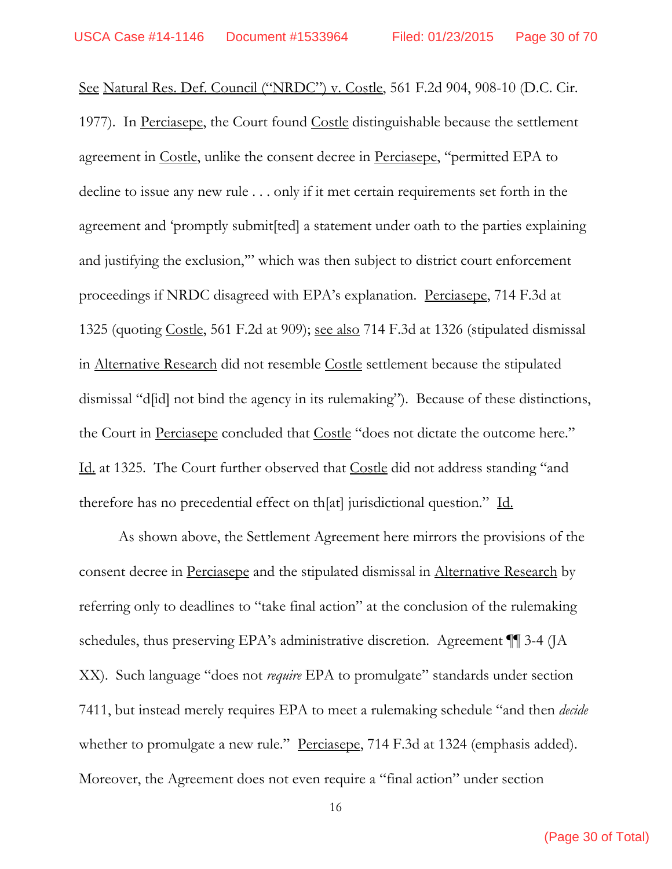See Natural Res. Def. Council ("NRDC") v. Costle, 561 F.2d 904, 908-10 (D.C. Cir. 1977). In Perciasepe, the Court found Costle distinguishable because the settlement agreement in Costle, unlike the consent decree in Perciasepe, "permitted EPA to decline to issue any new rule . . . only if it met certain requirements set forth in the agreement and 'promptly submit[ted] a statement under oath to the parties explaining and justifying the exclusion,'" which was then subject to district court enforcement proceedings if NRDC disagreed with EPA's explanation. Perciasepe, 714 F.3d at 1325 (quoting Costle, 561 F.2d at 909); see also 714 F.3d at 1326 (stipulated dismissal in Alternative Research did not resemble Costle settlement because the stipulated dismissal "d[id] not bind the agency in its rulemaking"). Because of these distinctions, the Court in Perciasepe concluded that Costle "does not dictate the outcome here." Id. at 1325. The Court further observed that Costle did not address standing "and therefore has no precedential effect on th[at] jurisdictional question." Id.

As shown above, the Settlement Agreement here mirrors the provisions of the consent decree in Perciasepe and the stipulated dismissal in Alternative Research by referring only to deadlines to "take final action" at the conclusion of the rulemaking schedules, thus preserving EPA's administrative discretion. Agreement ¶¶ 3-4 (JA XX). Such language "does not *require* EPA to promulgate" standards under section 7411, but instead merely requires EPA to meet a rulemaking schedule "and then *decide* whether to promulgate a new rule." Perciasepe, 714 F.3d at 1324 (emphasis added). Moreover, the Agreement does not even require a "final action" under section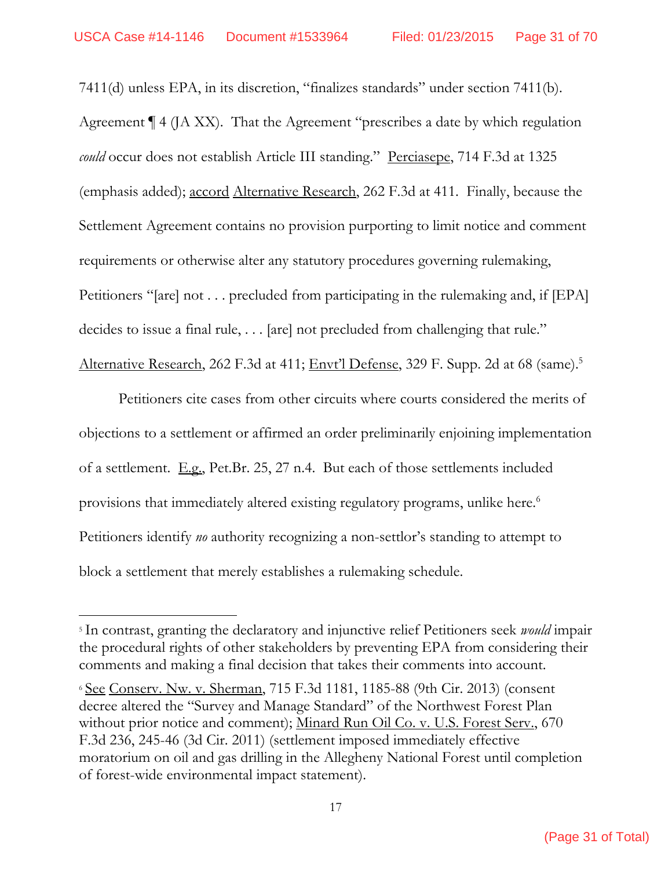7411(d) unless EPA, in its discretion, "finalizes standards" under section 7411(b). Agreement ¶ 4 (JA XX). That the Agreement "prescribes a date by which regulation *could* occur does not establish Article III standing." Perciasepe, 714 F.3d at 1325 (emphasis added); accord Alternative Research, 262 F.3d at 411. Finally, because the Settlement Agreement contains no provision purporting to limit notice and comment requirements or otherwise alter any statutory procedures governing rulemaking, Petitioners "[are] not . . . precluded from participating in the rulemaking and, if [EPA] decides to issue a final rule, . . . [are] not precluded from challenging that rule." Alternative Research, 262 F.3d at 411; Envt'l Defense, 329 F. Supp. 2d at 68 (same).<sup>5</sup>

 Petitioners cite cases from other circuits where courts considered the merits of objections to a settlement or affirmed an order preliminarily enjoining implementation of a settlement. E.g., Pet.Br. 25, 27 n.4. But each of those settlements included provisions that immediately altered existing regulatory programs, unlike here.<sup>6</sup> Petitioners identify *no* authority recognizing a non-settlor's standing to attempt to block a settlement that merely establishes a rulemaking schedule.

<sup>5</sup> In contrast, granting the declaratory and injunctive relief Petitioners seek *would* impair the procedural rights of other stakeholders by preventing EPA from considering their comments and making a final decision that takes their comments into account.

<sup>6</sup> See Conserv. Nw. v. Sherman, 715 F.3d 1181, 1185-88 (9th Cir. 2013) (consent decree altered the "Survey and Manage Standard" of the Northwest Forest Plan without prior notice and comment); Minard Run Oil Co. v. U.S. Forest Serv., 670 F.3d 236, 245-46 (3d Cir. 2011) (settlement imposed immediately effective moratorium on oil and gas drilling in the Allegheny National Forest until completion of forest-wide environmental impact statement).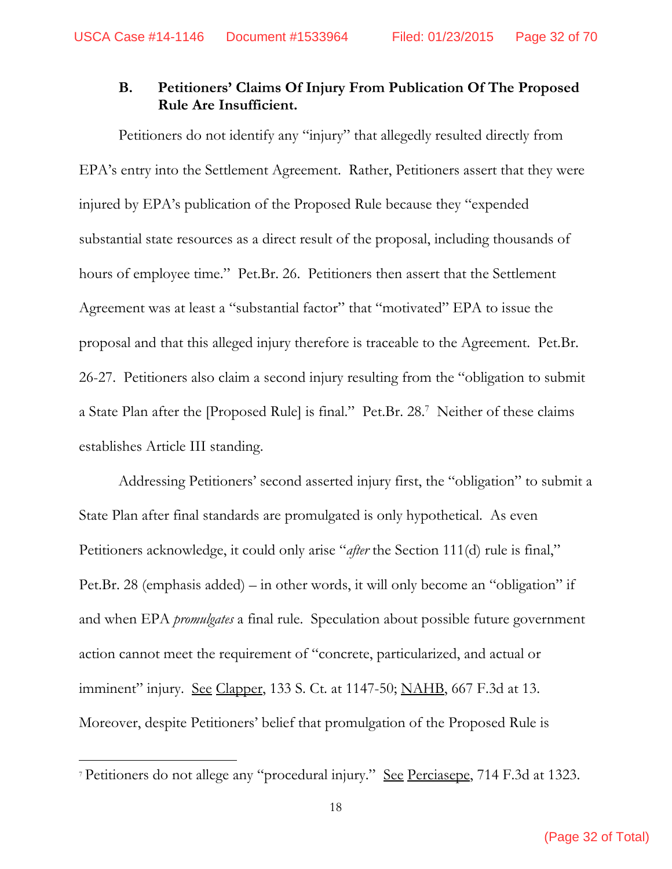### **B. Petitioners' Claims Of Injury From Publication Of The Proposed Rule Are Insufficient.**

Petitioners do not identify any "injury" that allegedly resulted directly from EPA's entry into the Settlement Agreement. Rather, Petitioners assert that they were injured by EPA's publication of the Proposed Rule because they "expended substantial state resources as a direct result of the proposal, including thousands of hours of employee time." Pet.Br. 26. Petitioners then assert that the Settlement Agreement was at least a "substantial factor" that "motivated" EPA to issue the proposal and that this alleged injury therefore is traceable to the Agreement. Pet.Br. 26-27. Petitioners also claim a second injury resulting from the "obligation to submit a State Plan after the [Proposed Rule] is final." Pet.Br. 28.7 Neither of these claims establishes Article III standing.

 Addressing Petitioners' second asserted injury first, the "obligation" to submit a State Plan after final standards are promulgated is only hypothetical. As even Petitioners acknowledge, it could only arise "*after* the Section 111(d) rule is final," Pet.Br. 28 (emphasis added) – in other words, it will only become an "obligation" if and when EPA *promulgates* a final rule. Speculation about possible future government action cannot meet the requirement of "concrete, particularized, and actual or imminent" injury. See Clapper, 133 S. Ct. at 1147-50; NAHB, 667 F.3d at 13. Moreover, despite Petitioners' belief that promulgation of the Proposed Rule is

<sup>7</sup> Petitioners do not allege any "procedural injury." See Perciasepe, 714 F.3d at 1323.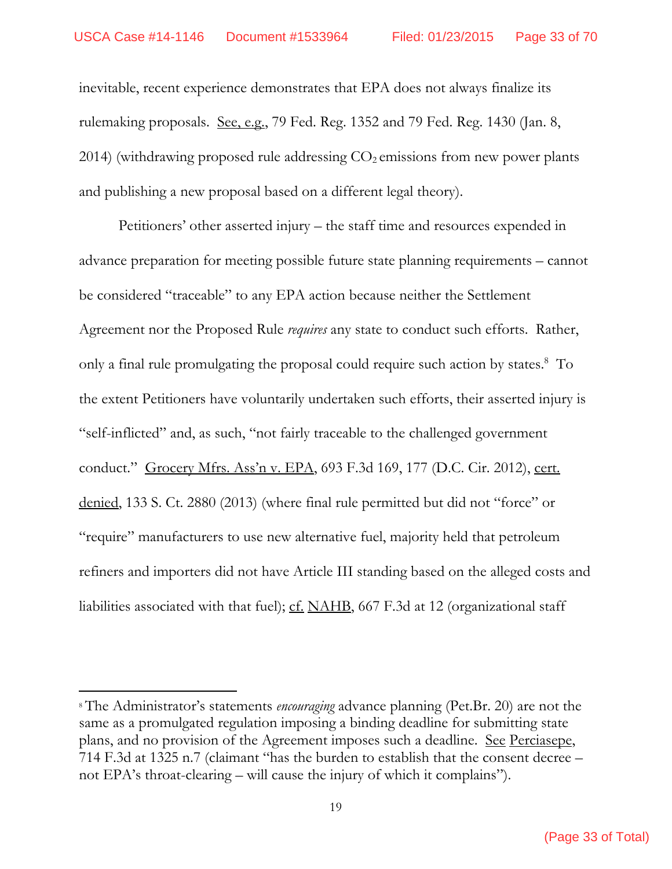inevitable, recent experience demonstrates that EPA does not always finalize its rulemaking proposals. See, e.g., 79 Fed. Reg. 1352 and 79 Fed. Reg. 1430 (Jan. 8, 2014) (withdrawing proposed rule addressing  $CO<sub>2</sub>$  emissions from new power plants and publishing a new proposal based on a different legal theory).

 Petitioners' other asserted injury – the staff time and resources expended in advance preparation for meeting possible future state planning requirements – cannot be considered "traceable" to any EPA action because neither the Settlement Agreement nor the Proposed Rule *requires* any state to conduct such efforts. Rather, only a final rule promulgating the proposal could require such action by states.<sup>8</sup> To the extent Petitioners have voluntarily undertaken such efforts, their asserted injury is "self-inflicted" and, as such, "not fairly traceable to the challenged government conduct." Grocery Mfrs. Ass'n v. EPA, 693 F.3d 169, 177 (D.C. Cir. 2012), cert. denied, 133 S. Ct. 2880 (2013) (where final rule permitted but did not "force" or "require" manufacturers to use new alternative fuel, majority held that petroleum refiners and importers did not have Article III standing based on the alleged costs and liabilities associated with that fuel);  $cf. NAHB$ , 667 F.3d at 12 (organizational staff</u>

<sup>8</sup> The Administrator's statements *encouraging* advance planning (Pet.Br. 20) are not the same as a promulgated regulation imposing a binding deadline for submitting state plans, and no provision of the Agreement imposes such a deadline. See Perciasepe, 714 F.3d at 1325 n.7 (claimant "has the burden to establish that the consent decree – not EPA's throat-clearing – will cause the injury of which it complains").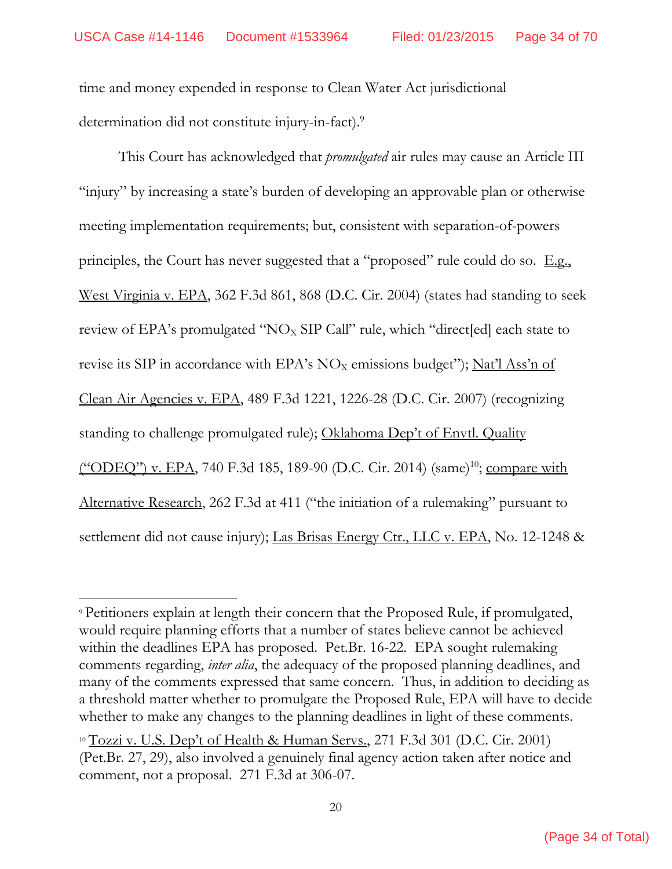time and money expended in response to Clean Water Act jurisdictional determination did not constitute injury-in-fact).9

This Court has acknowledged that *promulgated* air rules may cause an Article III "injury" by increasing a state's burden of developing an approvable plan or otherwise meeting implementation requirements; but, consistent with separation-of-powers principles, the Court has never suggested that a "proposed" rule could do so.  $E.g.,$ West Virginia v. EPA, 362 F.3d 861, 868 (D.C. Cir. 2004) (states had standing to seek review of EPA's promulgated " $NO<sub>X</sub>$  SIP Call" rule, which "direct[ed] each state to revise its SIP in accordance with EPA's  $NO<sub>x</sub>$  emissions budget"); Nat'l Ass'n of Clean Air Agencies v. EPA, 489 F.3d 1221, 1226-28 (D.C. Cir. 2007) (recognizing standing to challenge promulgated rule); Oklahoma Dep't of Envtl. Quality ("ODEQ") v. EPA, 740 F.3d 185, 189-90 (D.C. Cir. 2014) (same)<sup>10</sup>; compare with Alternative Research, 262 F.3d at 411 ("the initiation of a rulemaking" pursuant to settlement did not cause injury); Las Brisas Energy Ctr., LLC v. EPA, No. 12-1248 &

<sup>9</sup> Petitioners explain at length their concern that the Proposed Rule, if promulgated, would require planning efforts that a number of states believe cannot be achieved within the deadlines EPA has proposed. Pet.Br. 16-22. EPA sought rulemaking comments regarding, *inter alia*, the adequacy of the proposed planning deadlines, and many of the comments expressed that same concern. Thus, in addition to deciding as a threshold matter whether to promulgate the Proposed Rule, EPA will have to decide whether to make any changes to the planning deadlines in light of these comments.

<sup>&</sup>lt;sup>10</sup> Tozzi v. U.S. Dep't of Health & Human Servs., 271 F.3d 301 (D.C. Cir. 2001) (Pet.Br. 27, 29), also involved a genuinely final agency action taken after notice and comment, not a proposal. 271 F.3d at 306-07.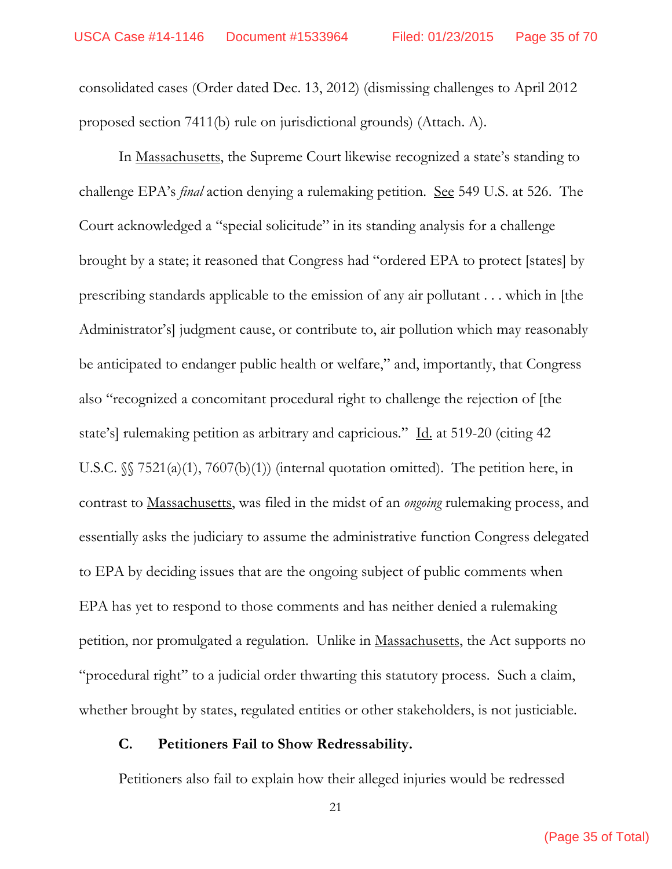consolidated cases (Order dated Dec. 13, 2012) (dismissing challenges to April 2012 proposed section 7411(b) rule on jurisdictional grounds) (Attach. A).

In Massachusetts, the Supreme Court likewise recognized a state's standing to challenge EPA's *final* action denying a rulemaking petition. See 549 U.S. at 526. The Court acknowledged a "special solicitude" in its standing analysis for a challenge brought by a state; it reasoned that Congress had "ordered EPA to protect [states] by prescribing standards applicable to the emission of any air pollutant . . . which in [the Administrator's] judgment cause, or contribute to, air pollution which may reasonably be anticipated to endanger public health or welfare," and, importantly, that Congress also "recognized a concomitant procedural right to challenge the rejection of [the state's] rulemaking petition as arbitrary and capricious." Id. at 519-20 (citing 42 U.S.C. §§ 7521(a)(1), 7607(b)(1)) (internal quotation omitted). The petition here, in contrast to Massachusetts, was filed in the midst of an *ongoing* rulemaking process, and essentially asks the judiciary to assume the administrative function Congress delegated to EPA by deciding issues that are the ongoing subject of public comments when EPA has yet to respond to those comments and has neither denied a rulemaking petition, nor promulgated a regulation. Unlike in Massachusetts, the Act supports no "procedural right" to a judicial order thwarting this statutory process. Such a claim, whether brought by states, regulated entities or other stakeholders, is not justiciable.

#### **C. Petitioners Fail to Show Redressability.**

Petitioners also fail to explain how their alleged injuries would be redressed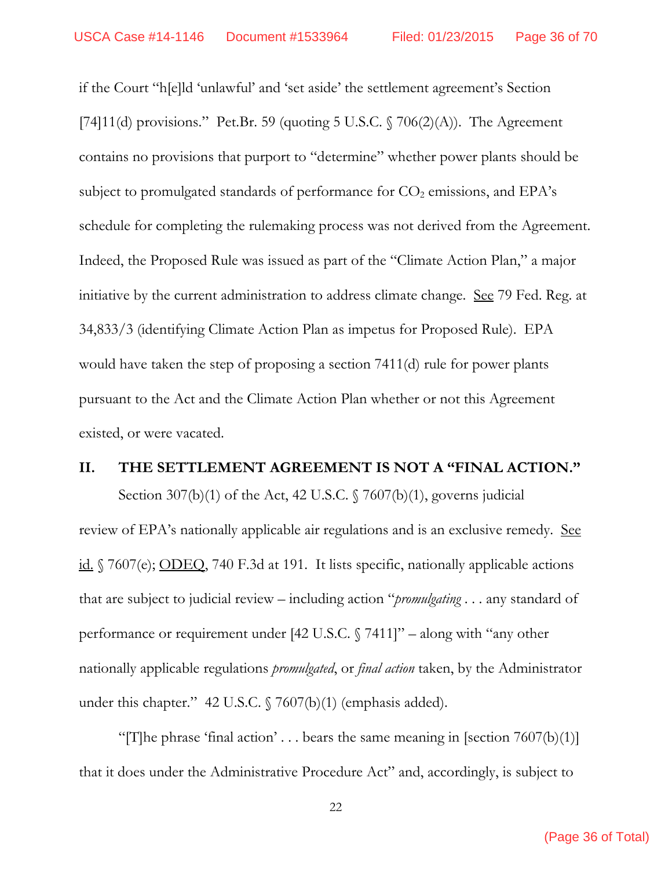if the Court "h[e]ld 'unlawful' and 'set aside' the settlement agreement's Section [74]11(d) provisions." Pet.Br. 59 (quoting 5 U.S.C.  $\sqrt{706(2)}$ (A)). The Agreement contains no provisions that purport to "determine" whether power plants should be subject to promulgated standards of performance for  $CO<sub>2</sub>$  emissions, and EPA's schedule for completing the rulemaking process was not derived from the Agreement. Indeed, the Proposed Rule was issued as part of the "Climate Action Plan," a major initiative by the current administration to address climate change. <u>See</u> 79 Fed. Reg. at 34,833/3 (identifying Climate Action Plan as impetus for Proposed Rule). EPA would have taken the step of proposing a section 7411(d) rule for power plants pursuant to the Act and the Climate Action Plan whether or not this Agreement existed, or were vacated.

#### **II. THE SETTLEMENT AGREEMENT IS NOT A "FINAL ACTION."**

Section 307(b)(1) of the Act, 42 U.S.C.  $\sqrt{7607(b)(1)}$ , governs judicial review of EPA's nationally applicable air regulations and is an exclusive remedy. See id. § 7607(e); <u>ODEQ</u>, 740 F.3d at 191. It lists specific, nationally applicable actions that are subject to judicial review – including action "*promulgating* . . . any standard of performance or requirement under [42 U.S.C. § 7411]" – along with "any other nationally applicable regulations *promulgated*, or *final action* taken, by the Administrator under this chapter." 42 U.S.C. § 7607(b)(1) (emphasis added).

"[T]he phrase 'final action' ... bears the same meaning in [section  $7607(b)(1)$ ] that it does under the Administrative Procedure Act" and, accordingly, is subject to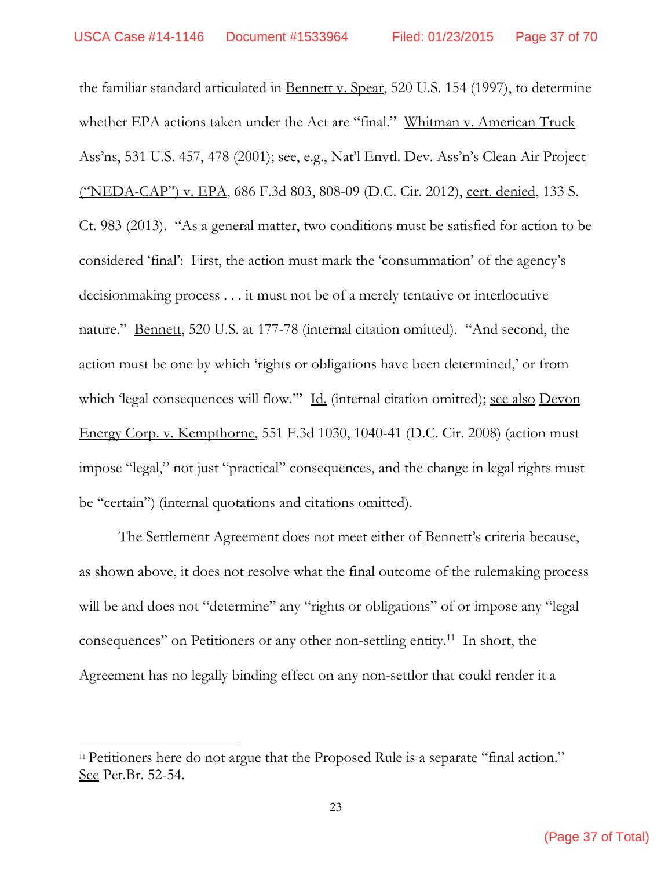the familiar standard articulated in Bennett v. Spear, 520 U.S. 154 (1997), to determine whether EPA actions taken under the Act are "final." Whitman v. American Truck Ass'ns, 531 U.S. 457, 478 (2001); see, e.g., Nat'l Envtl. Dev. Ass'n's Clean Air Project <u>("NEDA-CAP") v. EPA</u>, 686 F.3d 803, 808-09 (D.C. Cir. 2012), cert. denied, 133 S. Ct. 983 (2013). "As a general matter, two conditions must be satisfied for action to be considered 'final': First, the action must mark the 'consummation' of the agency's decisionmaking process . . . it must not be of a merely tentative or interlocutive nature." <u>Bennett</u>, 520 U.S. at 177-78 (internal citation omitted). "And second, the action must be one by which 'rights or obligations have been determined,' or from which 'legal consequences will flow."" Id. (internal citation omitted); see also Devon Energy Corp. v. Kempthorne, 551 F.3d 1030, 1040-41 (D.C. Cir. 2008) (action must impose "legal," not just "practical" consequences, and the change in legal rights must be "certain") (internal quotations and citations omitted).

The Settlement Agreement does not meet either of Bennett's criteria because, as shown above, it does not resolve what the final outcome of the rulemaking process will be and does not "determine" any "rights or obligations" of or impose any "legal" consequences" on Petitioners or any other non-settling entity.11 In short, the Agreement has no legally binding effect on any non-settlor that could render it a

<sup>&</sup>lt;sup>11</sup> Petitioners here do not argue that the Proposed Rule is a separate "final action." See Pet.Br. 52-54.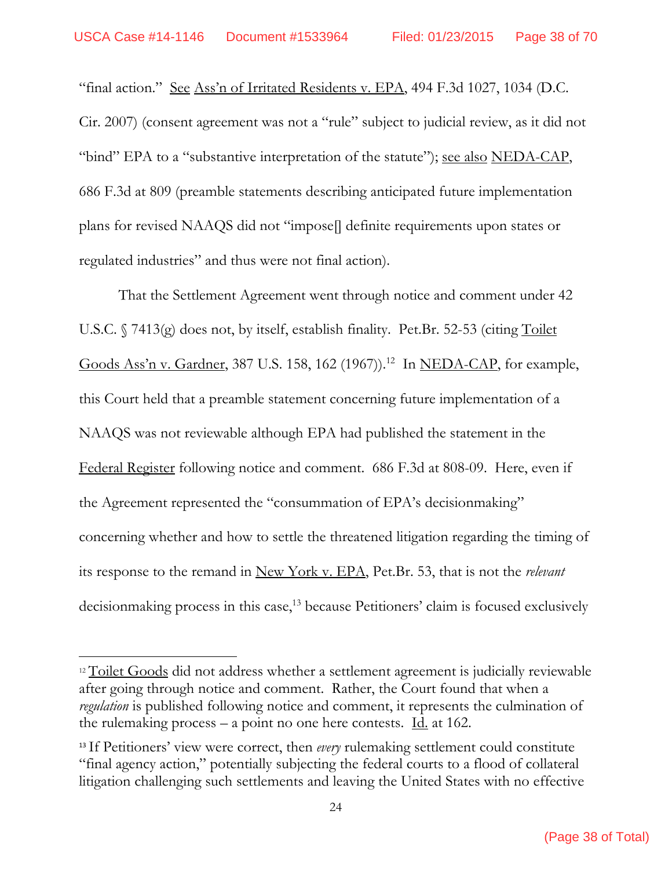"final action." See Ass'n of Irritated Residents v. EPA,  $494$  F.3d  $1027$ ,  $1034$  (D.C.) Cir. 2007) (consent agreement was not a "rule" subject to judicial review, as it did not "bind" EPA to a "substantive interpretation of the statute"); <u>see also NEDA-CAP</u>, 686 F.3d at 809 (preamble statements describing anticipated future implementation plans for revised NAAQS did not "impose[] definite requirements upon states or regulated industries" and thus were not final action).

 That the Settlement Agreement went through notice and comment under 42 U.S.C. § 7413(g) does not, by itself, establish finality. Pet.Br. 52-53 (citing Toilet Goods Ass'n v. Gardner, 387 U.S. 158, 162 (1967)).<sup>12</sup> In NEDA-CAP, for example, this Court held that a preamble statement concerning future implementation of a NAAQS was not reviewable although EPA had published the statement in the Federal Register following notice and comment. 686 F.3d at 808-09. Here, even if the Agreement represented the "consummation of EPA's decisionmaking" concerning whether and how to settle the threatened litigation regarding the timing of its response to the remand in New York v. EPA, Pet.Br. 53, that is not the *relevant* decisionmaking process in this case,<sup>13</sup> because Petitioners' claim is focused exclusively

<sup>&</sup>lt;sup>12</sup> Toilet Goods did not address whether a settlement agreement is judicially reviewable after going through notice and comment. Rather, the Court found that when a *regulation* is published following notice and comment, it represents the culmination of the rulemaking process – a point no one here contests.  $\underline{Id}$  at 162.

<sup>&</sup>lt;sup>13</sup> If Petitioners' view were correct, then *every* rulemaking settlement could constitute "final agency action," potentially subjecting the federal courts to a flood of collateral litigation challenging such settlements and leaving the United States with no effective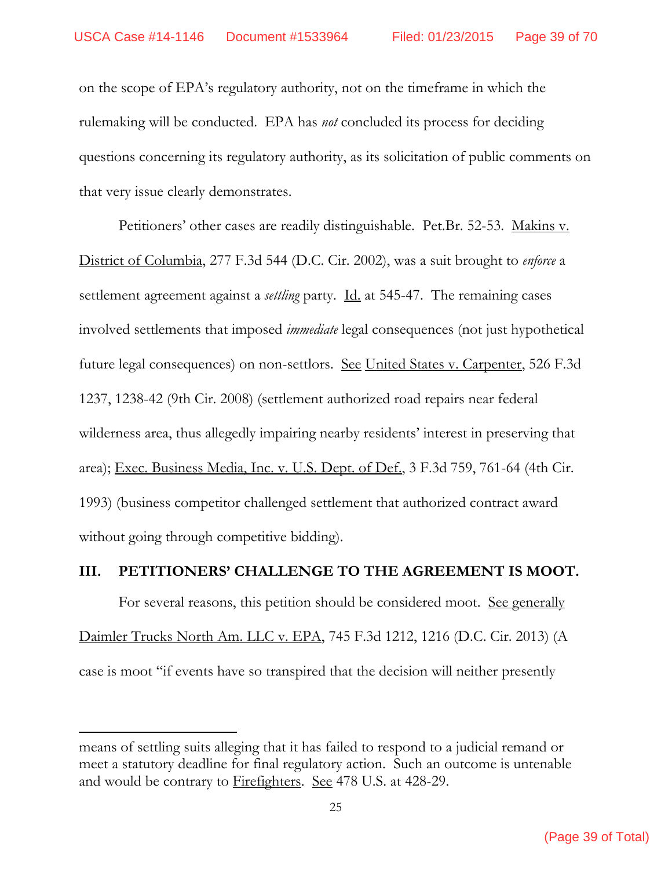on the scope of EPA's regulatory authority, not on the timeframe in which the rulemaking will be conducted. EPA has *not* concluded its process for deciding questions concerning its regulatory authority, as its solicitation of public comments on that very issue clearly demonstrates.

Petitioners' other cases are readily distinguishable. Pet.Br. 52-53. Makins v. District of Columbia, 277 F.3d 544 (D.C. Cir. 2002), was a suit brought to *enforce* a settlement agreement against a *settling* party. <u>Id.</u> at 545-47. The remaining cases involved settlements that imposed *immediate* legal consequences (not just hypothetical future legal consequences) on non-settlors. <u>See United States v. Carpenter</u>, 526 F.3d 1237, 1238-42 (9th Cir. 2008) (settlement authorized road repairs near federal wilderness area, thus allegedly impairing nearby residents' interest in preserving that area); Exec. Business Media, Inc. v. U.S. Dept. of Def., 3 F.3d 759, 761-64 (4th Cir. 1993) (business competitor challenged settlement that authorized contract award without going through competitive bidding).

#### **III. PETITIONERS' CHALLENGE TO THE AGREEMENT IS MOOT.**

For several reasons, this petition should be considered moot. <u>See generally</u> Daimler Trucks North Am. LLC v. EPA, 745 F.3d 1212, 1216 (D.C. Cir. 2013) (A case is moot "if events have so transpired that the decision will neither presently

means of settling suits alleging that it has failed to respond to a judicial remand or meet a statutory deadline for final regulatory action. Such an outcome is untenable and would be contrary to Firefighters. See 478 U.S. at 428-29.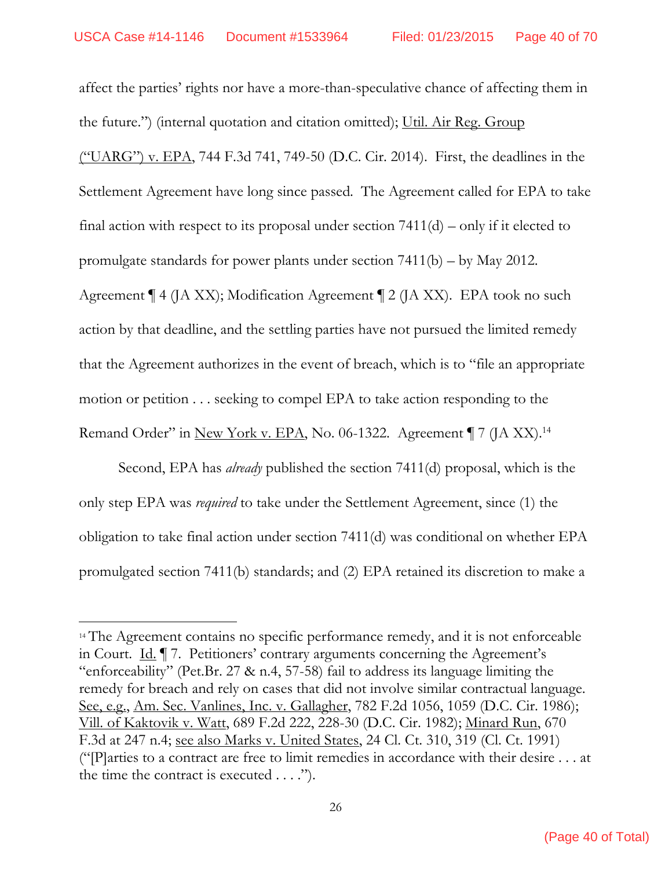affect the parties' rights nor have a more-than-speculative chance of affecting them in the future.") (internal quotation and citation omitted); Util. Air Reg. Group  $($ "UARG") v. EPA, 744 F.3d 741, 749-50 (D.C. Cir. 2014). First, the deadlines in the Settlement Agreement have long since passed. The Agreement called for EPA to take final action with respect to its proposal under section  $7411(d)$  – only if it elected to promulgate standards for power plants under section 7411(b) – by May 2012. Agreement ¶ 4 (JA XX); Modification Agreement ¶ 2 (JA XX). EPA took no such action by that deadline, and the settling parties have not pursued the limited remedy that the Agreement authorizes in the event of breach, which is to "file an appropriate motion or petition . . . seeking to compel EPA to take action responding to the Remand Order" in New York v. EPA, No. 06-1322. Agreement | 7 (JA XX).<sup>14</sup>

 Second, EPA has *already* published the section 7411(d) proposal, which is the only step EPA was *required* to take under the Settlement Agreement, since (1) the obligation to take final action under section 7411(d) was conditional on whether EPA promulgated section 7411(b) standards; and (2) EPA retained its discretion to make a

<sup>&</sup>lt;sup>14</sup> The Agreement contains no specific performance remedy, and it is not enforceable in Court. Id. ¶ 7. Petitioners' contrary arguments concerning the Agreement's "enforceability" (Pet.Br. 27  $\&$  n.4, 57-58) fail to address its language limiting the remedy for breach and rely on cases that did not involve similar contractual language. See, e.g., Am. Sec. Vanlines, Inc. v. Gallagher, 782 F.2d 1056, 1059 (D.C. Cir. 1986); Vill. of Kaktovik v. Watt, 689 F.2d 222, 228-30 (D.C. Cir. 1982); Minard Run, 670 F.3d at 247 n.4; see also Marks v. United States, 24 Cl. Ct. 310, 319 (Cl. Ct. 1991) ("[P]arties to a contract are free to limit remedies in accordance with their desire . . . at the time the contract is executed  $\dots$ .").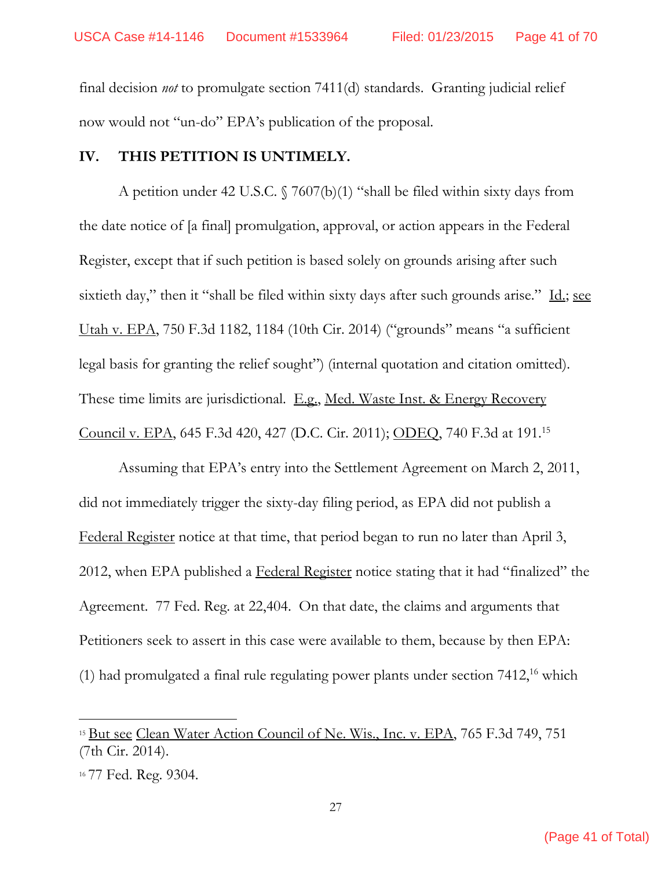final decision *not* to promulgate section 7411(d) standards. Granting judicial relief now would not "un-do" EPA's publication of the proposal.

#### **IV. THIS PETITION IS UNTIMELY.**

 A petition under 42 U.S.C. § 7607(b)(1) "shall be filed within sixty days from the date notice of [a final] promulgation, approval, or action appears in the Federal Register, except that if such petition is based solely on grounds arising after such sixtieth day," then it "shall be filed within sixty days after such grounds arise." Id.; see Utah v. EPA, 750 F.3d 1182, 1184 (10th Cir. 2014) ("grounds" means "a sufficient legal basis for granting the relief sought") (internal quotation and citation omitted). These time limits are jurisdictional. E.g., Med. Waste Inst. & Energy Recovery Council v. EPA, 645 F.3d 420, 427 (D.C. Cir. 2011); ODEQ, 740 F.3d at 191.15

Assuming that EPA's entry into the Settlement Agreement on March 2, 2011, did not immediately trigger the sixty-day filing period, as EPA did not publish a Federal Register notice at that time, that period began to run no later than April 3, 2012, when EPA published a Federal Register notice stating that it had "finalized" the Agreement. 77 Fed. Reg. at 22,404. On that date, the claims and arguments that Petitioners seek to assert in this case were available to them, because by then EPA: (1) had promulgated a final rule regulating power plants under section  $7412<sup>16</sup>$  which

<sup>&</sup>lt;sup>15</sup> But see Clean Water Action Council of Ne. Wis., Inc. v. EPA, 765 F.3d 749, 751 (7th Cir. 2014).

<sup>16</sup> 77 Fed. Reg. 9304.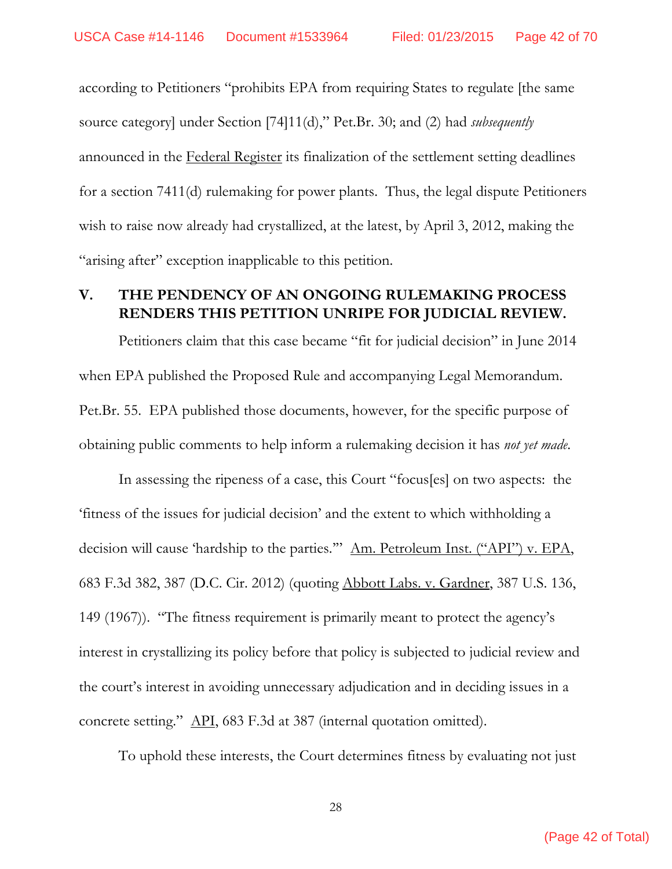according to Petitioners "prohibits EPA from requiring States to regulate [the same source category] under Section [74]11(d)," Pet.Br. 30; and (2) had *subsequently* announced in the Federal Register its finalization of the settlement setting deadlines for a section 7411(d) rulemaking for power plants. Thus, the legal dispute Petitioners wish to raise now already had crystallized, at the latest, by April 3, 2012, making the "arising after" exception inapplicable to this petition.

# **V. THE PENDENCY OF AN ONGOING RULEMAKING PROCESS RENDERS THIS PETITION UNRIPE FOR JUDICIAL REVIEW.**

Petitioners claim that this case became "fit for judicial decision" in June 2014 when EPA published the Proposed Rule and accompanying Legal Memorandum. Pet.Br. 55. EPA published those documents, however, for the specific purpose of obtaining public comments to help inform a rulemaking decision it has *not yet made*.

In assessing the ripeness of a case, this Court "focus[es] on two aspects: the 'fitness of the issues for judicial decision' and the extent to which withholding a decision will cause 'hardship to the parties.'" Am. Petroleum Inst. ("API") v. EPA, 683 F.3d 382, 387 (D.C. Cir. 2012) (quoting Abbott Labs. v. Gardner, 387 U.S. 136, 149 (1967)). "The fitness requirement is primarily meant to protect the agency's interest in crystallizing its policy before that policy is subjected to judicial review and the court's interest in avoiding unnecessary adjudication and in deciding issues in a concrete setting." API, 683 F.3d at 387 (internal quotation omitted).

To uphold these interests, the Court determines fitness by evaluating not just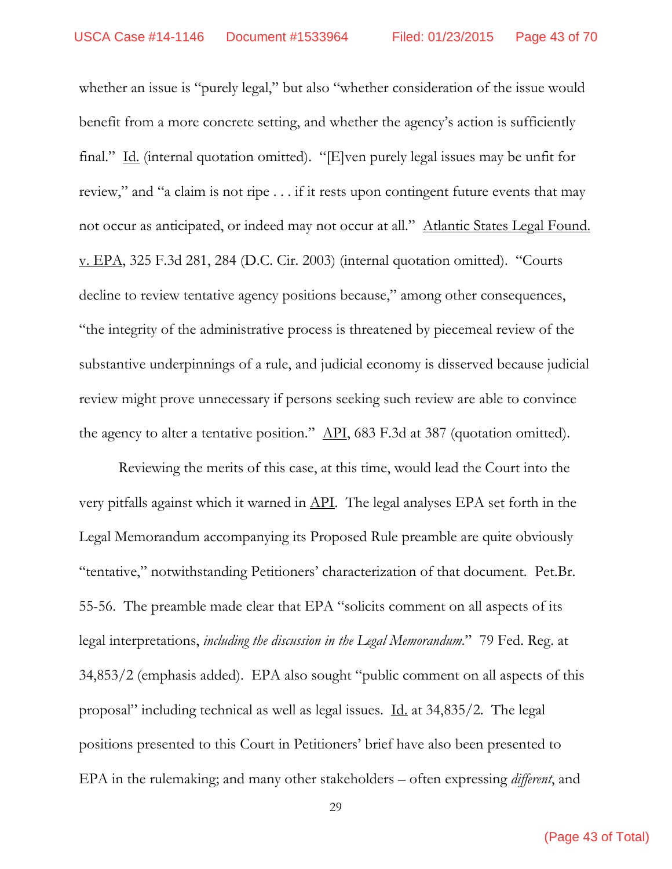whether an issue is "purely legal," but also "whether consideration of the issue would benefit from a more concrete setting, and whether the agency's action is sufficiently final." Id. (internal quotation omitted). "[E]ven purely legal issues may be unfit for review," and "a claim is not ripe . . . if it rests upon contingent future events that may not occur as anticipated, or indeed may not occur at all." Atlantic States Legal Found. v. EPA, 325 F.3d 281, 284 (D.C. Cir. 2003) (internal quotation omitted). "Courts decline to review tentative agency positions because," among other consequences, "the integrity of the administrative process is threatened by piecemeal review of the substantive underpinnings of a rule, and judicial economy is disserved because judicial review might prove unnecessary if persons seeking such review are able to convince the agency to alter a tentative position." API, 683 F.3d at 387 (quotation omitted).

 Reviewing the merits of this case, at this time, would lead the Court into the very pitfalls against which it warned in API. The legal analyses EPA set forth in the Legal Memorandum accompanying its Proposed Rule preamble are quite obviously "tentative," notwithstanding Petitioners' characterization of that document. Pet.Br. 55-56. The preamble made clear that EPA "solicits comment on all aspects of its legal interpretations, *including the discussion in the Legal Memorandum*." 79 Fed. Reg. at 34,853/2 (emphasis added). EPA also sought "public comment on all aspects of this proposal" including technical as well as legal issues.  $\underline{Id}$  at 34,835/2. The legal positions presented to this Court in Petitioners' brief have also been presented to EPA in the rulemaking; and many other stakeholders – often expressing *different*, and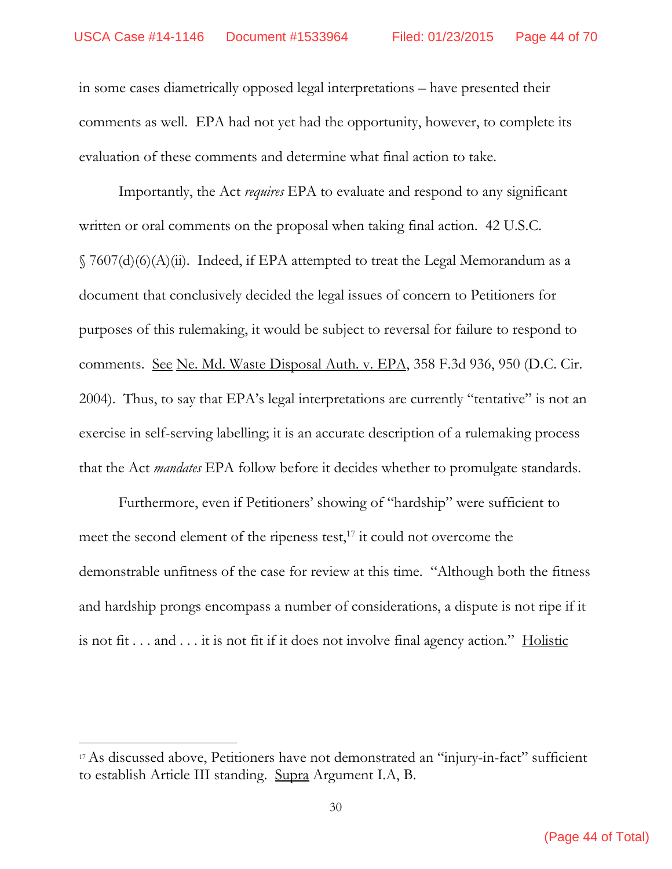in some cases diametrically opposed legal interpretations – have presented their comments as well. EPA had not yet had the opportunity, however, to complete its evaluation of these comments and determine what final action to take.

Importantly, the Act *requires* EPA to evaluate and respond to any significant written or oral comments on the proposal when taking final action. 42 U.S.C.  $\S$  7607(d)(6)(A)(ii). Indeed, if EPA attempted to treat the Legal Memorandum as a document that conclusively decided the legal issues of concern to Petitioners for purposes of this rulemaking, it would be subject to reversal for failure to respond to comments. See Ne. Md. Waste Disposal Auth. v. EPA, 358 F.3d 936, 950 (D.C. Cir. 2004). Thus, to say that EPA's legal interpretations are currently "tentative" is not an exercise in self-serving labelling; it is an accurate description of a rulemaking process that the Act *mandates* EPA follow before it decides whether to promulgate standards.

Furthermore, even if Petitioners' showing of "hardship" were sufficient to meet the second element of the ripeness test, $^{17}$  it could not overcome the demonstrable unfitness of the case for review at this time. "Although both the fitness and hardship prongs encompass a number of considerations, a dispute is not ripe if it is not fit  $\dots$  and  $\dots$  it is not fit if it does not involve final agency action." Holistic

<sup>17</sup> As discussed above, Petitioners have not demonstrated an "injury-in-fact" sufficient to establish Article III standing. Supra Argument I.A, B.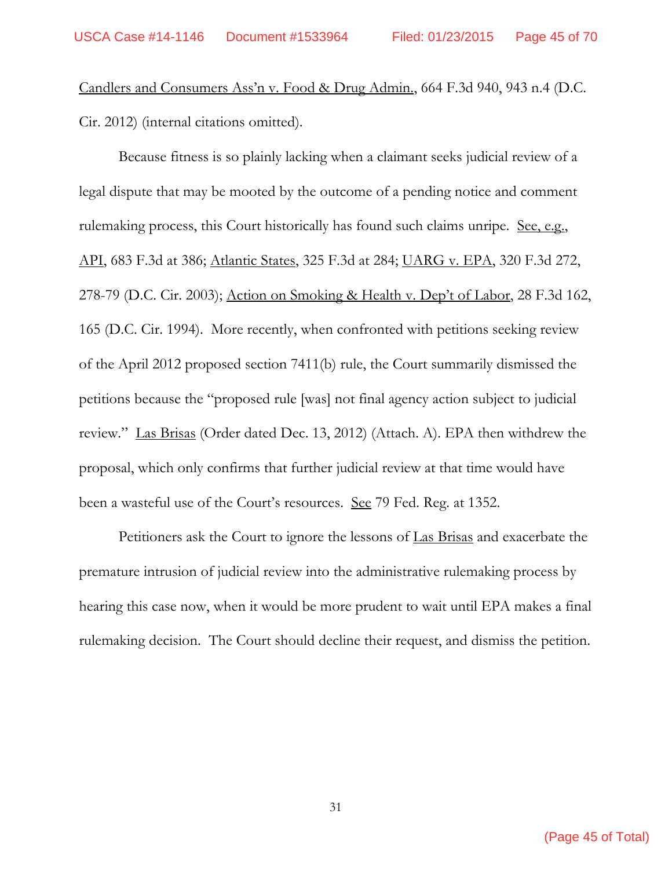Candlers and Consumers Ass'n v. Food & Drug Admin., 664 F.3d 940, 943 n.4 (D.C. Cir. 2012) (internal citations omitted).

Because fitness is so plainly lacking when a claimant seeks judicial review of a legal dispute that may be mooted by the outcome of a pending notice and comment rulemaking process, this Court historically has found such claims unripe. <u>See, e.g.</u>, API, 683 F.3d at 386; Atlantic States, 325 F.3d at 284; UARG v. EPA, 320 F.3d 272, 278-79 (D.C. Cir. 2003); Action on Smoking & Health v. Dep't of Labor, 28 F.3d 162, 165 (D.C. Cir. 1994). More recently, when confronted with petitions seeking review of the April 2012 proposed section 7411(b) rule, the Court summarily dismissed the petitions because the "proposed rule [was] not final agency action subject to judicial review." Las Brisas (Order dated Dec. 13, 2012) (Attach. A). EPA then withdrew the proposal, which only confirms that further judicial review at that time would have been a wasteful use of the Court's resources. See 79 Fed. Reg. at 1352.

Petitioners ask the Court to ignore the lessons of Las Brisas and exacerbate the premature intrusion of judicial review into the administrative rulemaking process by hearing this case now, when it would be more prudent to wait until EPA makes a final rulemaking decision. The Court should decline their request, and dismiss the petition.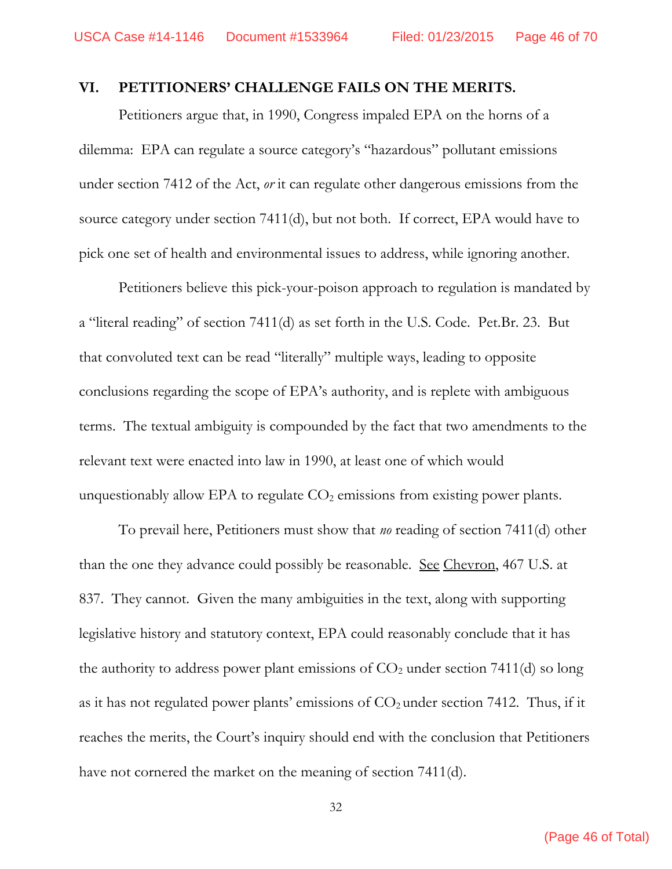#### **VI. PETITIONERS' CHALLENGE FAILS ON THE MERITS.**

Petitioners argue that, in 1990, Congress impaled EPA on the horns of a dilemma: EPA can regulate a source category's "hazardous" pollutant emissions under section 7412 of the Act, *or* it can regulate other dangerous emissions from the source category under section 7411(d), but not both. If correct, EPA would have to pick one set of health and environmental issues to address, while ignoring another.

Petitioners believe this pick-your-poison approach to regulation is mandated by a "literal reading" of section 7411(d) as set forth in the U.S. Code. Pet.Br. 23. But that convoluted text can be read "literally" multiple ways, leading to opposite conclusions regarding the scope of EPA's authority, and is replete with ambiguous terms. The textual ambiguity is compounded by the fact that two amendments to the relevant text were enacted into law in 1990, at least one of which would unquestionably allow EPA to regulate  $CO<sub>2</sub>$  emissions from existing power plants.

To prevail here, Petitioners must show that *no* reading of section 7411(d) other than the one they advance could possibly be reasonable. See Chevron, 467 U.S. at 837. They cannot. Given the many ambiguities in the text, along with supporting legislative history and statutory context, EPA could reasonably conclude that it has the authority to address power plant emissions of  $CO<sub>2</sub>$  under section 7411(d) so long as it has not regulated power plants' emissions of  $CO<sub>2</sub>$  under section 7412. Thus, if it reaches the merits, the Court's inquiry should end with the conclusion that Petitioners have not cornered the market on the meaning of section 7411(d).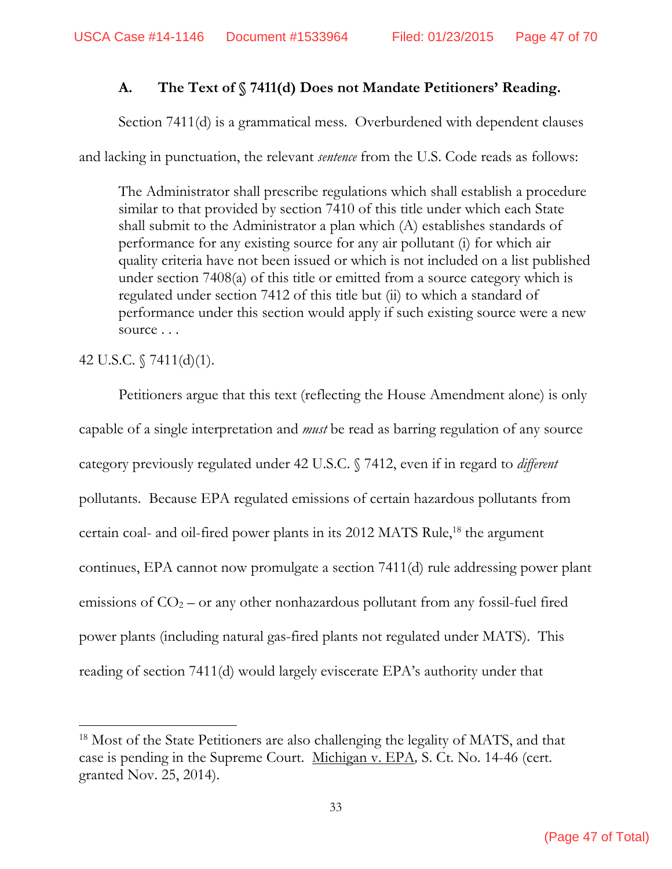# **A. The Text of § 7411(d) Does not Mandate Petitioners' Reading.**

Section 7411(d) is a grammatical mess. Overburdened with dependent clauses

and lacking in punctuation, the relevant *sentence* from the U.S. Code reads as follows:

The Administrator shall prescribe regulations which shall establish a procedure similar to that provided by section 7410 of this title under which each State shall submit to the Administrator a plan which (A) establishes standards of performance for any existing source for any air pollutant (i) for which air quality criteria have not been issued or which is not included on a list published under section 7408(a) of this title or emitted from a source category which is regulated under section 7412 of this title but (ii) to which a standard of performance under this section would apply if such existing source were a new source . . .

# 42 U.S.C. § 7411(d)(1).

Petitioners argue that this text (reflecting the House Amendment alone) is only capable of a single interpretation and *must* be read as barring regulation of any source category previously regulated under 42 U.S.C. § 7412, even if in regard to *different* pollutants. Because EPA regulated emissions of certain hazardous pollutants from certain coal- and oil-fired power plants in its 2012 MATS Rule,<sup>18</sup> the argument continues, EPA cannot now promulgate a section 7411(d) rule addressing power plant emissions of  $CO<sub>2</sub> -$  or any other nonhazardous pollutant from any fossil-fuel fired power plants (including natural gas-fired plants not regulated under MATS). This reading of section 7411(d) would largely eviscerate EPA's authority under that

<sup>&</sup>lt;sup>18</sup> Most of the State Petitioners are also challenging the legality of MATS, and that case is pending in the Supreme Court. Michigan v. EPA*,* S. Ct. No. 14-46 (cert. granted Nov. 25, 2014).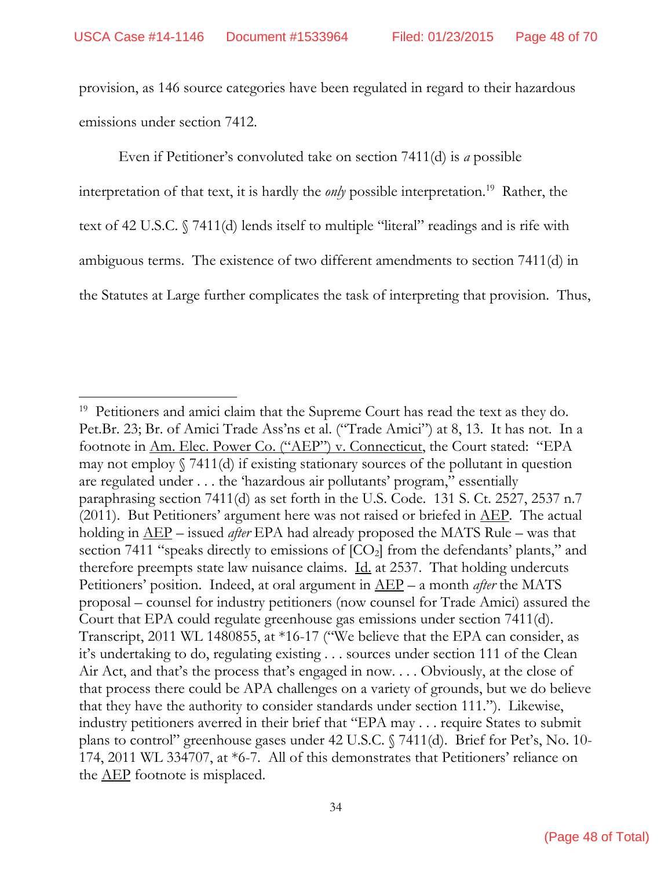provision, as 146 source categories have been regulated in regard to their hazardous emissions under section 7412.

Even if Petitioner's convoluted take on section 7411(d) is *a* possible interpretation of that text, it is hardly the *only* possible interpretation.<sup>19</sup> Rather, the text of 42 U.S.C. § 7411(d) lends itself to multiple "literal" readings and is rife with ambiguous terms. The existence of two different amendments to section 7411(d) in the Statutes at Large further complicates the task of interpreting that provision. Thus,

<sup>&</sup>lt;sup>19</sup> Petitioners and amici claim that the Supreme Court has read the text as they do. Pet.Br. 23; Br. of Amici Trade Ass'ns et al. ("Trade Amici") at 8, 13. It has not. In a footnote in Am. Elec. Power Co. ("AEP") v. Connecticut, the Court stated: "EPA may not employ  $\sqrt{7411(d)}$  if existing stationary sources of the pollutant in question are regulated under . . . the 'hazardous air pollutants' program," essentially paraphrasing section 7411(d) as set forth in the U.S. Code. 131 S. Ct. 2527, 2537 n.7  $(2011)$ . But Petitioners' argument here was not raised or briefed in  $\overline{\text{AEP}}$ . The actual holding in AEP – issued *after* EPA had already proposed the MATS Rule – was that section 7411 "speaks directly to emissions of  $[CO_2]$  from the defendants' plants," and therefore preempts state law nuisance claims. Id. at 2537. That holding undercuts Petitioners' position. Indeed, at oral argument in AEP – a month *after* the MATS proposal – counsel for industry petitioners (now counsel for Trade Amici) assured the Court that EPA could regulate greenhouse gas emissions under section 7411(d). Transcript, 2011 WL 1480855, at \*16-17 ("We believe that the EPA can consider, as it's undertaking to do, regulating existing . . . sources under section 111 of the Clean Air Act, and that's the process that's engaged in now. . . . Obviously, at the close of that process there could be APA challenges on a variety of grounds, but we do believe that they have the authority to consider standards under section 111."). Likewise, industry petitioners averred in their brief that "EPA may . . . require States to submit plans to control" greenhouse gases under 42 U.S.C. § 7411(d). Brief for Pet's, No. 10- 174, 2011 WL 334707, at \*6-7. All of this demonstrates that Petitioners' reliance on the <u>AEP</u> footnote is misplaced.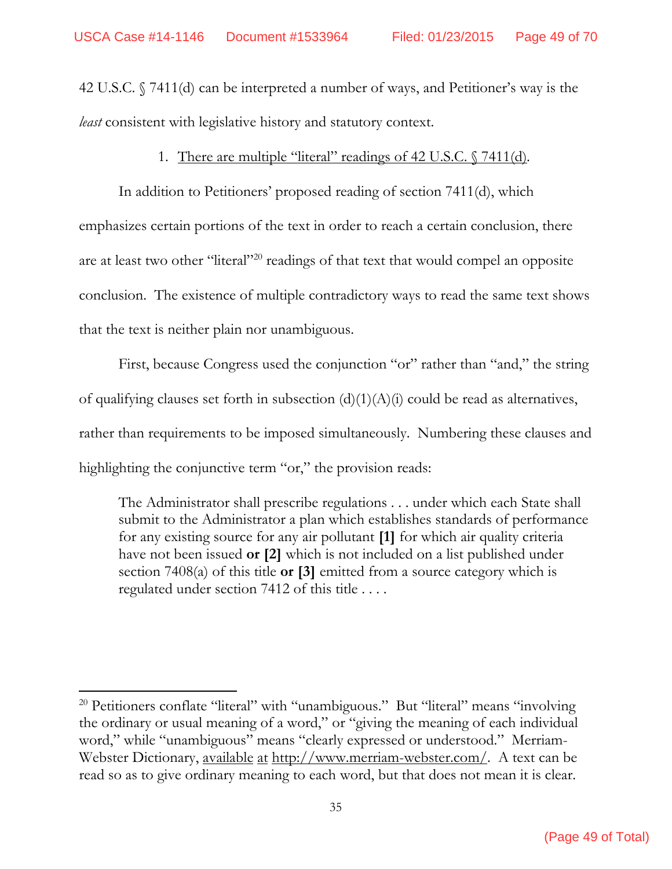42 U.S.C. § 7411(d) can be interpreted a number of ways, and Petitioner's way is the *least* consistent with legislative history and statutory context.

#### 1. There are multiple "literal" readings of 42 U.S.C. § 7411(d)*.*

 In addition to Petitioners' proposed reading of section 7411(d), which emphasizes certain portions of the text in order to reach a certain conclusion, there are at least two other "literal"20 readings of that text that would compel an opposite conclusion. The existence of multiple contradictory ways to read the same text shows that the text is neither plain nor unambiguous.

 First, because Congress used the conjunction "or" rather than "and," the string of qualifying clauses set forth in subsection  $(d)(1)(A)(i)$  could be read as alternatives, rather than requirements to be imposed simultaneously. Numbering these clauses and highlighting the conjunctive term "or," the provision reads:

The Administrator shall prescribe regulations . . . under which each State shall submit to the Administrator a plan which establishes standards of performance for any existing source for any air pollutant **[1]** for which air quality criteria have not been issued **or [2]** which is not included on a list published under section 7408(a) of this title **or [3]** emitted from a source category which is regulated under section 7412 of this title . . . .

<sup>&</sup>lt;sup>20</sup> Petitioners conflate "literal" with "unambiguous." But "literal" means "involving the ordinary or usual meaning of a word," or "giving the meaning of each individual word," while "unambiguous" means "clearly expressed or understood." Merriam-Webster Dictionary, <u>available at http://www.merriam-webster.com/</u>. A text can be read so as to give ordinary meaning to each word, but that does not mean it is clear.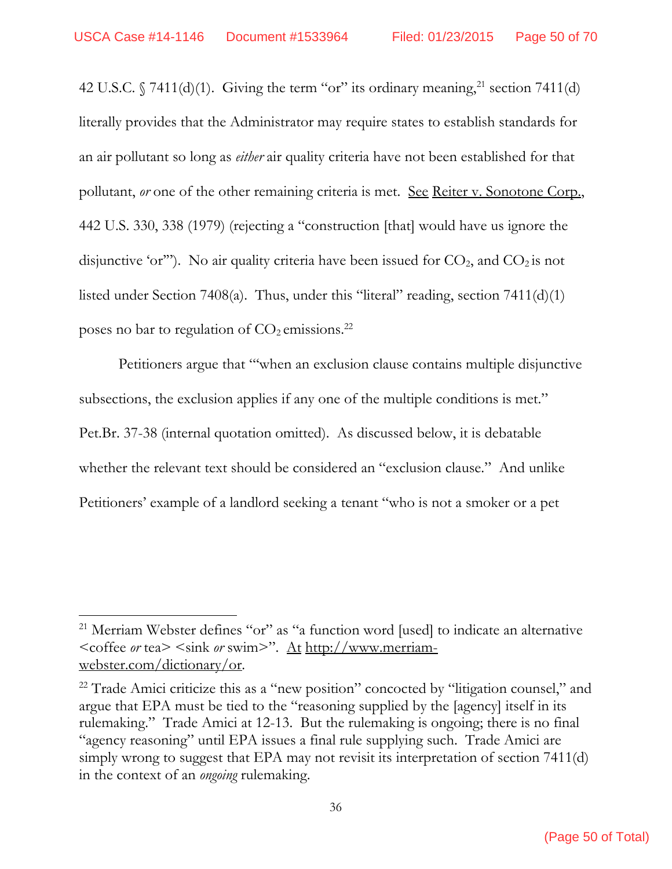42 U.S.C.  $\sqrt{7411(d)(1)}$ . Giving the term "or" its ordinary meaning, <sup>21</sup> section 7411(d) literally provides that the Administrator may require states to establish standards for an air pollutant so long as *either* air quality criteria have not been established for that pollutant, *or* one of the other remaining criteria is met. <u>See Reiter v. Sonotone Corp.</u>, 442 U.S. 330, 338 (1979) (rejecting a "construction [that] would have us ignore the disjunctive 'or'"). No air quality criteria have been issued for  $CO<sub>2</sub>$ , and  $CO<sub>2</sub>$  is not listed under Section 7408(a). Thus, under this "literal" reading, section 7411(d)(1) poses no bar to regulation of  $CO<sub>2</sub>$  emissions.<sup>22</sup>

Petitioners argue that "'when an exclusion clause contains multiple disjunctive subsections, the exclusion applies if any one of the multiple conditions is met." Pet.Br. 37-38 (internal quotation omitted). As discussed below, it is debatable whether the relevant text should be considered an "exclusion clause." And unlike Petitioners' example of a landlord seeking a tenant "who is not a smoker or a pet

<sup>21</sup> Merriam Webster defines "or" as "a function word [used] to indicate an alternative <coffee *or* tea> <sink *or* swim>". At http://www.merriamwebster.com/dictionary/or.

<sup>&</sup>lt;sup>22</sup> Trade Amici criticize this as a "new position" concocted by "litigation counsel," and argue that EPA must be tied to the "reasoning supplied by the [agency] itself in its rulemaking." Trade Amici at 12-13. But the rulemaking is ongoing; there is no final "agency reasoning" until EPA issues a final rule supplying such. Trade Amici are simply wrong to suggest that EPA may not revisit its interpretation of section 7411(d) in the context of an *ongoing* rulemaking.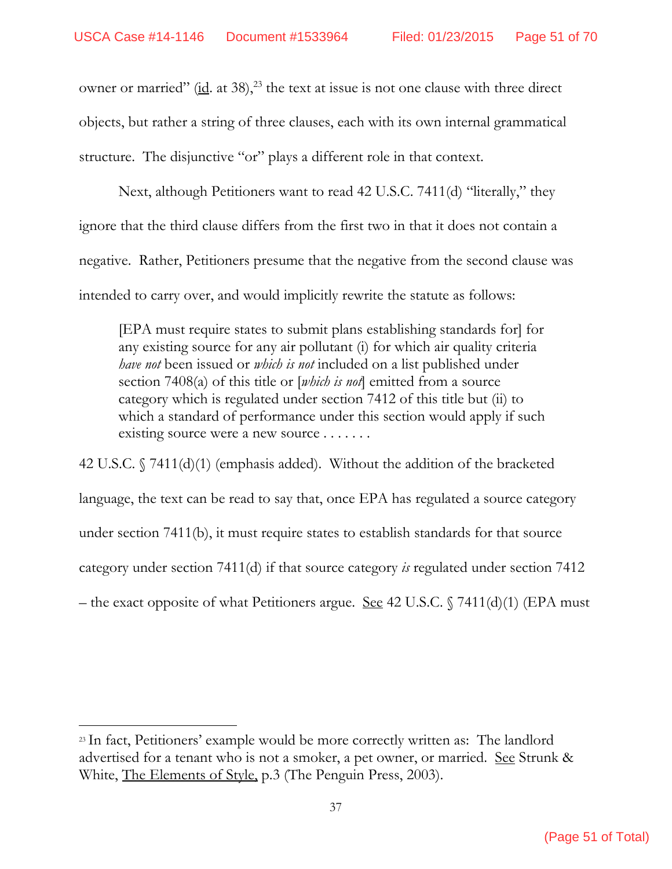owner or married"  $(id. at 38)$ ,<sup>23</sup> the text at issue is not one clause with three direct objects, but rather a string of three clauses, each with its own internal grammatical structure. The disjunctive "or" plays a different role in that context.

 Next, although Petitioners want to read 42 U.S.C. 7411(d) "literally," they ignore that the third clause differs from the first two in that it does not contain a negative. Rather, Petitioners presume that the negative from the second clause was intended to carry over, and would implicitly rewrite the statute as follows:

[EPA must require states to submit plans establishing standards for] for any existing source for any air pollutant (i) for which air quality criteria *have not* been issued or *which is not* included on a list published under section 7408(a) of this title or [*which is not*] emitted from a source category which is regulated under section 7412 of this title but (ii) to which a standard of performance under this section would apply if such existing source were a new source . . . . . . .

42 U.S.C. § 7411(d)(1) (emphasis added). Without the addition of the bracketed language, the text can be read to say that, once EPA has regulated a source category under section 7411(b), it must require states to establish standards for that source category under section 7411(d) if that source category *is* regulated under section 7412 – the exact opposite of what Petitioners argue. <u>See</u> 42 U.S.C.  $\sqrt{7411(d)(1)}$  (EPA must

<sup>23</sup> In fact, Petitioners' example would be more correctly written as: The landlord advertised for a tenant who is not a smoker, a pet owner, or married. See Strunk & White, The Elements of Style, p.3 (The Penguin Press, 2003).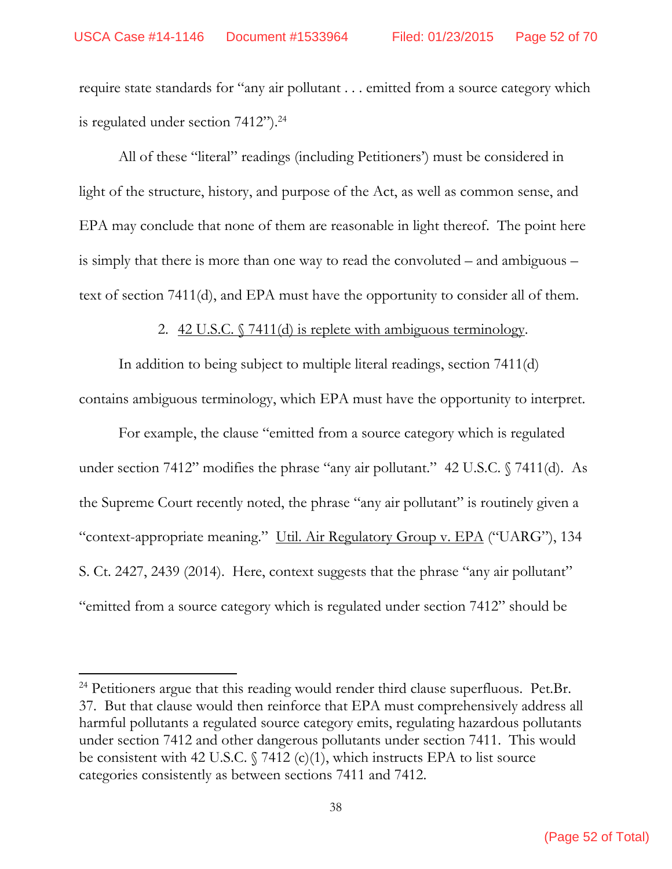require state standards for "any air pollutant . . . emitted from a source category which is regulated under section 7412").<sup>24</sup>

 All of these "literal" readings (including Petitioners') must be considered in light of the structure, history, and purpose of the Act, as well as common sense, and EPA may conclude that none of them are reasonable in light thereof. The point here is simply that there is more than one way to read the convoluted – and ambiguous – text of section 7411(d), and EPA must have the opportunity to consider all of them.

2.  $42 \text{ U.S.C. }$   $\sqrt{7411}$ (d) is replete with ambiguous terminology.

 In addition to being subject to multiple literal readings, section 7411(d) contains ambiguous terminology, which EPA must have the opportunity to interpret.

 For example, the clause "emitted from a source category which is regulated under section 7412" modifies the phrase "any air pollutant." 42 U.S.C. § 7411(d). As the Supreme Court recently noted, the phrase "any air pollutant" is routinely given a "context-appropriate meaning." Util. Air Regulatory Group v. EPA ("UARG"), 134 S. Ct. 2427, 2439 (2014). Here, context suggests that the phrase "any air pollutant" "emitted from a source category which is regulated under section 7412" should be

<sup>&</sup>lt;sup>24</sup> Petitioners argue that this reading would render third clause superfluous. Pet.Br. 37. But that clause would then reinforce that EPA must comprehensively address all harmful pollutants a regulated source category emits, regulating hazardous pollutants under section 7412 and other dangerous pollutants under section 7411. This would be consistent with 42 U.S.C.  $\sqrt{7412}$  (c)(1), which instructs EPA to list source categories consistently as between sections 7411 and 7412.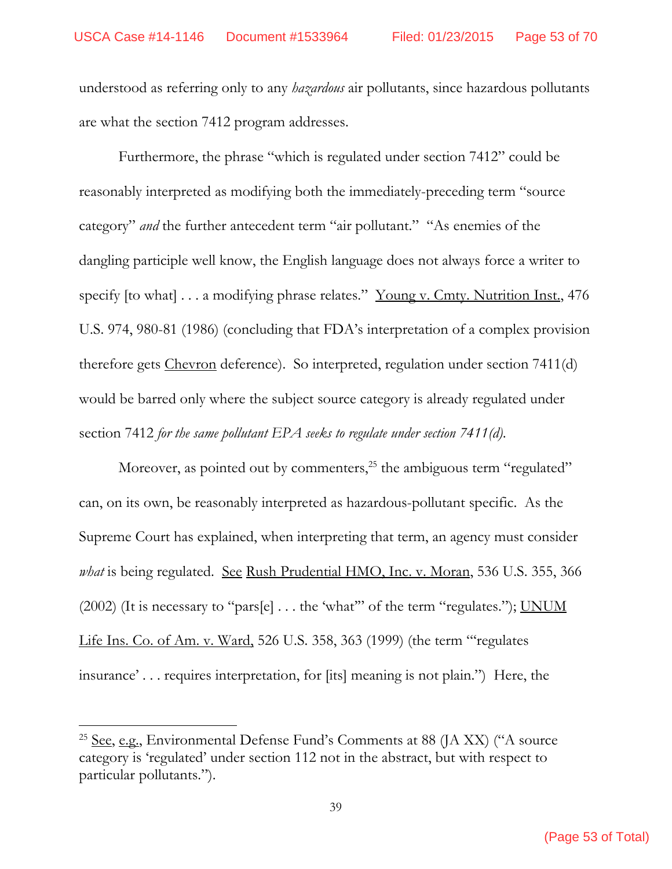understood as referring only to any *hazardous* air pollutants, since hazardous pollutants are what the section 7412 program addresses.

 Furthermore, the phrase "which is regulated under section 7412" could be reasonably interpreted as modifying both the immediately-preceding term "source category" *and* the further antecedent term "air pollutant." "As enemies of the dangling participle well know, the English language does not always force a writer to specify [to what] . . . a modifying phrase relates." Young v. Cmty. Nutrition Inst., 476 U.S. 974, 980-81 (1986) (concluding that FDA's interpretation of a complex provision therefore gets Chevron deference). So interpreted, regulation under section 7411(d) would be barred only where the subject source category is already regulated under section 7412 *for the same pollutant EPA seeks to regulate under section 7411(d)*.

Moreover, as pointed out by commenters,<sup>25</sup> the ambiguous term "regulated" can, on its own, be reasonably interpreted as hazardous-pollutant specific. As the Supreme Court has explained, when interpreting that term, an agency must consider *what* is being regulated. See Rush Prudential HMO, Inc. v. Moran, 536 U.S. 355, 366 (2002) (It is necessary to "pars[e]  $\dots$  the 'what" of the term "regulates."); <u>UNUM</u> Life Ins. Co. of Am. v. Ward, 526 U.S. 358, 363 (1999) (the term "'regulates insurance' . . . requires interpretation, for [its] meaning is not plain.") Here, the

<sup>&</sup>lt;sup>25</sup> See, e.g., Environmental Defense Fund's Comments at 88 (JA XX) ("A source category is 'regulated' under section 112 not in the abstract, but with respect to particular pollutants.").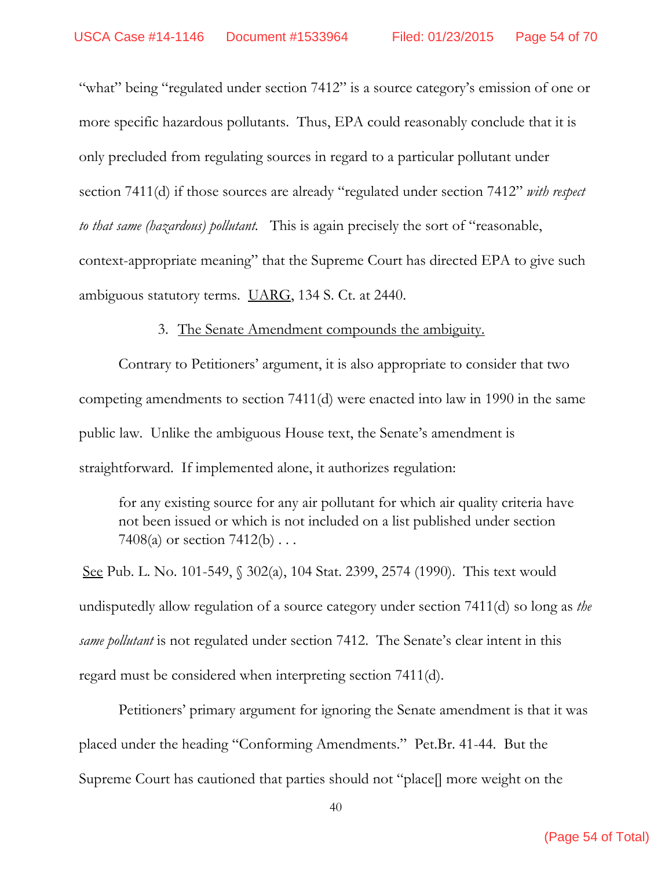"what" being "regulated under section 7412" is a source category's emission of one or more specific hazardous pollutants. Thus, EPA could reasonably conclude that it is only precluded from regulating sources in regard to a particular pollutant under section 7411(d) if those sources are already "regulated under section 7412" *with respect to that same (hazardous) pollutant.* This is again precisely the sort of "reasonable, context-appropriate meaning" that the Supreme Court has directed EPA to give such ambiguous statutory terms. UARG, 134 S. Ct. at 2440.

#### 3. The Senate Amendment compounds the ambiguity.

Contrary to Petitioners' argument, it is also appropriate to consider that two competing amendments to section 7411(d) were enacted into law in 1990 in the same public law. Unlike the ambiguous House text, the Senate's amendment is straightforward. If implemented alone, it authorizes regulation:

for any existing source for any air pollutant for which air quality criteria have not been issued or which is not included on a list published under section 7408(a) or section 7412(b) . . .

 See Pub. L. No. 101-549, § 302(a), 104 Stat. 2399, 2574 (1990). This text would undisputedly allow regulation of a source category under section 7411(d) so long as *the same pollutant* is not regulated under section 7412. The Senate's clear intent in this regard must be considered when interpreting section 7411(d).

 Petitioners' primary argument for ignoring the Senate amendment is that it was placed under the heading "Conforming Amendments." Pet.Br. 41-44. But the Supreme Court has cautioned that parties should not "place[] more weight on the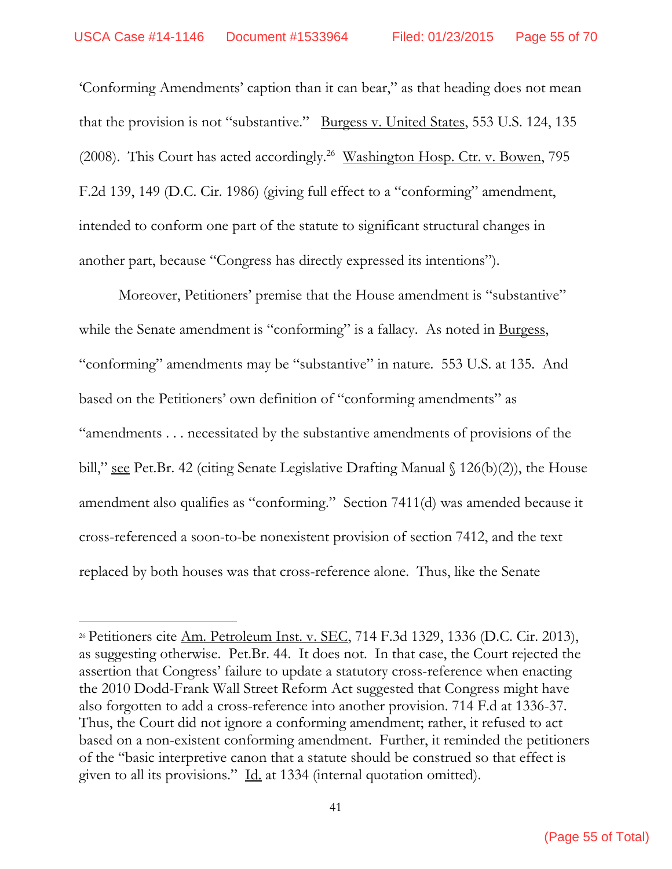'Conforming Amendments' caption than it can bear," as that heading does not mean that the provision is not "substantive." Burgess v. United States, 553 U.S. 124, 135 (2008). This Court has acted accordingly.<sup>26</sup> Washington Hosp. Ctr. v. Bowen, 795 F.2d 139, 149 (D.C. Cir. 1986) (giving full effect to a "conforming" amendment, intended to conform one part of the statute to significant structural changes in another part, because "Congress has directly expressed its intentions").

 Moreover, Petitioners' premise that the House amendment is "substantive" while the Senate amendment is "conforming" is a fallacy. As noted in Burgess, "conforming" amendments may be "substantive" in nature. 553 U.S. at 135. And based on the Petitioners' own definition of "conforming amendments" as "amendments . . . necessitated by the substantive amendments of provisions of the bill," see Pet.Br. 42 (citing Senate Legislative Drafting Manual  $\{126(b)(2)\}$ , the House amendment also qualifies as "conforming." Section 7411(d) was amended because it cross-referenced a soon-to-be nonexistent provision of section 7412, and the text replaced by both houses was that cross-reference alone. Thus, like the Senate

<sup>26</sup> Petitioners cite Am. Petroleum Inst. v. SEC, 714 F.3d 1329, 1336 (D.C. Cir. 2013), as suggesting otherwise. Pet.Br. 44. It does not. In that case, the Court rejected the assertion that Congress' failure to update a statutory cross-reference when enacting the 2010 Dodd-Frank Wall Street Reform Act suggested that Congress might have also forgotten to add a cross-reference into another provision. 714 F.d at 1336-37. Thus, the Court did not ignore a conforming amendment; rather, it refused to act based on a non-existent conforming amendment. Further, it reminded the petitioners of the "basic interpretive canon that a statute should be construed so that effect is given to all its provisions." Id. at 1334 (internal quotation omitted).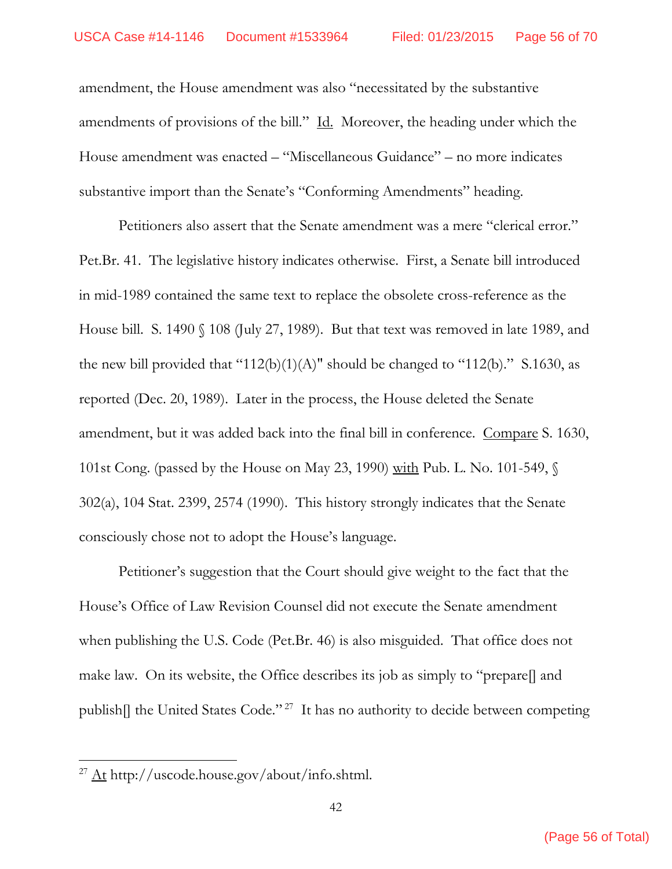amendment, the House amendment was also "necessitated by the substantive amendments of provisions of the bill." Id. Moreover, the heading under which the House amendment was enacted – "Miscellaneous Guidance" – no more indicates substantive import than the Senate's "Conforming Amendments" heading.

 Petitioners also assert that the Senate amendment was a mere "clerical error." Pet.Br. 41. The legislative history indicates otherwise. First, a Senate bill introduced in mid-1989 contained the same text to replace the obsolete cross-reference as the House bill. S. 1490 § 108 (July 27, 1989). But that text was removed in late 1989, and the new bill provided that "112(b)(1)(A)" should be changed to "112(b)." S.1630, as reported (Dec. 20, 1989). Later in the process, the House deleted the Senate amendment, but it was added back into the final bill in conference. Compare S. 1630, 101st Cong. (passed by the House on May 23, 1990) with Pub. L. No. 101-549, § 302(a), 104 Stat. 2399, 2574 (1990). This history strongly indicates that the Senate consciously chose not to adopt the House's language.

 Petitioner's suggestion that the Court should give weight to the fact that the House's Office of Law Revision Counsel did not execute the Senate amendment when publishing the U.S. Code (Pet.Br. 46) is also misguided. That office does not make law. On its website, the Office describes its job as simply to "prepare[] and publish[] the United States Code."<sup>27</sup> It has no authority to decide between competing

<sup>27</sup> At http://uscode.house.gov/about/info.shtml.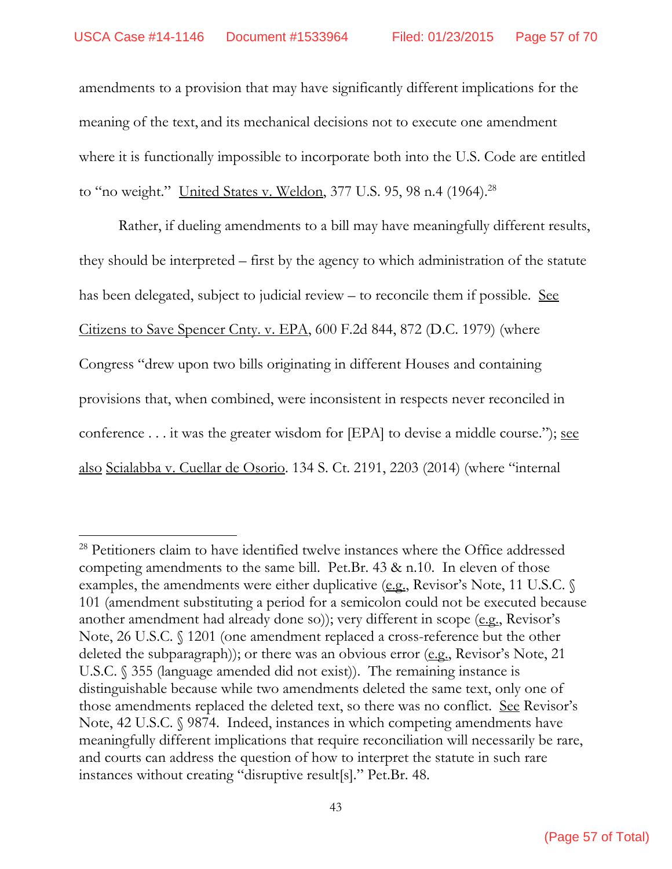amendments to a provision that may have significantly different implications for the meaning of the text, and its mechanical decisions not to execute one amendment where it is functionally impossible to incorporate both into the U.S. Code are entitled to "no weight." United States v. Weldon, 377 U.S. 95, 98 n.4 (1964).<sup>28</sup>

 Rather, if dueling amendments to a bill may have meaningfully different results, they should be interpreted – first by the agency to which administration of the statute has been delegated, subject to judicial review – to reconcile them if possible. See Citizens to Save Spencer Cnty. v. EPA, 600 F.2d 844, 872 (D.C. 1979) (where Congress "drew upon two bills originating in different Houses and containing provisions that, when combined, were inconsistent in respects never reconciled in conference  $\dots$  it was the greater wisdom for [EPA] to devise a middle course."); see also Scialabba v. Cuellar de Osorio. 134 S. Ct. 2191, 2203 (2014) (where "internal

<sup>28</sup> Petitioners claim to have identified twelve instances where the Office addressed competing amendments to the same bill. Pet.Br. 43 & n.10. In eleven of those examples, the amendments were either duplicative (e.g., Revisor's Note, 11 U.S.C.  $\mathcal{S}$ 101 (amendment substituting a period for a semicolon could not be executed because another amendment had already done so)); very different in scope (e.g., Revisor's Note, 26 U.S.C. § 1201 (one amendment replaced a cross-reference but the other deleted the subparagraph)); or there was an obvious error (e.g., Revisor's Note, 21 U.S.C. § 355 (language amended did not exist)). The remaining instance is distinguishable because while two amendments deleted the same text, only one of those amendments replaced the deleted text, so there was no conflict. See Revisor's Note, 42 U.S.C. § 9874. Indeed, instances in which competing amendments have meaningfully different implications that require reconciliation will necessarily be rare, and courts can address the question of how to interpret the statute in such rare instances without creating "disruptive result[s]." Pet.Br. 48.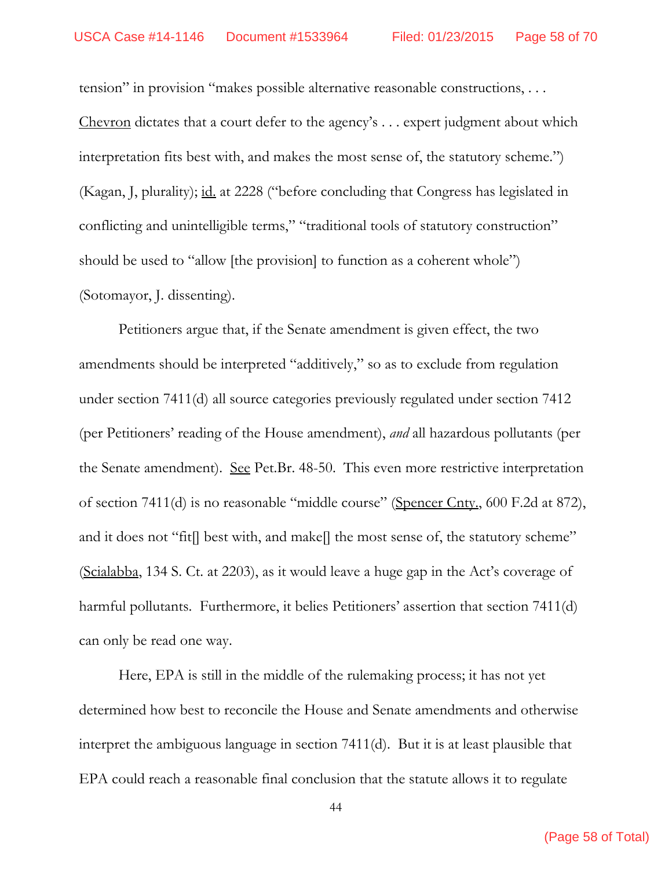tension" in provision "makes possible alternative reasonable constructions, . . . Chevron dictates that a court defer to the agency's . . . expert judgment about which interpretation fits best with, and makes the most sense of, the statutory scheme.") (Kagan, J, plurality); id. at 2228 ("before concluding that Congress has legislated in conflicting and unintelligible terms," "traditional tools of statutory construction" should be used to "allow [the provision] to function as a coherent whole") (Sotomayor, J. dissenting).

 Petitioners argue that, if the Senate amendment is given effect, the two amendments should be interpreted "additively," so as to exclude from regulation under section 7411(d) all source categories previously regulated under section 7412 (per Petitioners' reading of the House amendment), *and* all hazardous pollutants (per the Senate amendment). See Pet.Br. 48-50. This even more restrictive interpretation of section 7411(d) is no reasonable "middle course" (Spencer Cnty., 600 F.2d at 872), and it does not "fit[] best with, and make[] the most sense of, the statutory scheme" (Scialabba, 134 S. Ct. at 2203), as it would leave a huge gap in the Act's coverage of harmful pollutants. Furthermore, it belies Petitioners' assertion that section 7411(d) can only be read one way.

 Here, EPA is still in the middle of the rulemaking process; it has not yet determined how best to reconcile the House and Senate amendments and otherwise interpret the ambiguous language in section 7411(d). But it is at least plausible that EPA could reach a reasonable final conclusion that the statute allows it to regulate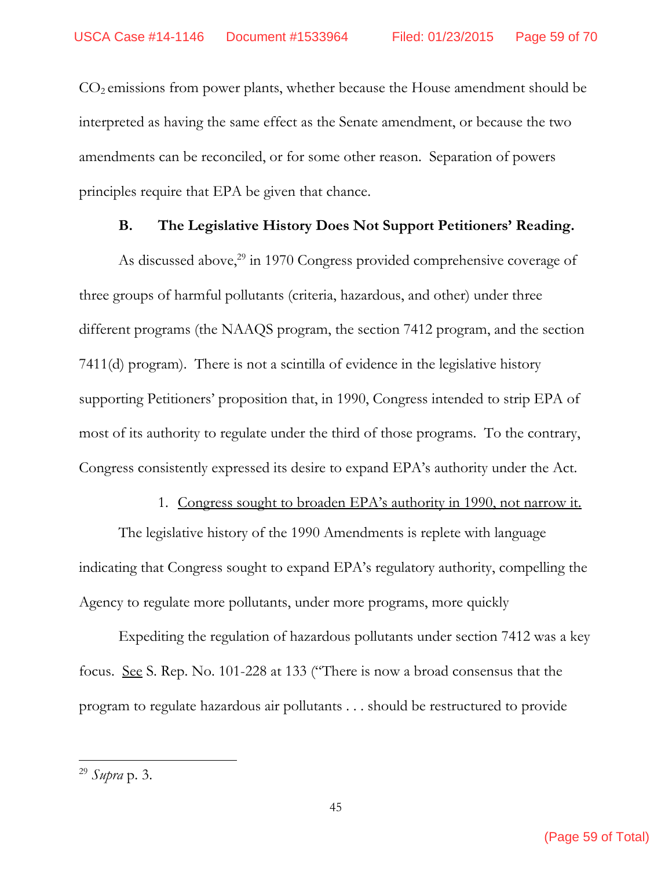CO2 emissions from power plants, whether because the House amendment should be interpreted as having the same effect as the Senate amendment, or because the two amendments can be reconciled, or for some other reason. Separation of powers principles require that EPA be given that chance.

#### **B. The Legislative History Does Not Support Petitioners' Reading.**

As discussed above,<sup>29</sup> in 1970 Congress provided comprehensive coverage of three groups of harmful pollutants (criteria, hazardous, and other) under three different programs (the NAAQS program, the section 7412 program, and the section 7411(d) program). There is not a scintilla of evidence in the legislative history supporting Petitioners' proposition that, in 1990, Congress intended to strip EPA of most of its authority to regulate under the third of those programs. To the contrary, Congress consistently expressed its desire to expand EPA's authority under the Act.

#### 1. Congress sought to broaden EPA's authority in 1990, not narrow it.

The legislative history of the 1990 Amendments is replete with language indicating that Congress sought to expand EPA's regulatory authority, compelling the Agency to regulate more pollutants, under more programs, more quickly

Expediting the regulation of hazardous pollutants under section 7412 was a key focus. See S. Rep. No. 101-228 at 133 ("There is now a broad consensus that the program to regulate hazardous air pollutants . . . should be restructured to provide

<sup>29</sup> *Supra* p. 3.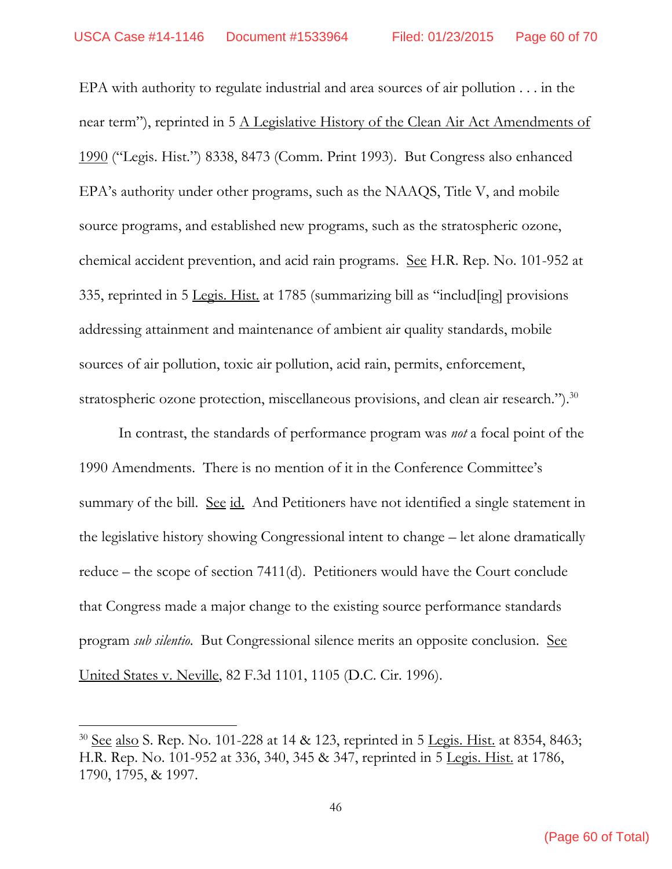EPA with authority to regulate industrial and area sources of air pollution . . . in the near term"), reprinted in 5 A Legislative History of the Clean Air Act Amendments of 1990 ("Legis. Hist.") 8338, 8473 (Comm. Print 1993). But Congress also enhanced EPA's authority under other programs, such as the NAAQS, Title V, and mobile source programs, and established new programs, such as the stratospheric ozone, chemical accident prevention, and acid rain programs. See H.R. Rep. No. 101-952 at 335, reprinted in 5 Legis. Hist. at 1785 (summarizing bill as "includ[ing] provisions addressing attainment and maintenance of ambient air quality standards, mobile sources of air pollution, toxic air pollution, acid rain, permits, enforcement, stratospheric ozone protection, miscellaneous provisions, and clean air research.").<sup>30</sup>

In contrast, the standards of performance program was *not* a focal point of the 1990 Amendments. There is no mention of it in the Conference Committee's summary of the bill. See id. And Petitioners have not identified a single statement in the legislative history showing Congressional intent to change – let alone dramatically reduce – the scope of section 7411(d). Petitioners would have the Court conclude that Congress made a major change to the existing source performance standards program *sub silentio*. But Congressional silence merits an opposite conclusion. See United States v. Neville, 82 F.3d 1101, 1105 (D.C. Cir. 1996).

<sup>&</sup>lt;sup>30</sup> See also S. Rep. No. 101-228 at 14 & 123, reprinted in 5 <u>Legis. Hist.</u> at 8354, 8463; H.R. Rep. No. 101-952 at 336, 340, 345 & 347, reprinted in 5 Legis. Hist. at 1786, 1790, 1795, & 1997.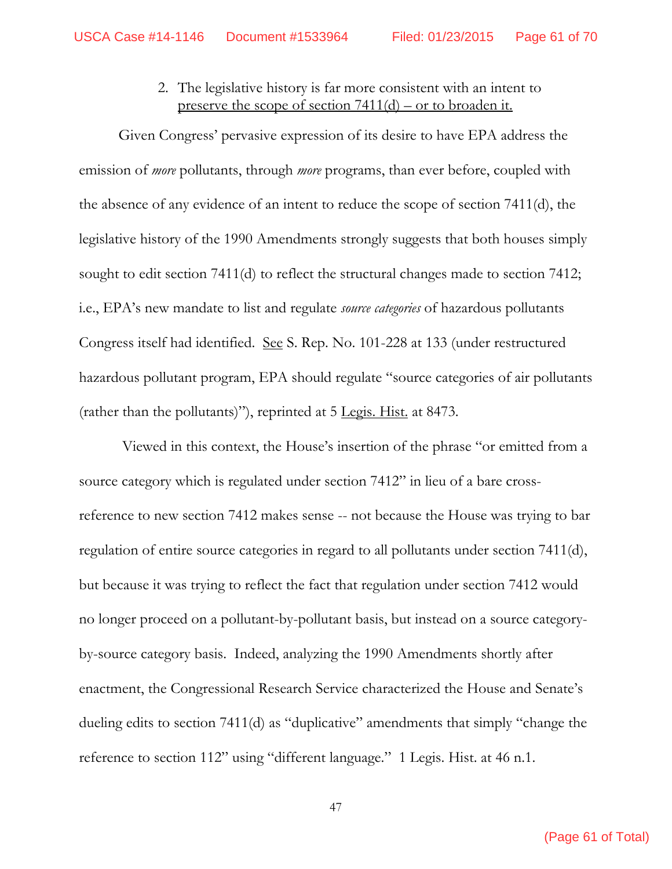2. The legislative history is far more consistent with an intent to preserve the scope of section 7411(d) – or to broaden it.

Given Congress' pervasive expression of its desire to have EPA address the emission of *more* pollutants, through *more* programs, than ever before, coupled with the absence of any evidence of an intent to reduce the scope of section 7411(d), the legislative history of the 1990 Amendments strongly suggests that both houses simply sought to edit section 7411(d) to reflect the structural changes made to section 7412; i.e., EPA's new mandate to list and regulate *source categories* of hazardous pollutants Congress itself had identified. See S. Rep. No. 101-228 at 133 (under restructured hazardous pollutant program, EPA should regulate "source categories of air pollutants (rather than the pollutants)"), reprinted at 5 Legis. Hist. at 8473.

 Viewed in this context, the House's insertion of the phrase "or emitted from a source category which is regulated under section 7412" in lieu of a bare crossreference to new section 7412 makes sense -- not because the House was trying to bar regulation of entire source categories in regard to all pollutants under section 7411(d), but because it was trying to reflect the fact that regulation under section 7412 would no longer proceed on a pollutant-by-pollutant basis, but instead on a source categoryby-source category basis. Indeed, analyzing the 1990 Amendments shortly after enactment, the Congressional Research Service characterized the House and Senate's dueling edits to section 7411(d) as "duplicative" amendments that simply "change the reference to section 112" using "different language." 1 Legis. Hist. at 46 n.1.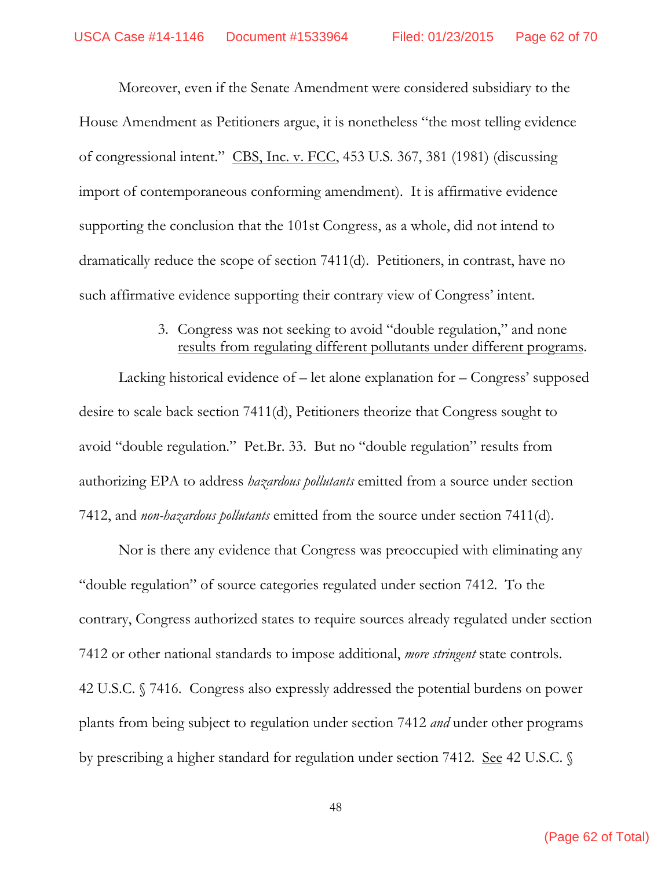Moreover, even if the Senate Amendment were considered subsidiary to the House Amendment as Petitioners argue, it is nonetheless "the most telling evidence of congressional intent." CBS, Inc. v. FCC, 453 U.S. 367, 381 (1981) (discussing import of contemporaneous conforming amendment). It is affirmative evidence supporting the conclusion that the 101st Congress, as a whole, did not intend to dramatically reduce the scope of section 7411(d). Petitioners, in contrast, have no such affirmative evidence supporting their contrary view of Congress' intent.

#### 3. Congress was not seeking to avoid "double regulation," and none results from regulating different pollutants under different programs.

Lacking historical evidence of – let alone explanation for – Congress' supposed desire to scale back section 7411(d), Petitioners theorize that Congress sought to avoid "double regulation." Pet.Br. 33. But no "double regulation" results from authorizing EPA to address *hazardous pollutants* emitted from a source under section 7412, and *non-hazardous pollutants* emitted from the source under section 7411(d).

Nor is there any evidence that Congress was preoccupied with eliminating any "double regulation" of source categories regulated under section 7412. To the contrary, Congress authorized states to require sources already regulated under section 7412 or other national standards to impose additional, *more stringent* state controls. 42 U.S.C. § 7416. Congress also expressly addressed the potential burdens on power plants from being subject to regulation under section 7412 *and* under other programs by prescribing a higher standard for regulation under section 7412. See 42 U.S.C. §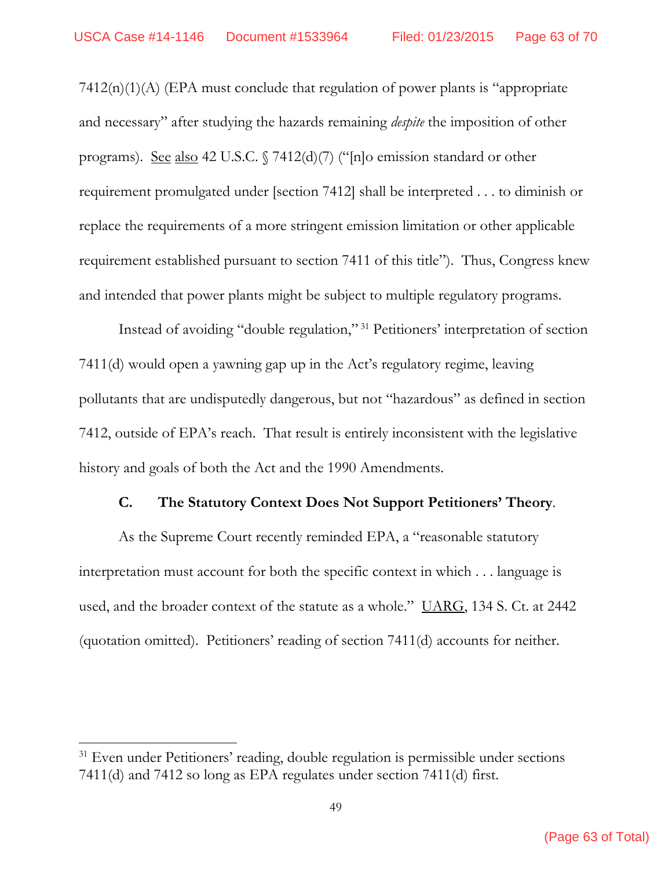7412(n)(1)(A) (EPA must conclude that regulation of power plants is "appropriate and necessary" after studying the hazards remaining *despite* the imposition of other programs). See also 42 U.S.C. § 7412(d)(7) ("[n]o emission standard or other requirement promulgated under [section 7412] shall be interpreted . . . to diminish or replace the requirements of a more stringent emission limitation or other applicable requirement established pursuant to section 7411 of this title"). Thus, Congress knew and intended that power plants might be subject to multiple regulatory programs.

Instead of avoiding "double regulation," 31 Petitioners' interpretation of section 7411(d) would open a yawning gap up in the Act's regulatory regime, leaving pollutants that are undisputedly dangerous, but not "hazardous" as defined in section 7412, outside of EPA's reach. That result is entirely inconsistent with the legislative history and goals of both the Act and the 1990 Amendments.

#### **C. The Statutory Context Does Not Support Petitioners' Theory**.

As the Supreme Court recently reminded EPA, a "reasonable statutory interpretation must account for both the specific context in which . . . language is used, and the broader context of the statute as a whole." UARG, 134 S. Ct. at 2442 (quotation omitted). Petitioners' reading of section 7411(d) accounts for neither.

<sup>&</sup>lt;sup>31</sup> Even under Petitioners' reading, double regulation is permissible under sections 7411(d) and 7412 so long as EPA regulates under section 7411(d) first.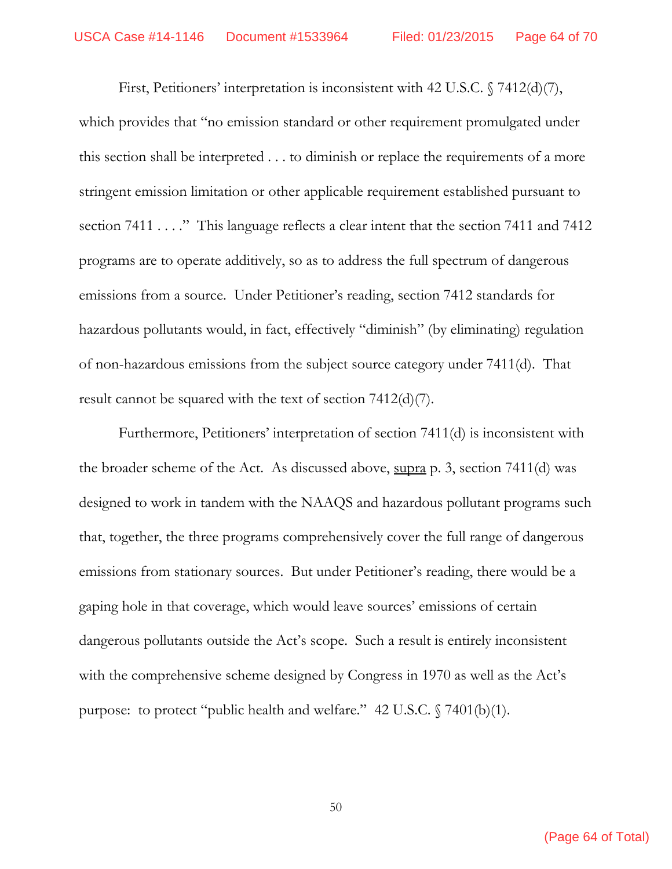First, Petitioners' interpretation is inconsistent with 42 U.S.C. § 7412(d)(7), which provides that "no emission standard or other requirement promulgated under this section shall be interpreted . . . to diminish or replace the requirements of a more stringent emission limitation or other applicable requirement established pursuant to section 7411 . . . ." This language reflects a clear intent that the section 7411 and 7412 programs are to operate additively, so as to address the full spectrum of dangerous emissions from a source. Under Petitioner's reading, section 7412 standards for hazardous pollutants would, in fact, effectively "diminish" (by eliminating) regulation of non-hazardous emissions from the subject source category under 7411(d). That result cannot be squared with the text of section 7412(d)(7).

Furthermore, Petitioners' interpretation of section 7411(d) is inconsistent with the broader scheme of the Act. As discussed above, supra p. 3, section 7411(d) was designed to work in tandem with the NAAQS and hazardous pollutant programs such that, together, the three programs comprehensively cover the full range of dangerous emissions from stationary sources. But under Petitioner's reading, there would be a gaping hole in that coverage, which would leave sources' emissions of certain dangerous pollutants outside the Act's scope. Such a result is entirely inconsistent with the comprehensive scheme designed by Congress in 1970 as well as the Act's purpose: to protect "public health and welfare." 42 U.S.C. § 7401(b)(1).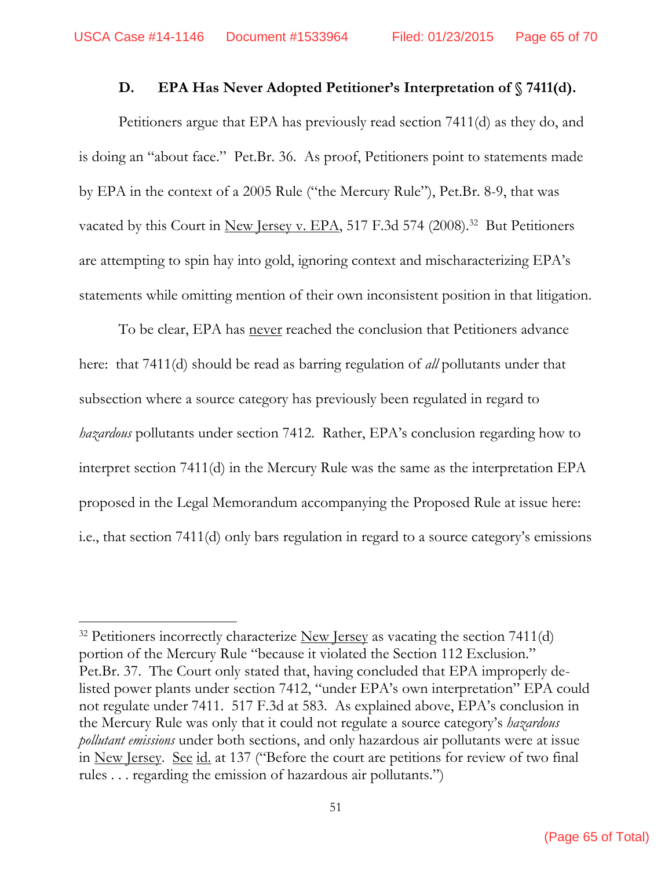#### **D. EPA Has Never Adopted Petitioner's Interpretation of § 7411(d).**

Petitioners argue that EPA has previously read section 7411(d) as they do, and is doing an "about face." Pet.Br. 36. As proof, Petitioners point to statements made by EPA in the context of a 2005 Rule ("the Mercury Rule"), Pet.Br. 8-9, that was vacated by this Court in New Jersey v. EPA, 517 F.3d 574 (2008).<sup>32</sup> But Petitioners are attempting to spin hay into gold, ignoring context and mischaracterizing EPA's statements while omitting mention of their own inconsistent position in that litigation.

To be clear, EPA has never reached the conclusion that Petitioners advance here: that 7411(d) should be read as barring regulation of *all* pollutants under that subsection where a source category has previously been regulated in regard to *hazardous* pollutants under section 7412. Rather, EPA's conclusion regarding how to interpret section 7411(d) in the Mercury Rule was the same as the interpretation EPA proposed in the Legal Memorandum accompanying the Proposed Rule at issue here: i.e., that section 7411(d) only bars regulation in regard to a source category's emissions

 $32$  Petitioners incorrectly characterize New Jersey as vacating the section 7411(d) portion of the Mercury Rule "because it violated the Section 112 Exclusion." Pet.Br. 37. The Court only stated that, having concluded that EPA improperly delisted power plants under section 7412, "under EPA's own interpretation" EPA could not regulate under 7411. 517 F.3d at 583. As explained above, EPA's conclusion in the Mercury Rule was only that it could not regulate a source category's *hazardous pollutant emissions* under both sections, and only hazardous air pollutants were at issue in New Jersey. See id. at 137 ("Before the court are petitions for review of two final rules . . . regarding the emission of hazardous air pollutants.")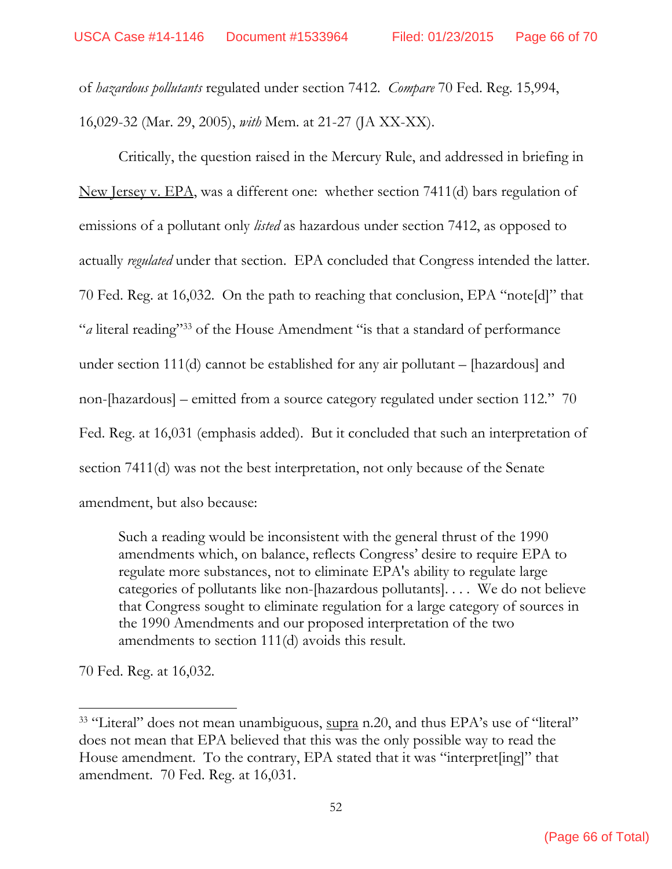of *hazardous pollutants* regulated under section 7412. *Compare* 70 Fed. Reg. 15,994, 16,029-32 (Mar. 29, 2005), *with* Mem. at 21-27 (JA XX-XX).

Critically, the question raised in the Mercury Rule, and addressed in briefing in New Jersey v. EPA, was a different one: whether section 7411(d) bars regulation of emissions of a pollutant only *listed* as hazardous under section 7412, as opposed to actually *regulated* under that section. EPA concluded that Congress intended the latter. 70 Fed. Reg. at 16,032. On the path to reaching that conclusion, EPA "note[d]" that "*a* literal reading"33 of the House Amendment "is that a standard of performance under section 111(d) cannot be established for any air pollutant – [hazardous] and non-[hazardous] – emitted from a source category regulated under section 112." 70 Fed. Reg. at 16,031 (emphasis added). But it concluded that such an interpretation of section 7411(d) was not the best interpretation, not only because of the Senate amendment, but also because:

Such a reading would be inconsistent with the general thrust of the 1990 amendments which, on balance, reflects Congress' desire to require EPA to regulate more substances, not to eliminate EPA's ability to regulate large categories of pollutants like non-[hazardous pollutants]. . . . We do not believe that Congress sought to eliminate regulation for a large category of sources in the 1990 Amendments and our proposed interpretation of the two amendments to section 111(d) avoids this result.

70 Fed. Reg. at 16,032.

<sup>&</sup>lt;sup>33</sup> "Literal" does not mean unambiguous, supra n.20, and thus EPA's use of "literal" does not mean that EPA believed that this was the only possible way to read the House amendment. To the contrary, EPA stated that it was "interpret[ing]" that amendment. 70 Fed. Reg. at 16,031.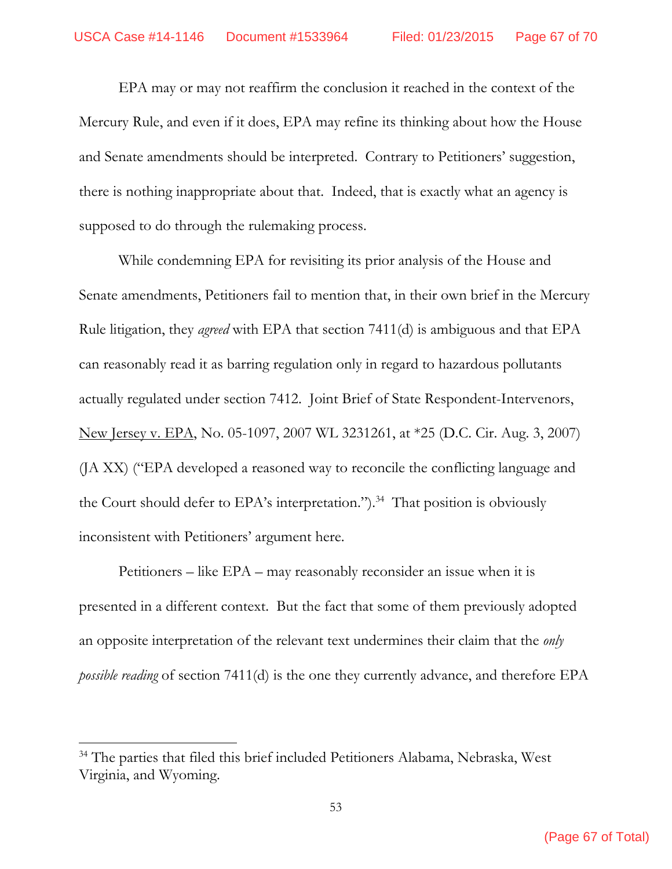EPA may or may not reaffirm the conclusion it reached in the context of the Mercury Rule, and even if it does, EPA may refine its thinking about how the House and Senate amendments should be interpreted. Contrary to Petitioners' suggestion, there is nothing inappropriate about that. Indeed, that is exactly what an agency is supposed to do through the rulemaking process.

While condemning EPA for revisiting its prior analysis of the House and Senate amendments, Petitioners fail to mention that, in their own brief in the Mercury Rule litigation, they *agreed* with EPA that section 7411(d) is ambiguous and that EPA can reasonably read it as barring regulation only in regard to hazardous pollutants actually regulated under section 7412. Joint Brief of State Respondent-Intervenors, New Jersey v. EPA, No. 05-1097, 2007 WL 3231261, at \*25 (D.C. Cir. Aug. 3, 2007) (JA XX) ("EPA developed a reasoned way to reconcile the conflicting language and the Court should defer to EPA's interpretation.").<sup>34</sup> That position is obviously inconsistent with Petitioners' argument here.

Petitioners – like EPA – may reasonably reconsider an issue when it is presented in a different context. But the fact that some of them previously adopted an opposite interpretation of the relevant text undermines their claim that the *only possible reading* of section 7411(d) is the one they currently advance, and therefore EPA

<sup>34</sup> The parties that filed this brief included Petitioners Alabama, Nebraska, West Virginia, and Wyoming.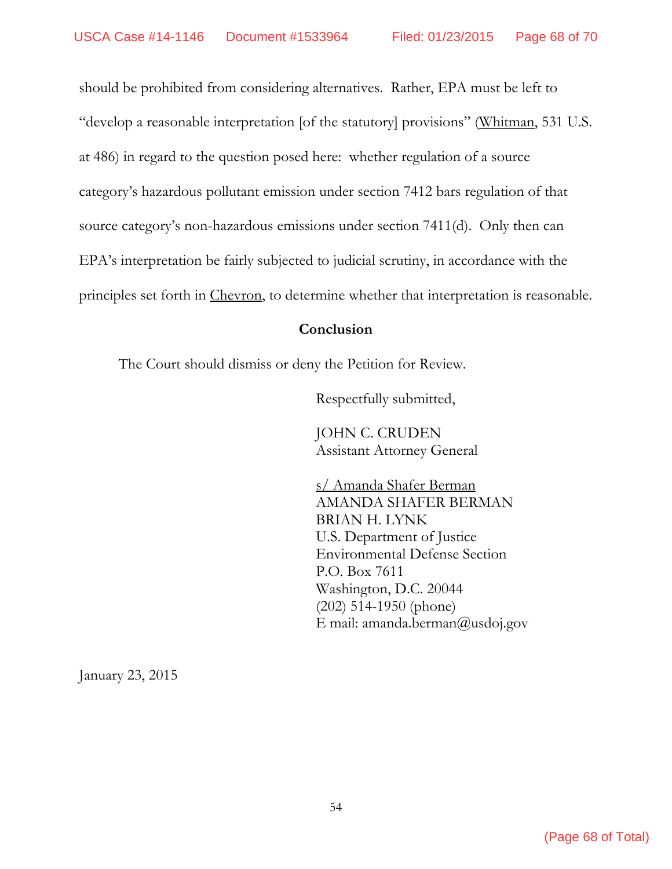should be prohibited from considering alternatives. Rather, EPA must be left to "develop a reasonable interpretation [of the statutory] provisions" (Whitman, 531 U.S. at 486) in regard to the question posed here: whether regulation of a source category's hazardous pollutant emission under section 7412 bars regulation of that source category's non-hazardous emissions under section 7411(d). Only then can EPA's interpretation be fairly subjected to judicial scrutiny, in accordance with the principles set forth in Chevron, to determine whether that interpretation is reasonable.

#### **Conclusion**

The Court should dismiss or deny the Petition for Review.

Respectfully submitted,

JOHN C. CRUDEN Assistant Attorney General

 s/ Amanda Shafer Berman AMANDA SHAFER BERMAN BRIAN H. LYNK U.S. Department of Justice Environmental Defense Section P.O. Box 7611 Washington, D.C. 20044 (202) 514-1950 (phone) E mail: amanda.berman@usdoj.gov

January 23, 2015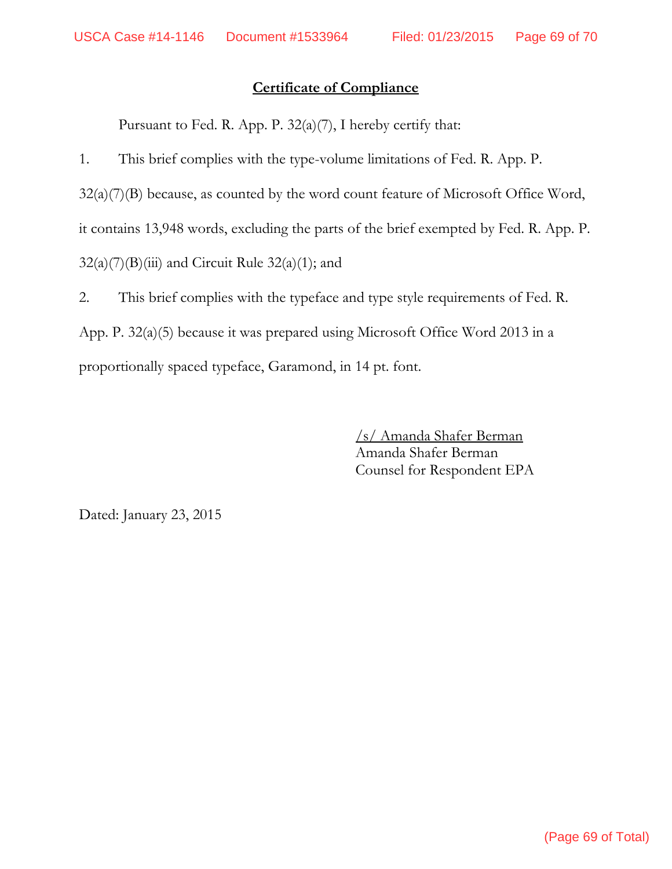## **Certificate of Compliance**

Pursuant to Fed. R. App. P. 32(a)(7), I hereby certify that:

1. This brief complies with the type-volume limitations of Fed. R. App. P.

32(a)(7)(B) because, as counted by the word count feature of Microsoft Office Word,

it contains 13,948 words, excluding the parts of the brief exempted by Fed. R. App. P.

 $32(a)(7)(B)(iii)$  and Circuit Rule  $32(a)(1)$ ; and

2. This brief complies with the typeface and type style requirements of Fed. R. App. P. 32(a)(5) because it was prepared using Microsoft Office Word 2013 in a proportionally spaced typeface, Garamond, in 14 pt. font.

> /s/ Amanda Shafer Berman Amanda Shafer Berman Counsel for Respondent EPA

Dated: January 23, 2015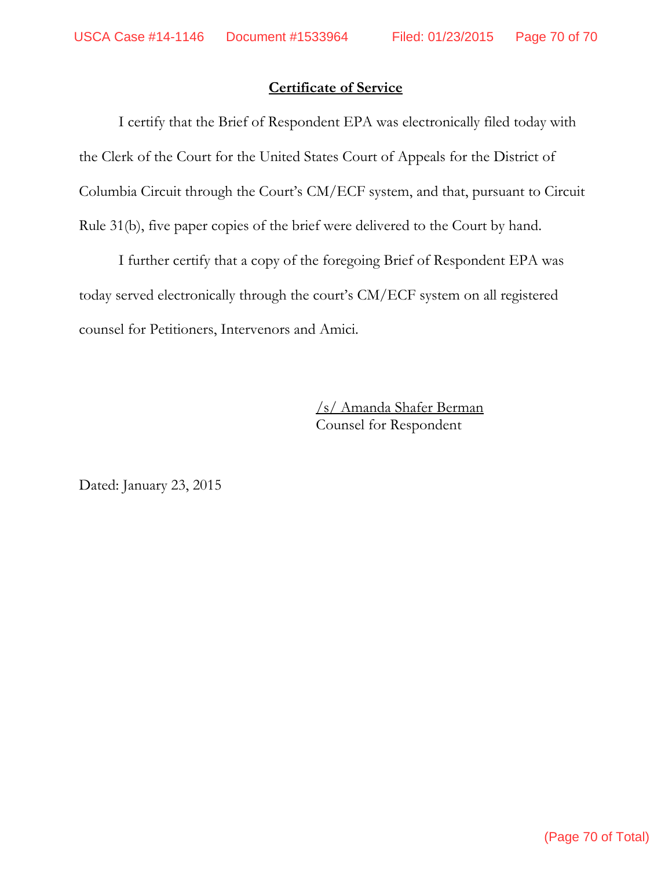### **Certificate of Service**

I certify that the Brief of Respondent EPA was electronically filed today with the Clerk of the Court for the United States Court of Appeals for the District of Columbia Circuit through the Court's CM/ECF system, and that, pursuant to Circuit Rule 31(b), five paper copies of the brief were delivered to the Court by hand.

I further certify that a copy of the foregoing Brief of Respondent EPA was today served electronically through the court's CM/ECF system on all registered counsel for Petitioners, Intervenors and Amici.

> /s/ Amanda Shafer Berman Counsel for Respondent

Dated: January 23, 2015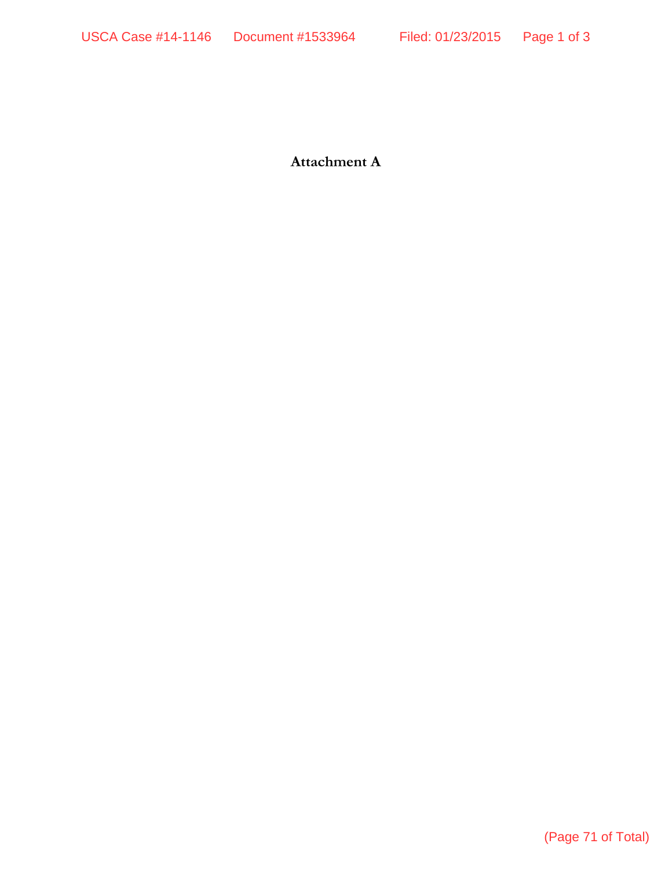**Attachment A**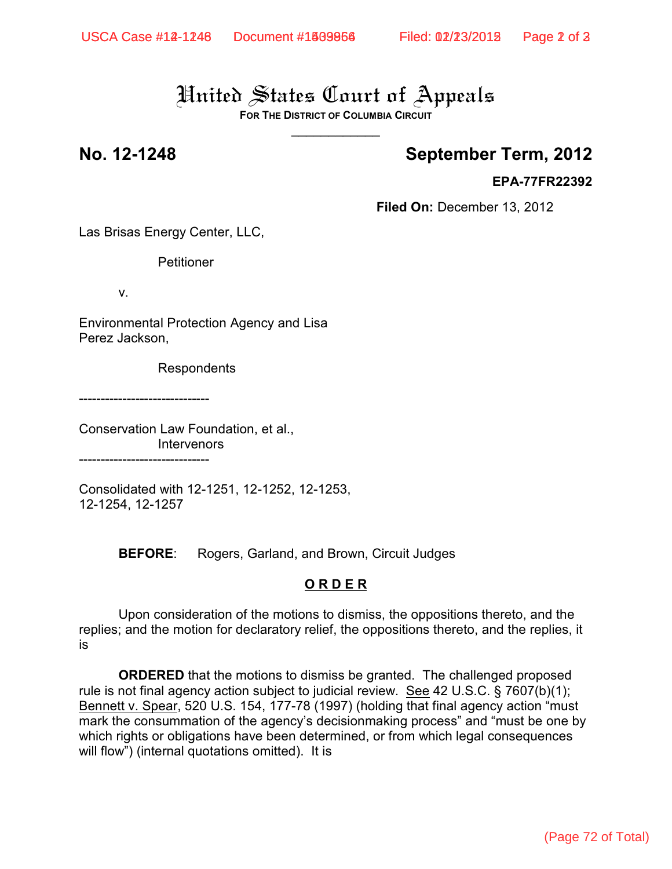# United States Court of Appeals

**FOR THE DISTRICT OF COLUMBIA CIRCUIT**  $\overline{\phantom{a}}$ 

# **No. 12-1248 September Term, 2012**

#### **EPA-77FR22392**

**Filed On:** December 13, 2012

Las Brisas Energy Center, LLC,

Petitioner

v.

Environmental Protection Agency and Lisa Perez Jackson,

Respondents

------------------------------

Conservation Law Foundation, et al., **Intervenors** ------------------------------

Consolidated with 12-1251, 12-1252, 12-1253, 12-1254, 12-1257

**BEFORE**: Rogers, Garland, and Brown, Circuit Judges

#### **O R D E R**

Upon consideration of the motions to dismiss, the oppositions thereto, and the replies; and the motion for declaratory relief, the oppositions thereto, and the replies, it is

**ORDERED** that the motions to dismiss be granted. The challenged proposed rule is not final agency action subject to judicial review. See 42 U.S.C. § 7607(b)(1); Bennett v. Spear, 520 U.S. 154, 177-78 (1997) (holding that final agency action "must mark the consummation of the agency's decisionmaking process" and "must be one by which rights or obligations have been determined, or from which legal consequences will flow") (internal quotations omitted). It is